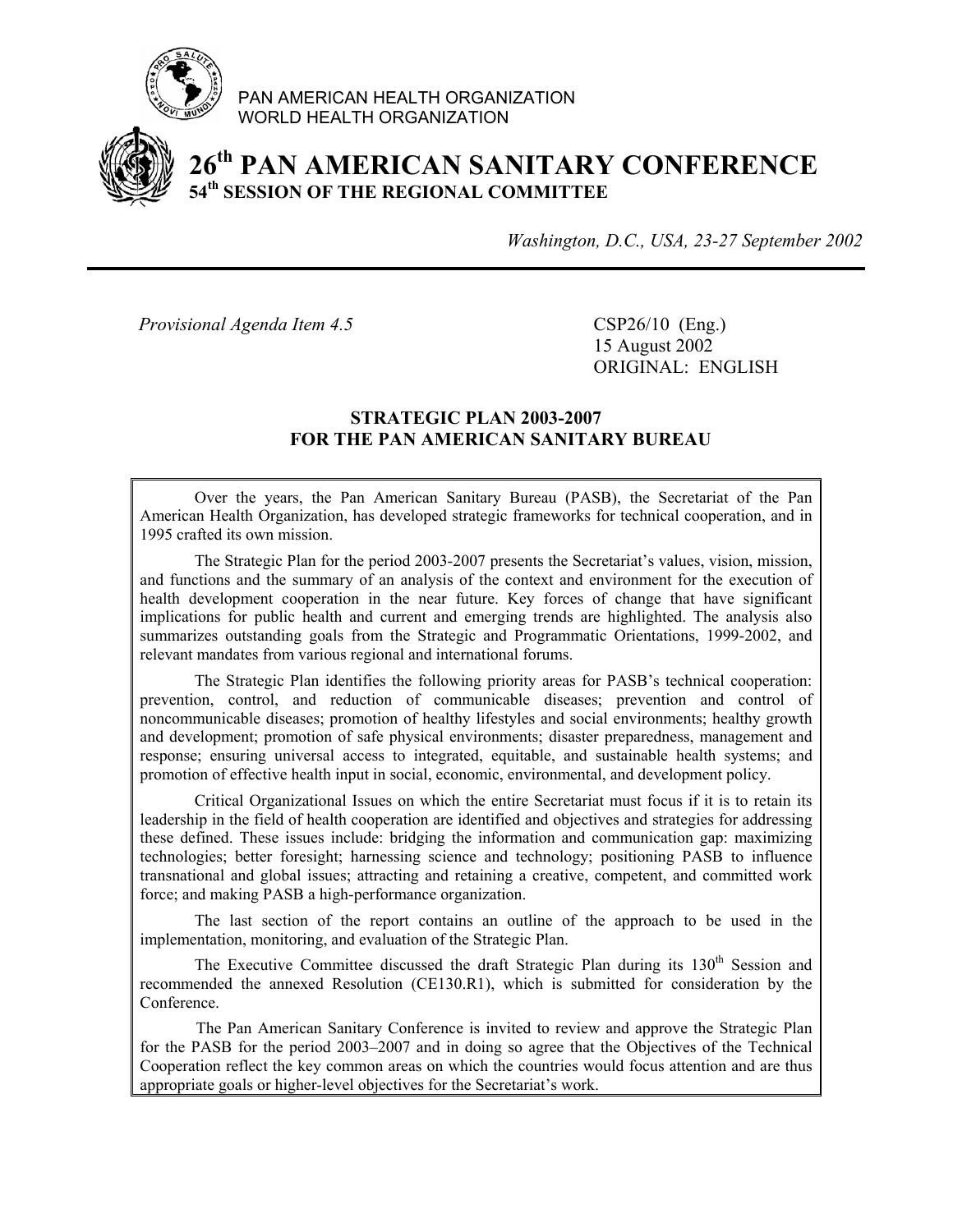

PAN AMERICAN HEALTH ORGANIZATION WORLD HEALTH ORGANIZATION



# **26th PAN AMERICAN SANITARY CONFERENCE 54th SESSION OF THE REGIONAL COMMITTEE**

*Washington, D.C., USA, 23-27 September 2002*

*Provisional Agenda Item 4.5* CSP26/10 (Eng.)

 15 August 2002 ORIGINAL: ENGLISH

#### **STRATEGIC PLAN 2003-2007 FOR THE PAN AMERICAN SANITARY BUREAU**

Over the years, the Pan American Sanitary Bureau (PASB), the Secretariat of the Pan American Health Organization, has developed strategic frameworks for technical cooperation, and in 1995 crafted its own mission.

The Strategic Plan for the period 2003-2007 presents the Secretariat's values, vision, mission, and functions and the summary of an analysis of the context and environment for the execution of health development cooperation in the near future. Key forces of change that have significant implications for public health and current and emerging trends are highlighted. The analysis also summarizes outstanding goals from the Strategic and Programmatic Orientations, 1999-2002, and relevant mandates from various regional and international forums.

The Strategic Plan identifies the following priority areas for PASB's technical cooperation: prevention, control, and reduction of communicable diseases; prevention and control of noncommunicable diseases; promotion of healthy lifestyles and social environments; healthy growth and development; promotion of safe physical environments; disaster preparedness, management and response; ensuring universal access to integrated, equitable, and sustainable health systems; and promotion of effective health input in social, economic, environmental, and development policy.

Critical Organizational Issues on which the entire Secretariat must focus if it is to retain its leadership in the field of health cooperation are identified and objectives and strategies for addressing these defined. These issues include: bridging the information and communication gap: maximizing technologies; better foresight; harnessing science and technology; positioning PASB to influence transnational and global issues; attracting and retaining a creative, competent, and committed work force; and making PASB a high-performance organization.

The last section of the report contains an outline of the approach to be used in the implementation, monitoring, and evaluation of the Strategic Plan.

The Executive Committee discussed the draft Strategic Plan during its  $130<sup>th</sup>$  Session and recommended the annexed Resolution (CE130.R1), which is submitted for consideration by the Conference.

 The Pan American Sanitary Conference is invited to review and approve the Strategic Plan for the PASB for the period 2003–2007 and in doing so agree that the Objectives of the Technical Cooperation reflect the key common areas on which the countries would focus attention and are thus appropriate goals or higher-level objectives for the Secretariat's work.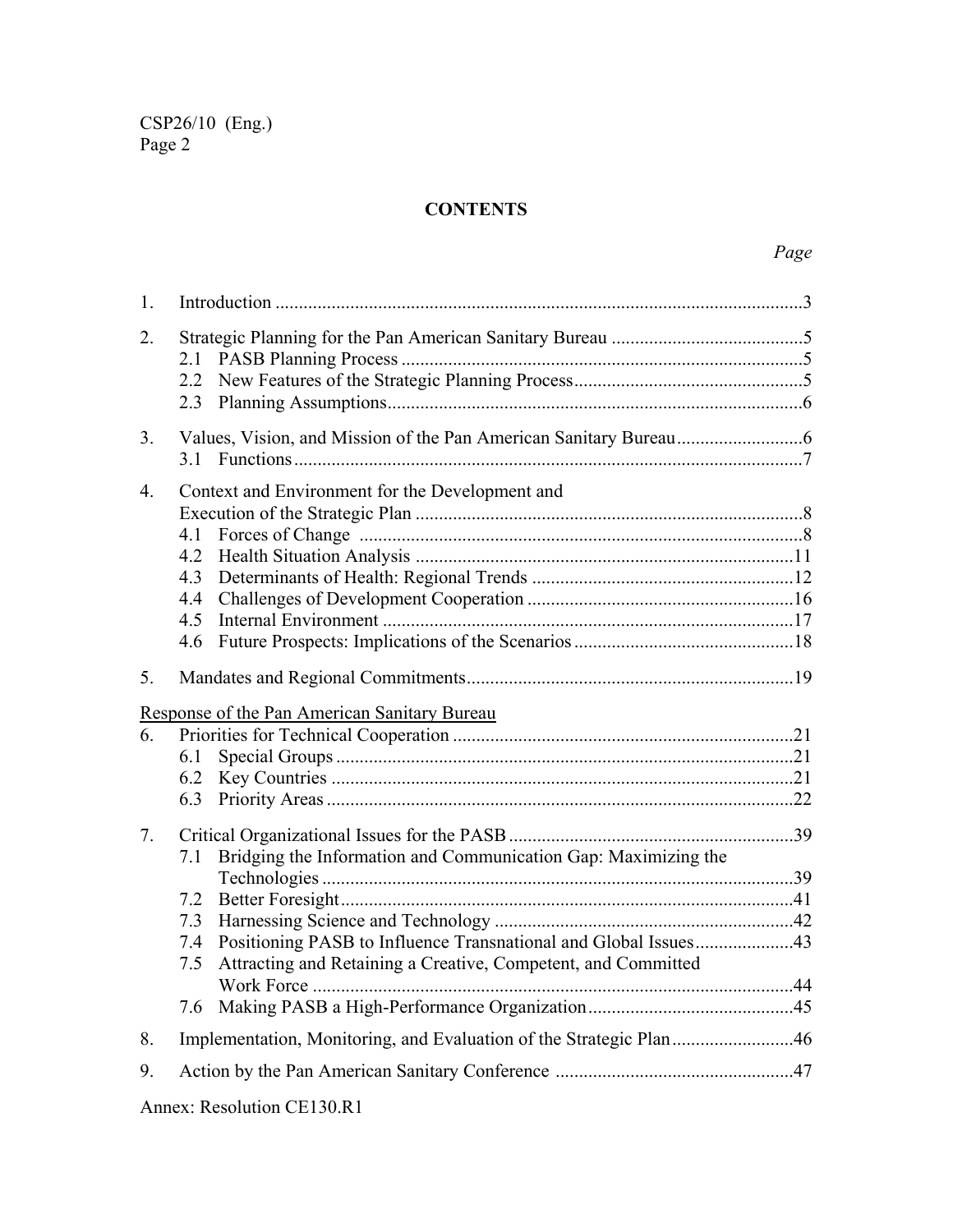# **CONTENTS**

| $\mathbf{1}$ .   |                                                                        |  |  |  |  |
|------------------|------------------------------------------------------------------------|--|--|--|--|
| 2.               | 2.1                                                                    |  |  |  |  |
|                  | 2.3                                                                    |  |  |  |  |
|                  |                                                                        |  |  |  |  |
| 3.               | Functions 177<br>3.1                                                   |  |  |  |  |
| $\overline{4}$ . | Context and Environment for the Development and                        |  |  |  |  |
|                  |                                                                        |  |  |  |  |
|                  | 4.1                                                                    |  |  |  |  |
|                  |                                                                        |  |  |  |  |
|                  | 4.3                                                                    |  |  |  |  |
|                  | 4.4                                                                    |  |  |  |  |
|                  | 4.5                                                                    |  |  |  |  |
|                  | 4.6                                                                    |  |  |  |  |
| 5 <sub>1</sub>   |                                                                        |  |  |  |  |
|                  | Response of the Pan American Sanitary Bureau                           |  |  |  |  |
| 6.               |                                                                        |  |  |  |  |
|                  | 6.1                                                                    |  |  |  |  |
|                  | 6.2                                                                    |  |  |  |  |
|                  | 6.3                                                                    |  |  |  |  |
| 7.               |                                                                        |  |  |  |  |
|                  | Bridging the Information and Communication Gap: Maximizing the<br>7.1  |  |  |  |  |
|                  |                                                                        |  |  |  |  |
|                  | 7.2                                                                    |  |  |  |  |
|                  | 7.3                                                                    |  |  |  |  |
|                  | Positioning PASB to Influence Transnational and Global Issues43<br>7.4 |  |  |  |  |
|                  | Attracting and Retaining a Creative, Competent, and Committed<br>7.5   |  |  |  |  |
|                  |                                                                        |  |  |  |  |
|                  | 7.6                                                                    |  |  |  |  |
| 8.               | Implementation, Monitoring, and Evaluation of the Strategic Plan46     |  |  |  |  |
| 9.               |                                                                        |  |  |  |  |
|                  |                                                                        |  |  |  |  |

Annex: Resolution CE130.R1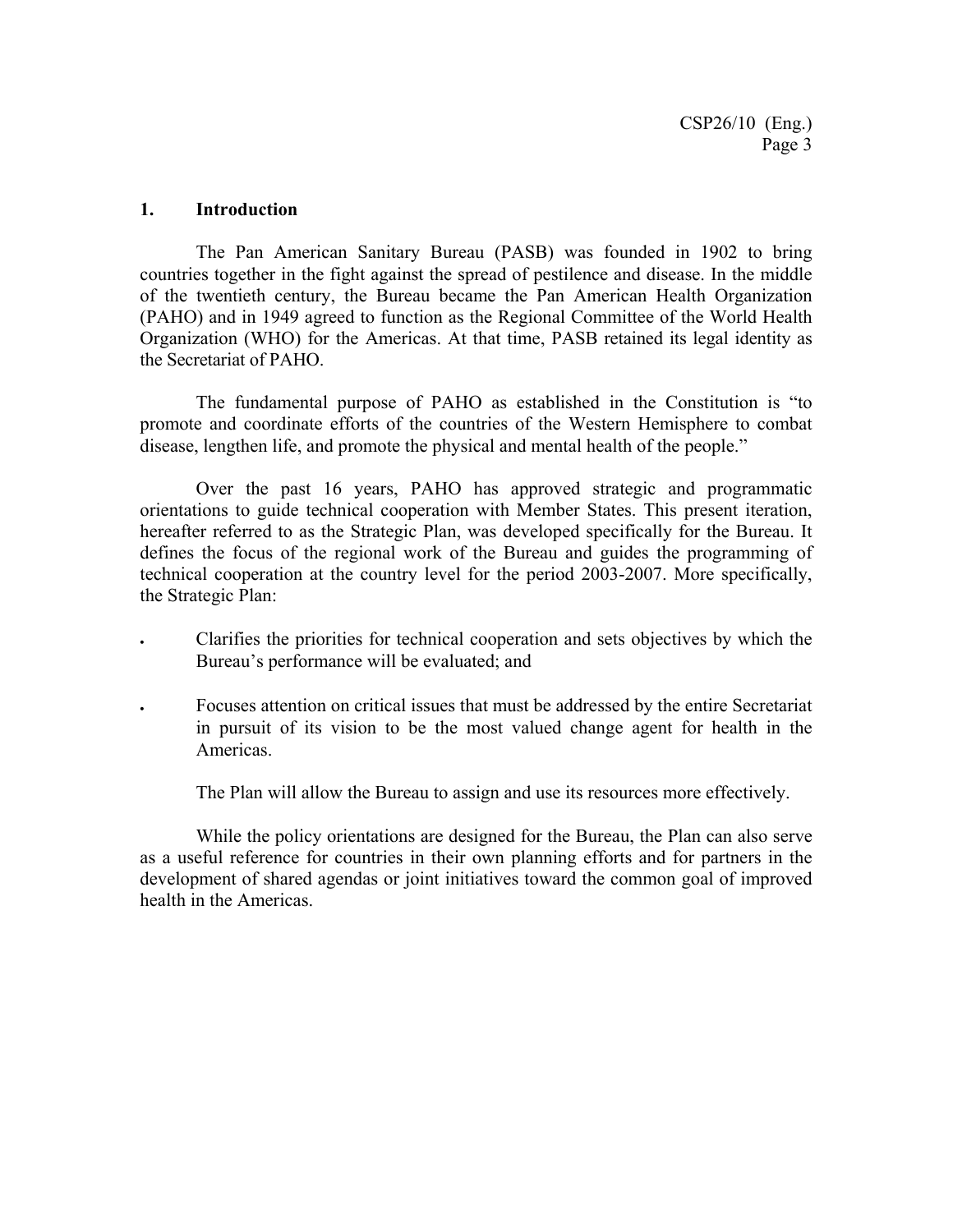#### **1. Introduction**

The Pan American Sanitary Bureau (PASB) was founded in 1902 to bring countries together in the fight against the spread of pestilence and disease. In the middle of the twentieth century, the Bureau became the Pan American Health Organization (PAHO) and in 1949 agreed to function as the Regional Committee of the World Health Organization (WHO) for the Americas. At that time, PASB retained its legal identity as the Secretariat of PAHO.

The fundamental purpose of PAHO as established in the Constitution is "to promote and coordinate efforts of the countries of the Western Hemisphere to combat disease, lengthen life, and promote the physical and mental health of the people."

Over the past 16 years, PAHO has approved strategic and programmatic orientations to guide technical cooperation with Member States. This present iteration, hereafter referred to as the Strategic Plan, was developed specifically for the Bureau. It defines the focus of the regional work of the Bureau and guides the programming of technical cooperation at the country level for the period 2003-2007. More specifically, the Strategic Plan:

- Clarifies the priorities for technical cooperation and sets objectives by which the Bureau's performance will be evaluated; and
- Focuses attention on critical issues that must be addressed by the entire Secretariat in pursuit of its vision to be the most valued change agent for health in the Americas.

The Plan will allow the Bureau to assign and use its resources more effectively.

While the policy orientations are designed for the Bureau, the Plan can also serve as a useful reference for countries in their own planning efforts and for partners in the development of shared agendas or joint initiatives toward the common goal of improved health in the Americas.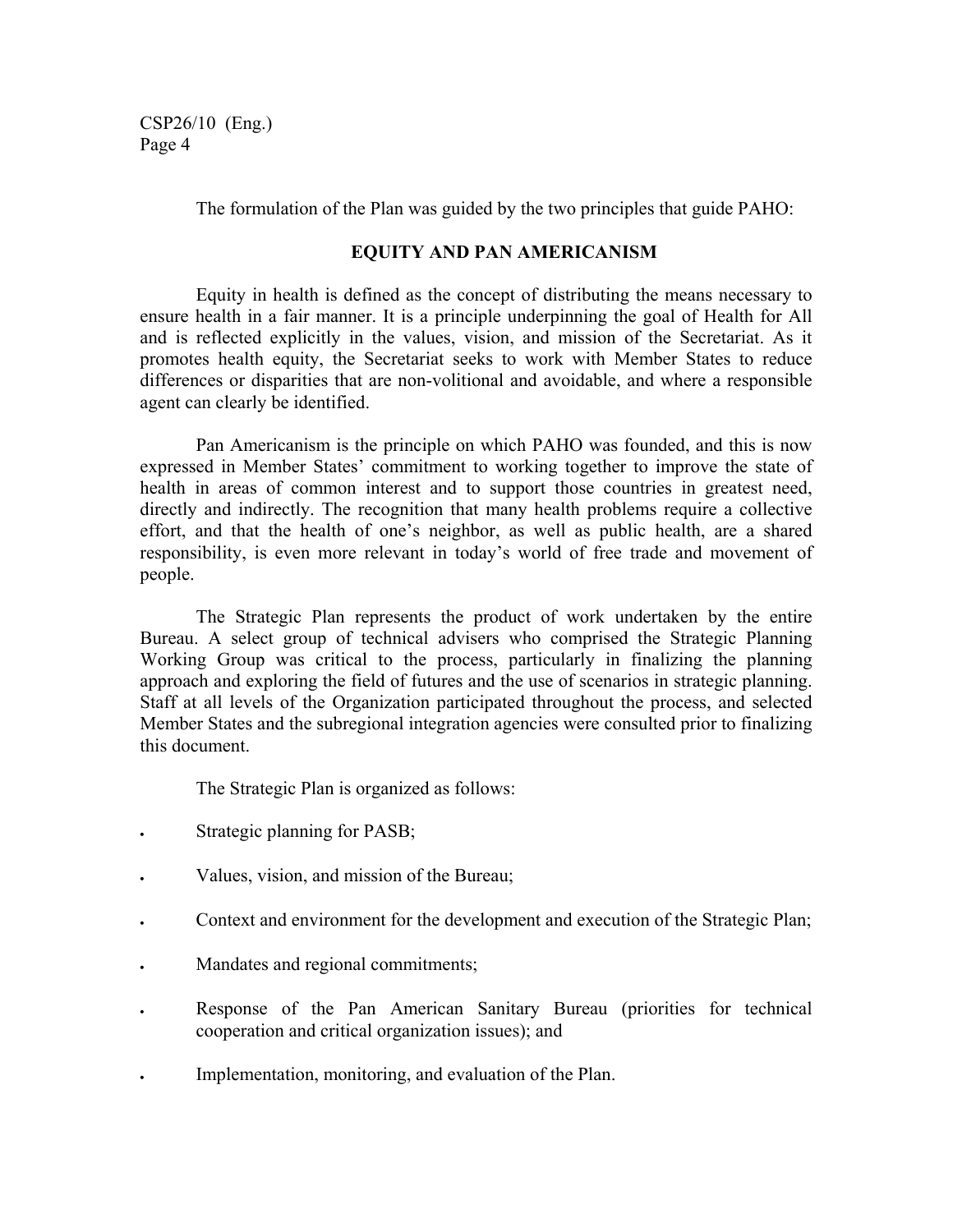The formulation of the Plan was guided by the two principles that guide PAHO:

#### **EQUITY AND PAN AMERICANISM**

Equity in health is defined as the concept of distributing the means necessary to ensure health in a fair manner. It is a principle underpinning the goal of Health for All and is reflected explicitly in the values, vision, and mission of the Secretariat. As it promotes health equity, the Secretariat seeks to work with Member States to reduce differences or disparities that are non-volitional and avoidable, and where a responsible agent can clearly be identified.

Pan Americanism is the principle on which PAHO was founded, and this is now expressed in Member States' commitment to working together to improve the state of health in areas of common interest and to support those countries in greatest need, directly and indirectly. The recognition that many health problems require a collective effort, and that the health of one's neighbor, as well as public health, are a shared responsibility, is even more relevant in today's world of free trade and movement of people.

The Strategic Plan represents the product of work undertaken by the entire Bureau. A select group of technical advisers who comprised the Strategic Planning Working Group was critical to the process, particularly in finalizing the planning approach and exploring the field of futures and the use of scenarios in strategic planning. Staff at all levels of the Organization participated throughout the process, and selected Member States and the subregional integration agencies were consulted prior to finalizing this document.

The Strategic Plan is organized as follows:

- Strategic planning for PASB;
- Values, vision, and mission of the Bureau;
- Context and environment for the development and execution of the Strategic Plan;
- Mandates and regional commitments;
- Response of the Pan American Sanitary Bureau (priorities for technical cooperation and critical organization issues); and
- Implementation, monitoring, and evaluation of the Plan.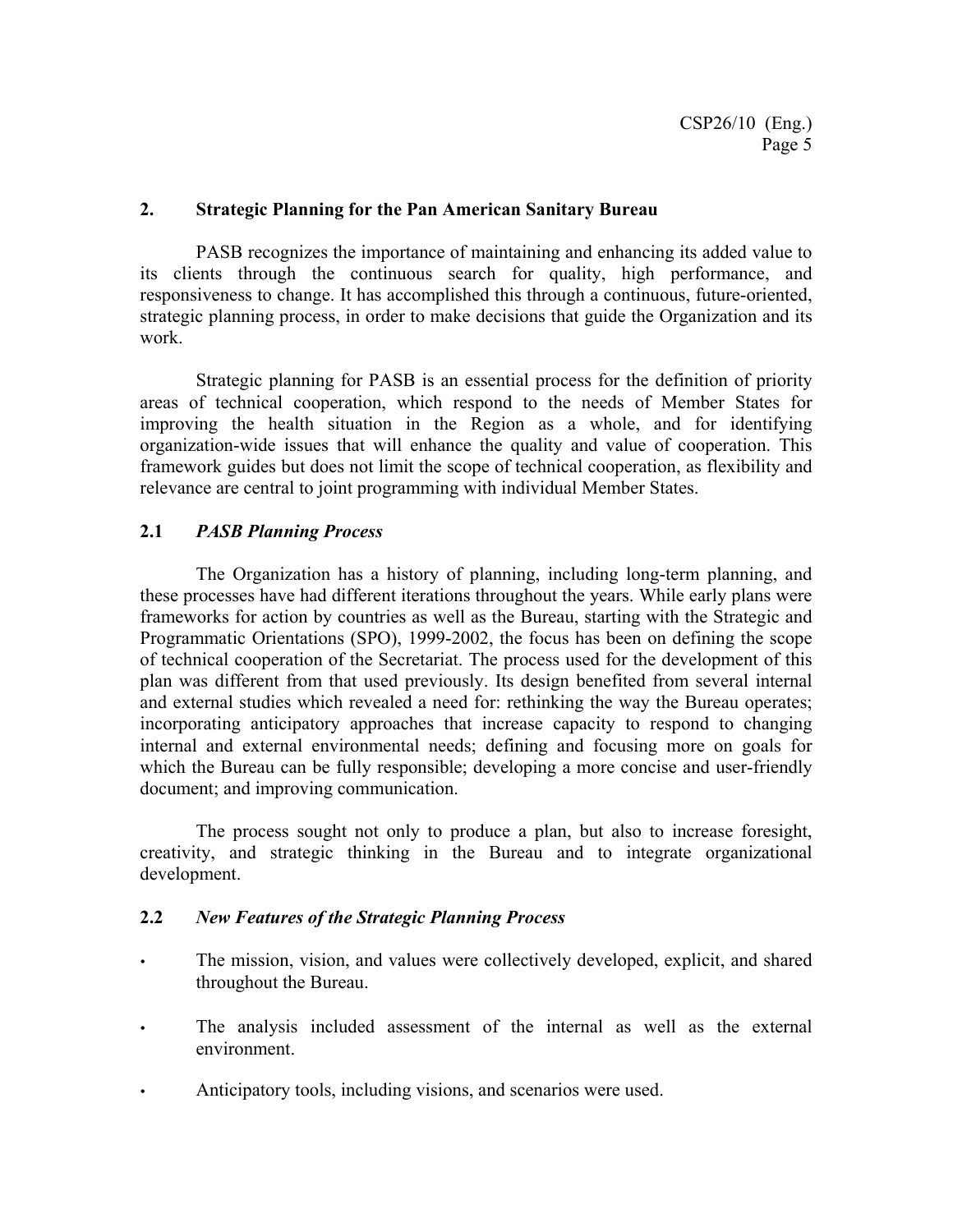#### **2. Strategic Planning for the Pan American Sanitary Bureau**

PASB recognizes the importance of maintaining and enhancing its added value to its clients through the continuous search for quality, high performance, and responsiveness to change. It has accomplished this through a continuous, future-oriented, strategic planning process, in order to make decisions that guide the Organization and its work.

Strategic planning for PASB is an essential process for the definition of priority areas of technical cooperation, which respond to the needs of Member States for improving the health situation in the Region as a whole, and for identifying organization-wide issues that will enhance the quality and value of cooperation. This framework guides but does not limit the scope of technical cooperation, as flexibility and relevance are central to joint programming with individual Member States.

### **2.1** *PASB Planning Process*

The Organization has a history of planning, including long-term planning, and these processes have had different iterations throughout the years. While early plans were frameworks for action by countries as well as the Bureau, starting with the Strategic and Programmatic Orientations (SPO), 1999-2002, the focus has been on defining the scope of technical cooperation of the Secretariat. The process used for the development of this plan was different from that used previously. Its design benefited from several internal and external studies which revealed a need for: rethinking the way the Bureau operates; incorporating anticipatory approaches that increase capacity to respond to changing internal and external environmental needs; defining and focusing more on goals for which the Bureau can be fully responsible; developing a more concise and user-friendly document; and improving communication.

The process sought not only to produce a plan, but also to increase foresight, creativity, and strategic thinking in the Bureau and to integrate organizational development.

#### **2.2** *New Features of the Strategic Planning Process*

- The mission, vision, and values were collectively developed, explicit, and shared throughout the Bureau.
- The analysis included assessment of the internal as well as the external environment.
- Anticipatory tools, including visions, and scenarios were used.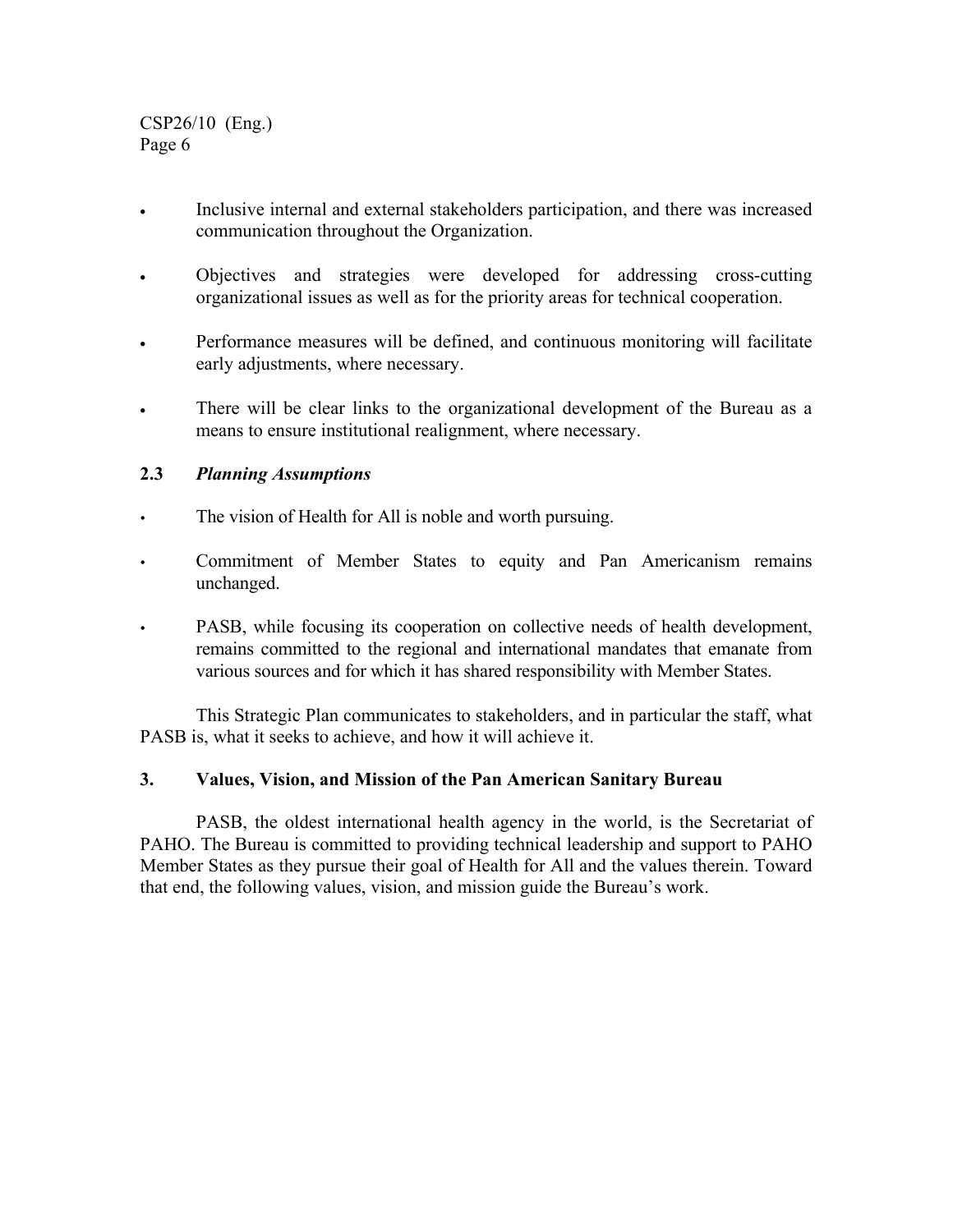- Inclusive internal and external stakeholders participation, and there was increased communication throughout the Organization.
- Objectives and strategies were developed for addressing cross-cutting organizational issues as well as for the priority areas for technical cooperation.
- Performance measures will be defined, and continuous monitoring will facilitate early adjustments, where necessary.
- There will be clear links to the organizational development of the Bureau as a means to ensure institutional realignment, where necessary.

#### **2.3** *Planning Assumptions*

- The vision of Health for All is noble and worth pursuing.
- Commitment of Member States to equity and Pan Americanism remains unchanged.
- <sup>y</sup> PASB, while focusing its cooperation on collective needs of health development, remains committed to the regional and international mandates that emanate from various sources and for which it has shared responsibility with Member States.

This Strategic Plan communicates to stakeholders, and in particular the staff, what PASB is, what it seeks to achieve, and how it will achieve it.

#### **3. Values, Vision, and Mission of the Pan American Sanitary Bureau**

PASB, the oldest international health agency in the world, is the Secretariat of PAHO. The Bureau is committed to providing technical leadership and support to PAHO Member States as they pursue their goal of Health for All and the values therein. Toward that end, the following values, vision, and mission guide the Bureau's work.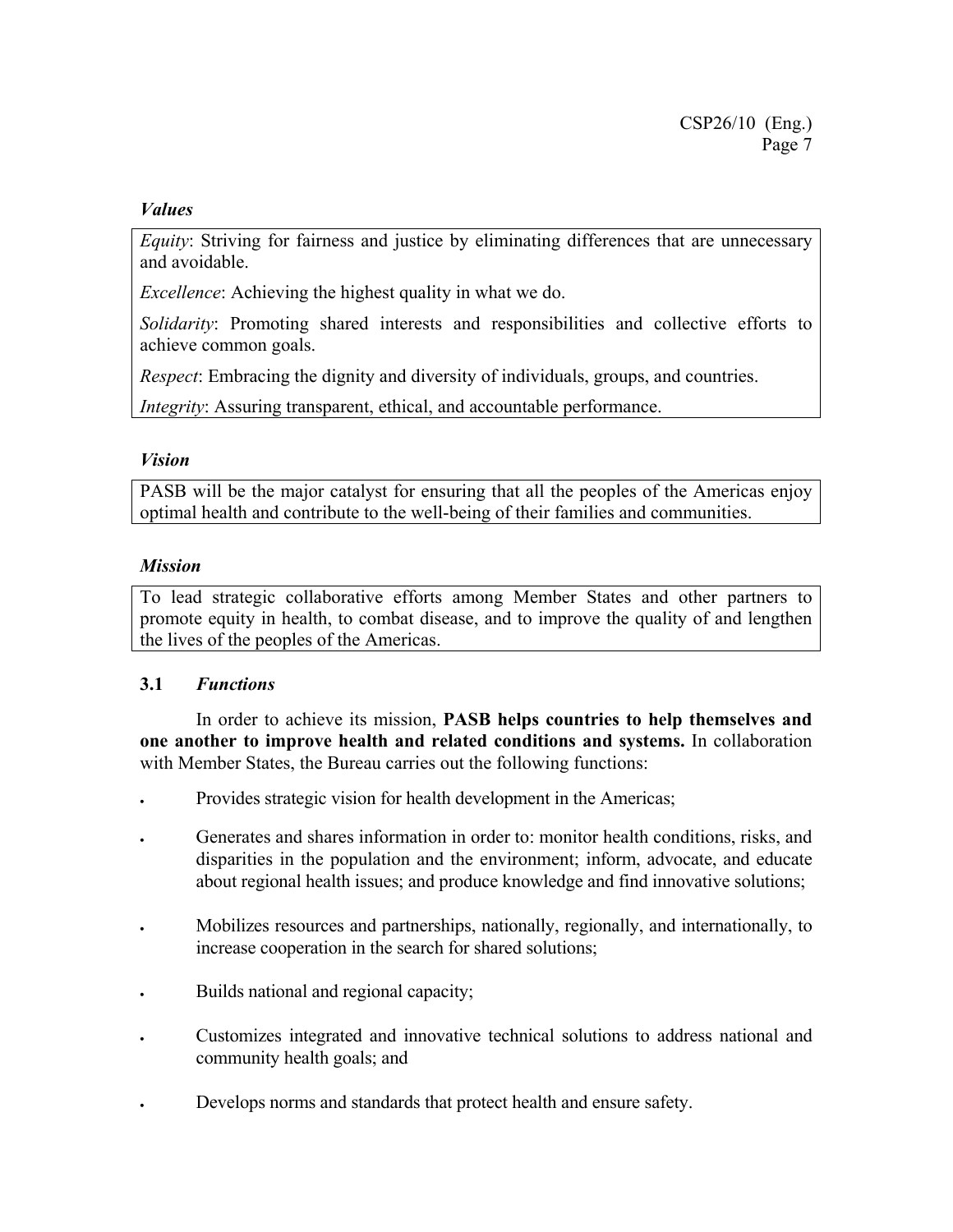#### *Values*

*Equity*: Striving for fairness and justice by eliminating differences that are unnecessary and avoidable.

*Excellence*: Achieving the highest quality in what we do.

*Solidarity*: Promoting shared interests and responsibilities and collective efforts to achieve common goals.

*Respect*: Embracing the dignity and diversity of individuals, groups, and countries.

*Integrity*: Assuring transparent, ethical, and accountable performance.

#### *Vision*

PASB will be the major catalyst for ensuring that all the peoples of the Americas enjoy optimal health and contribute to the well-being of their families and communities.

#### *Mission*

To lead strategic collaborative efforts among Member States and other partners to promote equity in health, to combat disease, and to improve the quality of and lengthen the lives of the peoples of the Americas.

### **3.1** *Functions*

 In order to achieve its mission, **PASB helps countries to help themselves and one another to improve health and related conditions and systems.** In collaboration with Member States, the Bureau carries out the following functions:

- Provides strategic vision for health development in the Americas;
- Generates and shares information in order to: monitor health conditions, risks, and disparities in the population and the environment; inform, advocate, and educate about regional health issues; and produce knowledge and find innovative solutions;
- Mobilizes resources and partnerships, nationally, regionally, and internationally, to increase cooperation in the search for shared solutions;
- Builds national and regional capacity;
- Customizes integrated and innovative technical solutions to address national and community health goals; and
- Develops norms and standards that protect health and ensure safety.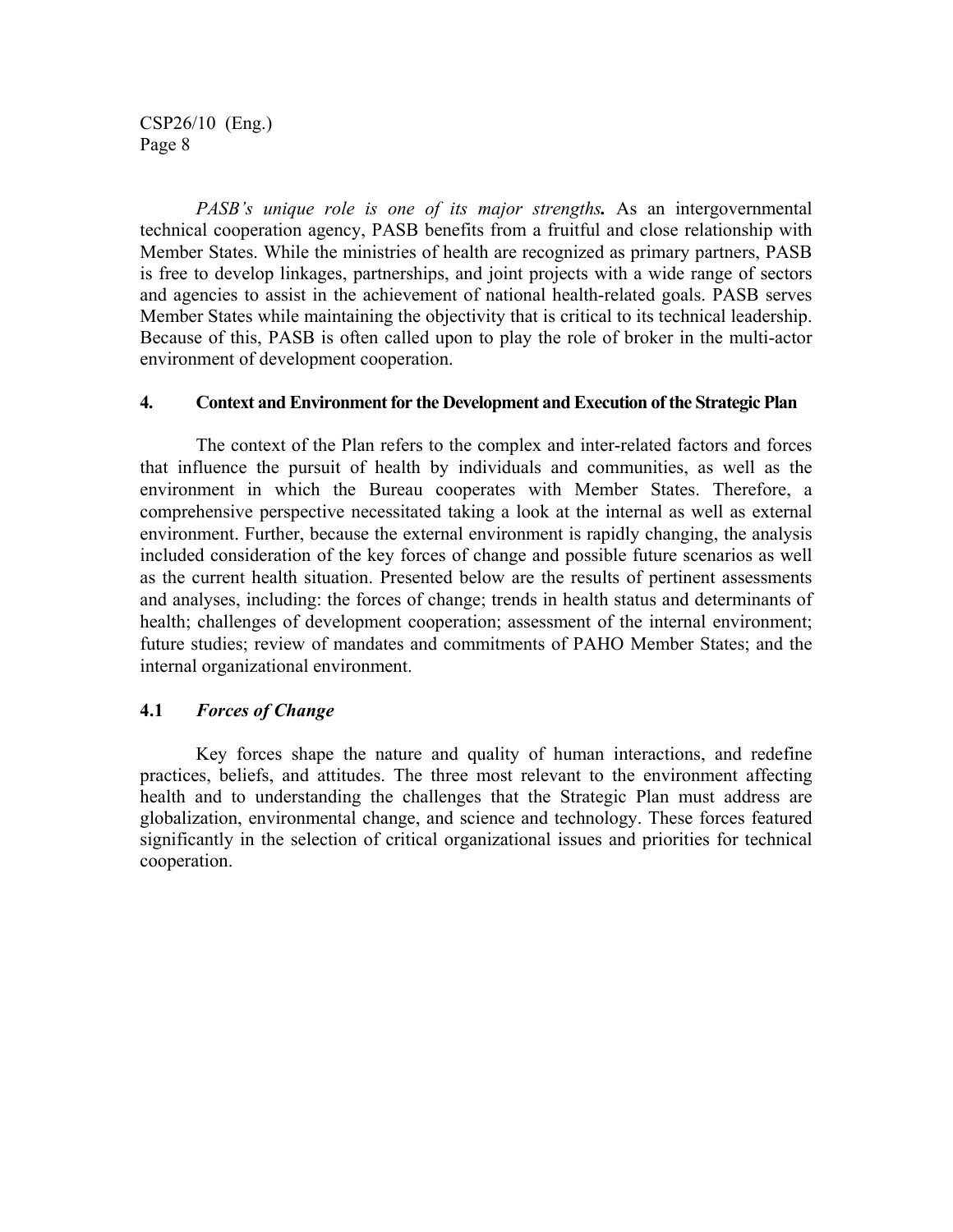*PASB's unique role is one of its major strengths.* As an intergovernmental technical cooperation agency, PASB benefits from a fruitful and close relationship with Member States. While the ministries of health are recognized as primary partners, PASB is free to develop linkages, partnerships, and joint projects with a wide range of sectors and agencies to assist in the achievement of national health-related goals. PASB serves Member States while maintaining the objectivity that is critical to its technical leadership. Because of this, PASB is often called upon to play the role of broker in the multi-actor environment of development cooperation.

#### **4. Context and Environment for the Development and Execution of the Strategic Plan**

The context of the Plan refers to the complex and inter-related factors and forces that influence the pursuit of health by individuals and communities, as well as the environment in which the Bureau cooperates with Member States. Therefore, a comprehensive perspective necessitated taking a look at the internal as well as external environment. Further, because the external environment is rapidly changing, the analysis included consideration of the key forces of change and possible future scenarios as well as the current health situation. Presented below are the results of pertinent assessments and analyses, including: the forces of change; trends in health status and determinants of health; challenges of development cooperation; assessment of the internal environment; future studies; review of mandates and commitments of PAHO Member States; and the internal organizational environment.

#### **4.1** *Forces of Change*

Key forces shape the nature and quality of human interactions, and redefine practices, beliefs, and attitudes. The three most relevant to the environment affecting health and to understanding the challenges that the Strategic Plan must address are globalization, environmental change, and science and technology. These forces featured significantly in the selection of critical organizational issues and priorities for technical cooperation.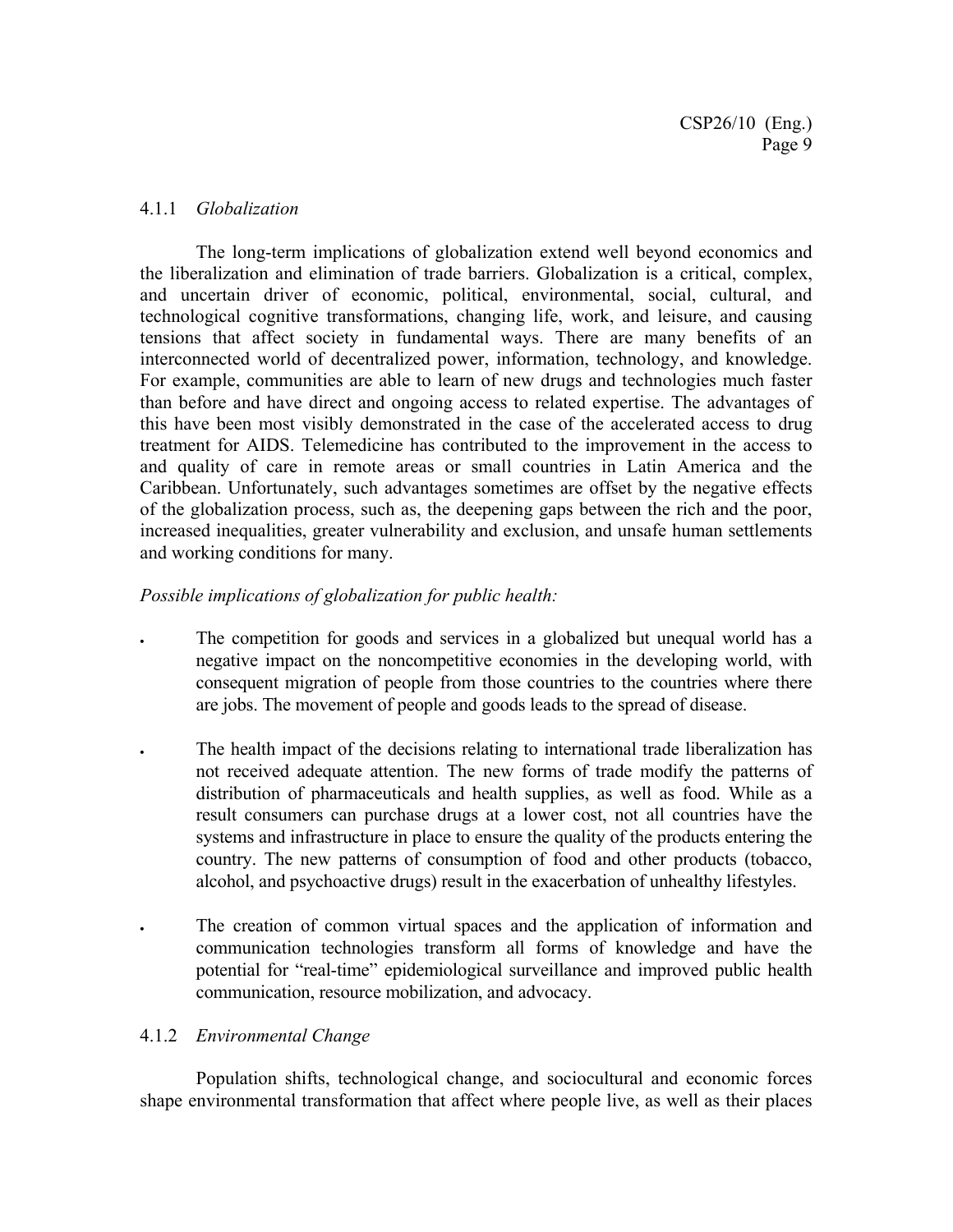#### 4.1.1 *Globalization*

The long-term implications of globalization extend well beyond economics and the liberalization and elimination of trade barriers. Globalization is a critical, complex, and uncertain driver of economic, political, environmental, social, cultural, and technological cognitive transformations, changing life, work, and leisure, and causing tensions that affect society in fundamental ways. There are many benefits of an interconnected world of decentralized power, information, technology, and knowledge. For example, communities are able to learn of new drugs and technologies much faster than before and have direct and ongoing access to related expertise. The advantages of this have been most visibly demonstrated in the case of the accelerated access to drug treatment for AIDS. Telemedicine has contributed to the improvement in the access to and quality of care in remote areas or small countries in Latin America and the Caribbean. Unfortunately, such advantages sometimes are offset by the negative effects of the globalization process, such as, the deepening gaps between the rich and the poor, increased inequalities, greater vulnerability and exclusion, and unsafe human settlements and working conditions for many.

### *Possible implications of globalization for public health:*

- The competition for goods and services in a globalized but unequal world has a negative impact on the noncompetitive economies in the developing world, with consequent migration of people from those countries to the countries where there are jobs. The movement of people and goods leads to the spread of disease.
- The health impact of the decisions relating to international trade liberalization has not received adequate attention. The new forms of trade modify the patterns of distribution of pharmaceuticals and health supplies, as well as food. While as a result consumers can purchase drugs at a lower cost, not all countries have the systems and infrastructure in place to ensure the quality of the products entering the country. The new patterns of consumption of food and other products (tobacco, alcohol, and psychoactive drugs) result in the exacerbation of unhealthy lifestyles.
	- The creation of common virtual spaces and the application of information and communication technologies transform all forms of knowledge and have the potential for "real-time" epidemiological surveillance and improved public health communication, resource mobilization, and advocacy.

### 4.1.2 *Environmental Change*

Population shifts, technological change, and sociocultural and economic forces shape environmental transformation that affect where people live, as well as their places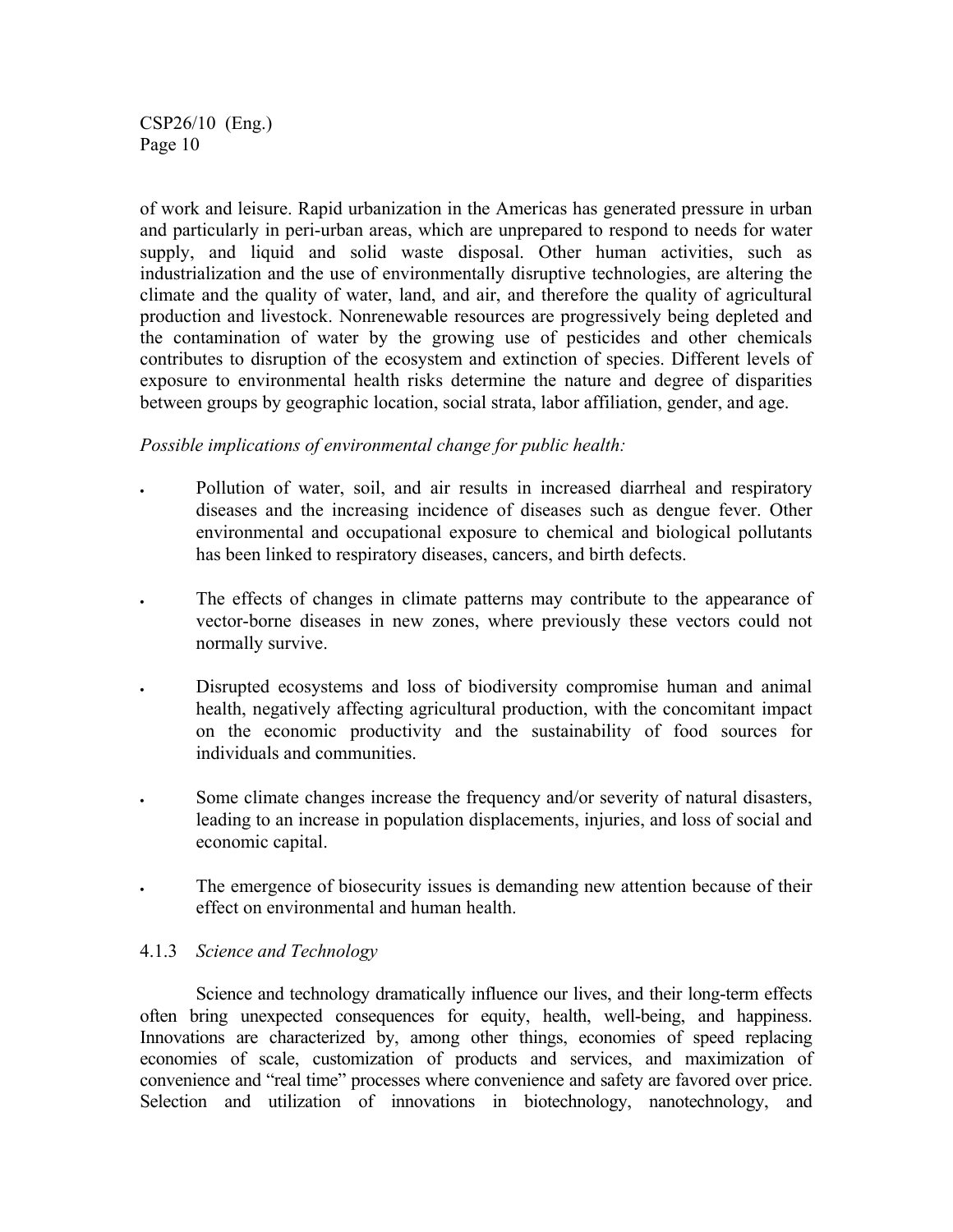of work and leisure. Rapid urbanization in the Americas has generated pressure in urban and particularly in peri-urban areas, which are unprepared to respond to needs for water supply, and liquid and solid waste disposal. Other human activities, such as industrialization and the use of environmentally disruptive technologies, are altering the climate and the quality of water, land, and air, and therefore the quality of agricultural production and livestock. Nonrenewable resources are progressively being depleted and the contamination of water by the growing use of pesticides and other chemicals contributes to disruption of the ecosystem and extinction of species. Different levels of exposure to environmental health risks determine the nature and degree of disparities between groups by geographic location, social strata, labor affiliation, gender, and age.

#### *Possible implications of environmental change for public health:*

- Pollution of water, soil, and air results in increased diarrheal and respiratory diseases and the increasing incidence of diseases such as dengue fever. Other environmental and occupational exposure to chemical and biological pollutants has been linked to respiratory diseases, cancers, and birth defects.
- The effects of changes in climate patterns may contribute to the appearance of vector-borne diseases in new zones, where previously these vectors could not normally survive.
- Disrupted ecosystems and loss of biodiversity compromise human and animal health, negatively affecting agricultural production, with the concomitant impact on the economic productivity and the sustainability of food sources for individuals and communities.
- Some climate changes increase the frequency and/or severity of natural disasters, leading to an increase in population displacements, injuries, and loss of social and economic capital.
- The emergence of biosecurity issues is demanding new attention because of their effect on environmental and human health.

#### 4.1.3 *Science and Technology*

Science and technology dramatically influence our lives, and their long-term effects often bring unexpected consequences for equity, health, well-being, and happiness. Innovations are characterized by, among other things, economies of speed replacing economies of scale, customization of products and services, and maximization of convenience and "real time" processes where convenience and safety are favored over price. Selection and utilization of innovations in biotechnology, nanotechnology, and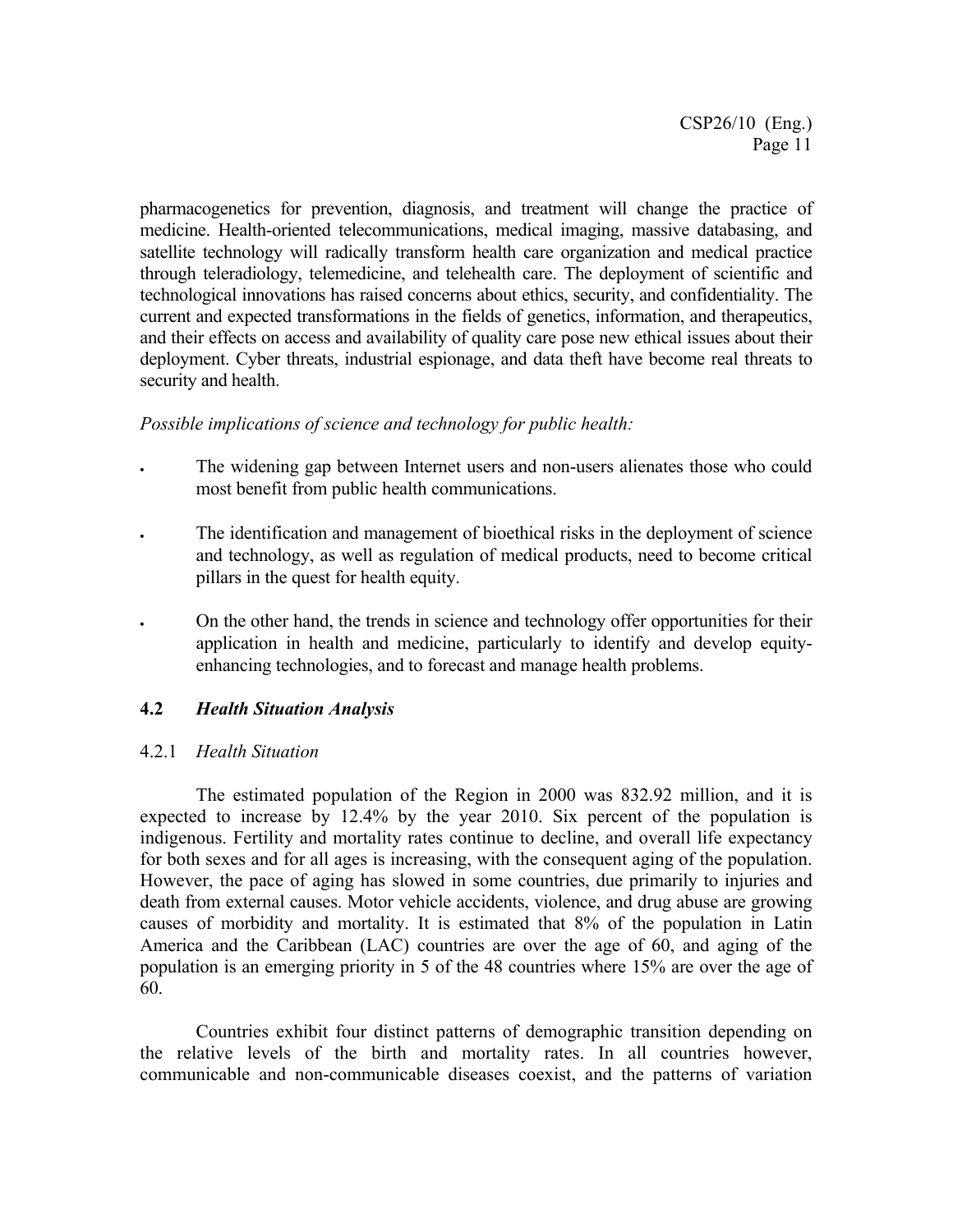pharmacogenetics for prevention, diagnosis, and treatment will change the practice of medicine. Health-oriented telecommunications, medical imaging, massive databasing, and satellite technology will radically transform health care organization and medical practice through teleradiology, telemedicine, and telehealth care. The deployment of scientific and technological innovations has raised concerns about ethics, security, and confidentiality. The current and expected transformations in the fields of genetics, information, and therapeutics, and their effects on access and availability of quality care pose new ethical issues about their deployment. Cyber threats, industrial espionage, and data theft have become real threats to security and health.

#### *Possible implications of science and technology for public health:*

- The widening gap between Internet users and non-users alienates those who could most benefit from public health communications.
- The identification and management of bioethical risks in the deployment of science and technology, as well as regulation of medical products, need to become critical pillars in the quest for health equity.
- On the other hand, the trends in science and technology offer opportunities for their application in health and medicine, particularly to identify and develop equityenhancing technologies, and to forecast and manage health problems.

### **4.2** *Health Situation Analysis*

#### 4.2.1 *Health Situation*

The estimated population of the Region in 2000 was 832.92 million, and it is expected to increase by 12.4% by the year 2010. Six percent of the population is indigenous. Fertility and mortality rates continue to decline, and overall life expectancy for both sexes and for all ages is increasing, with the consequent aging of the population. However, the pace of aging has slowed in some countries, due primarily to injuries and death from external causes. Motor vehicle accidents, violence, and drug abuse are growing causes of morbidity and mortality. It is estimated that 8% of the population in Latin America and the Caribbean (LAC) countries are over the age of 60, and aging of the population is an emerging priority in 5 of the 48 countries where 15% are over the age of 60.

Countries exhibit four distinct patterns of demographic transition depending on the relative levels of the birth and mortality rates. In all countries however, communicable and non-communicable diseases coexist, and the patterns of variation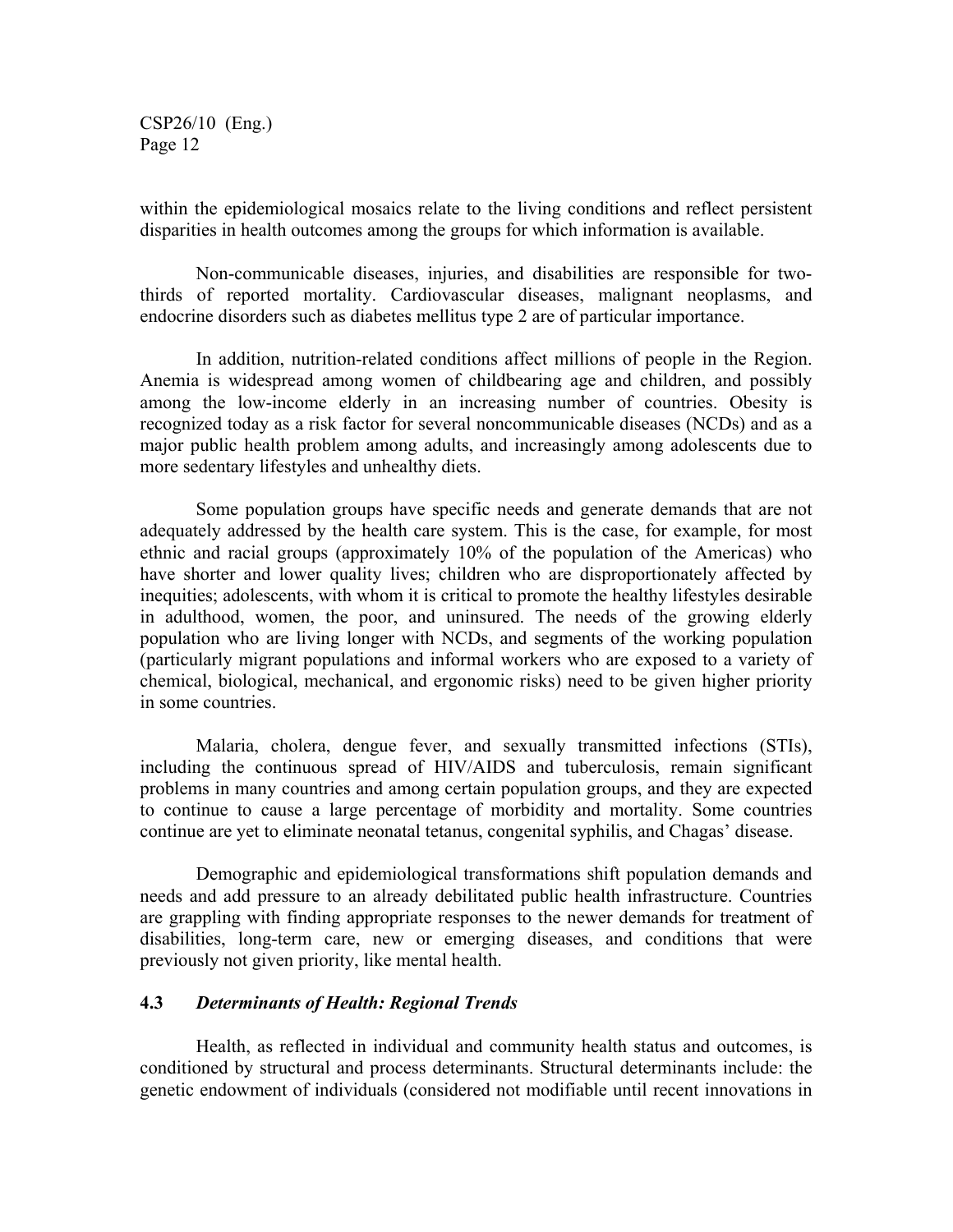within the epidemiological mosaics relate to the living conditions and reflect persistent disparities in health outcomes among the groups for which information is available.

Non-communicable diseases, injuries, and disabilities are responsible for twothirds of reported mortality. Cardiovascular diseases, malignant neoplasms, and endocrine disorders such as diabetes mellitus type 2 are of particular importance.

In addition, nutrition-related conditions affect millions of people in the Region. Anemia is widespread among women of childbearing age and children, and possibly among the low-income elderly in an increasing number of countries. Obesity is recognized today as a risk factor for several noncommunicable diseases (NCDs) and as a major public health problem among adults, and increasingly among adolescents due to more sedentary lifestyles and unhealthy diets.

Some population groups have specific needs and generate demands that are not adequately addressed by the health care system. This is the case, for example, for most ethnic and racial groups (approximately 10% of the population of the Americas) who have shorter and lower quality lives; children who are disproportionately affected by inequities; adolescents, with whom it is critical to promote the healthy lifestyles desirable in adulthood, women, the poor, and uninsured. The needs of the growing elderly population who are living longer with NCDs, and segments of the working population (particularly migrant populations and informal workers who are exposed to a variety of chemical, biological, mechanical, and ergonomic risks) need to be given higher priority in some countries.

Malaria, cholera, dengue fever, and sexually transmitted infections (STIs), including the continuous spread of HIV/AIDS and tuberculosis, remain significant problems in many countries and among certain population groups, and they are expected to continue to cause a large percentage of morbidity and mortality. Some countries continue are yet to eliminate neonatal tetanus, congenital syphilis, and Chagas' disease.

Demographic and epidemiological transformations shift population demands and needs and add pressure to an already debilitated public health infrastructure. Countries are grappling with finding appropriate responses to the newer demands for treatment of disabilities, long-term care, new or emerging diseases, and conditions that were previously not given priority, like mental health.

#### **4.3** *Determinants of Health: Regional Trends*

Health, as reflected in individual and community health status and outcomes, is conditioned by structural and process determinants. Structural determinants include: the genetic endowment of individuals (considered not modifiable until recent innovations in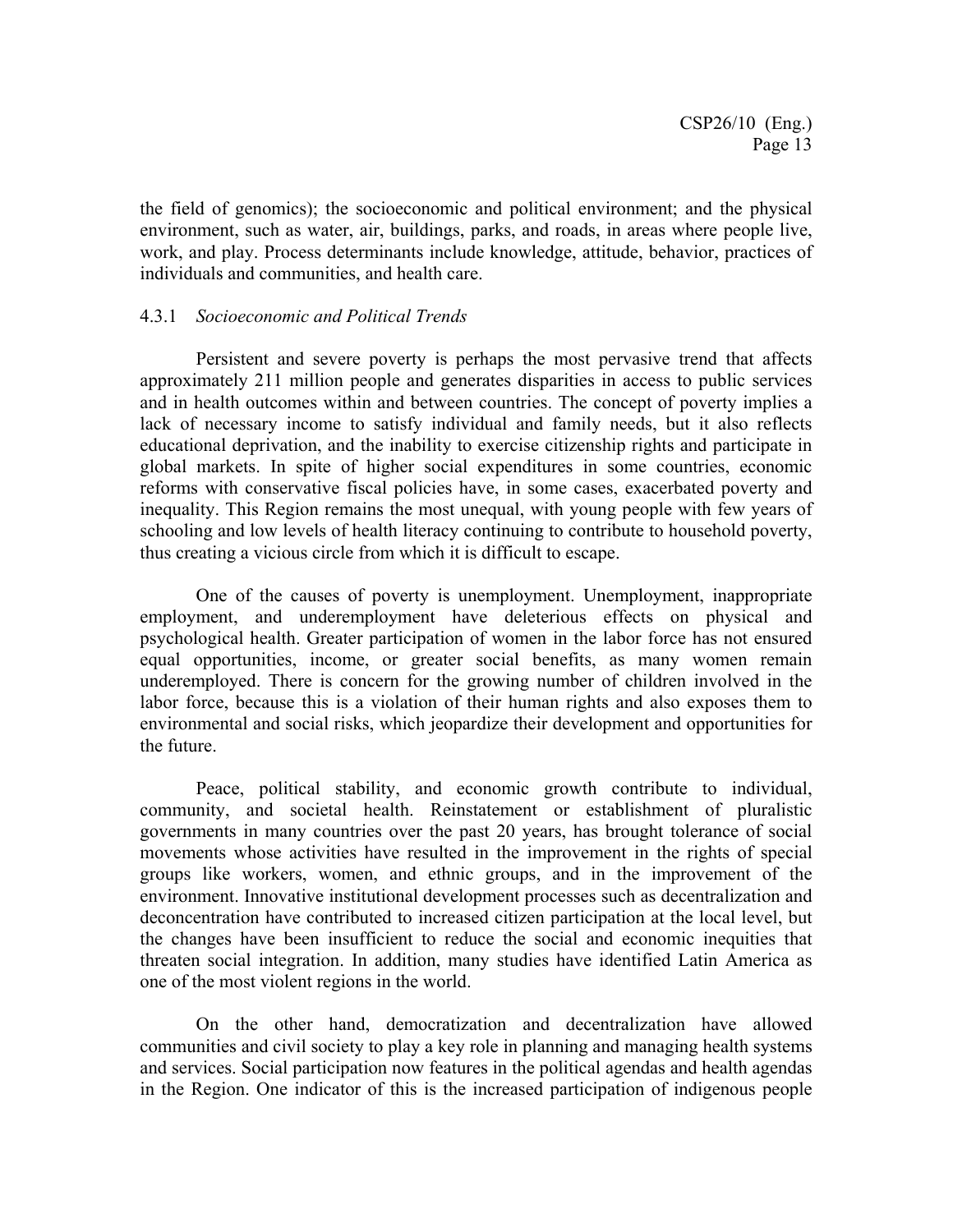the field of genomics); the socioeconomic and political environment; and the physical environment, such as water, air, buildings, parks, and roads, in areas where people live, work, and play. Process determinants include knowledge, attitude, behavior, practices of individuals and communities, and health care.

#### 4.3.1 *Socioeconomic and Political Trends*

Persistent and severe poverty is perhaps the most pervasive trend that affects approximately 211 million people and generates disparities in access to public services and in health outcomes within and between countries. The concept of poverty implies a lack of necessary income to satisfy individual and family needs, but it also reflects educational deprivation, and the inability to exercise citizenship rights and participate in global markets. In spite of higher social expenditures in some countries, economic reforms with conservative fiscal policies have, in some cases, exacerbated poverty and inequality. This Region remains the most unequal, with young people with few years of schooling and low levels of health literacy continuing to contribute to household poverty, thus creating a vicious circle from which it is difficult to escape.

One of the causes of poverty is unemployment. Unemployment, inappropriate employment, and underemployment have deleterious effects on physical and psychological health. Greater participation of women in the labor force has not ensured equal opportunities, income, or greater social benefits, as many women remain underemployed. There is concern for the growing number of children involved in the labor force, because this is a violation of their human rights and also exposes them to environmental and social risks, which jeopardize their development and opportunities for the future.

Peace, political stability, and economic growth contribute to individual, community, and societal health. Reinstatement or establishment of pluralistic governments in many countries over the past 20 years, has brought tolerance of social movements whose activities have resulted in the improvement in the rights of special groups like workers, women, and ethnic groups, and in the improvement of the environment. Innovative institutional development processes such as decentralization and deconcentration have contributed to increased citizen participation at the local level, but the changes have been insufficient to reduce the social and economic inequities that threaten social integration. In addition, many studies have identified Latin America as one of the most violent regions in the world.

On the other hand, democratization and decentralization have allowed communities and civil society to play a key role in planning and managing health systems and services. Social participation now features in the political agendas and health agendas in the Region. One indicator of this is the increased participation of indigenous people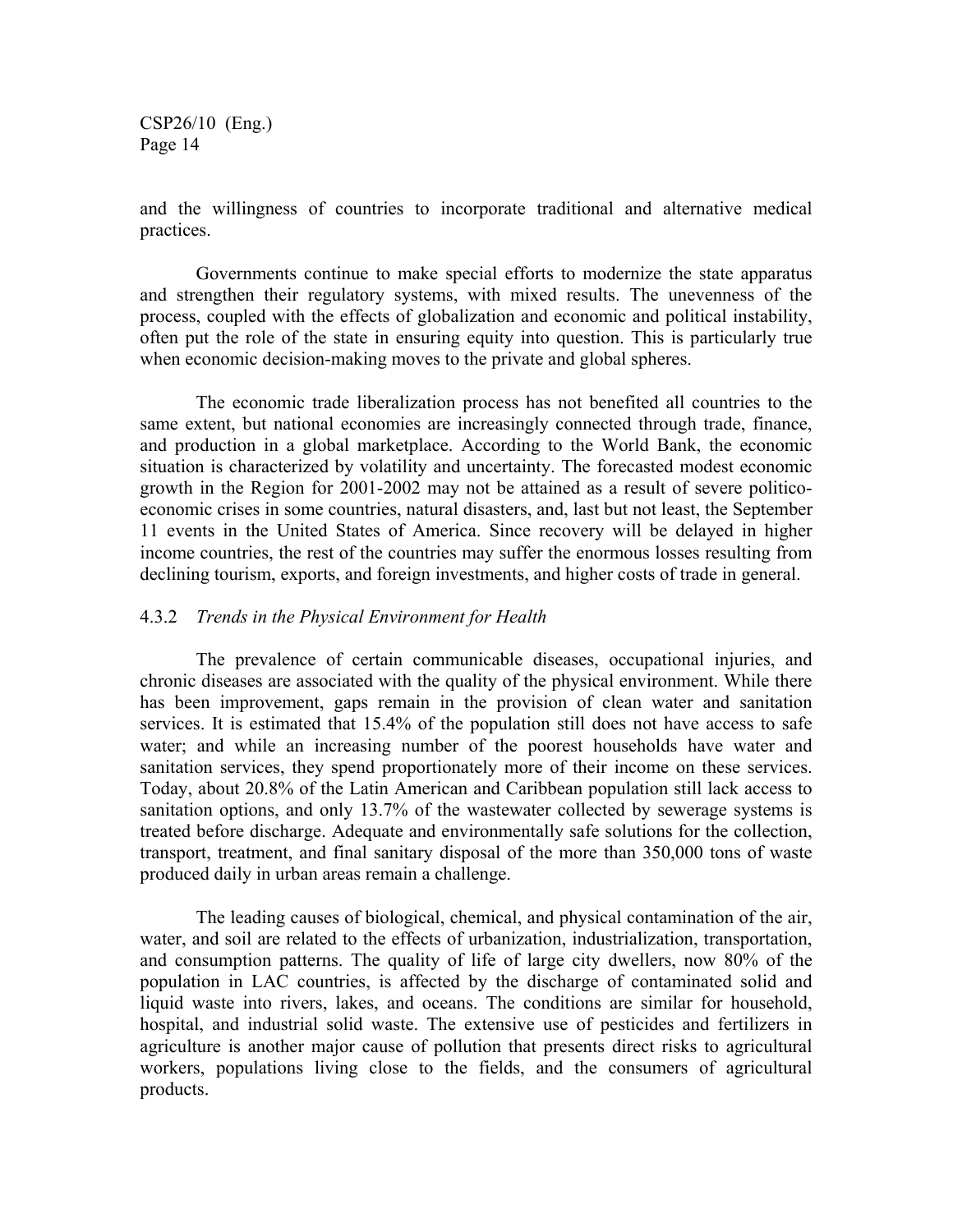and the willingness of countries to incorporate traditional and alternative medical practices.

Governments continue to make special efforts to modernize the state apparatus and strengthen their regulatory systems, with mixed results. The unevenness of the process, coupled with the effects of globalization and economic and political instability, often put the role of the state in ensuring equity into question. This is particularly true when economic decision-making moves to the private and global spheres.

The economic trade liberalization process has not benefited all countries to the same extent, but national economies are increasingly connected through trade, finance, and production in a global marketplace. According to the World Bank, the economic situation is characterized by volatility and uncertainty. The forecasted modest economic growth in the Region for 2001-2002 may not be attained as a result of severe politicoeconomic crises in some countries, natural disasters, and, last but not least, the September 11 events in the United States of America. Since recovery will be delayed in higher income countries, the rest of the countries may suffer the enormous losses resulting from declining tourism, exports, and foreign investments, and higher costs of trade in general.

#### 4.3.2 *Trends in the Physical Environment for Health*

The prevalence of certain communicable diseases, occupational injuries, and chronic diseases are associated with the quality of the physical environment. While there has been improvement, gaps remain in the provision of clean water and sanitation services. It is estimated that 15.4% of the population still does not have access to safe water; and while an increasing number of the poorest households have water and sanitation services, they spend proportionately more of their income on these services. Today, about 20.8% of the Latin American and Caribbean population still lack access to sanitation options, and only 13.7% of the wastewater collected by sewerage systems is treated before discharge. Adequate and environmentally safe solutions for the collection, transport, treatment, and final sanitary disposal of the more than 350,000 tons of waste produced daily in urban areas remain a challenge.

The leading causes of biological, chemical, and physical contamination of the air, water, and soil are related to the effects of urbanization, industrialization, transportation, and consumption patterns. The quality of life of large city dwellers, now 80% of the population in LAC countries, is affected by the discharge of contaminated solid and liquid waste into rivers, lakes, and oceans. The conditions are similar for household, hospital, and industrial solid waste. The extensive use of pesticides and fertilizers in agriculture is another major cause of pollution that presents direct risks to agricultural workers, populations living close to the fields, and the consumers of agricultural products.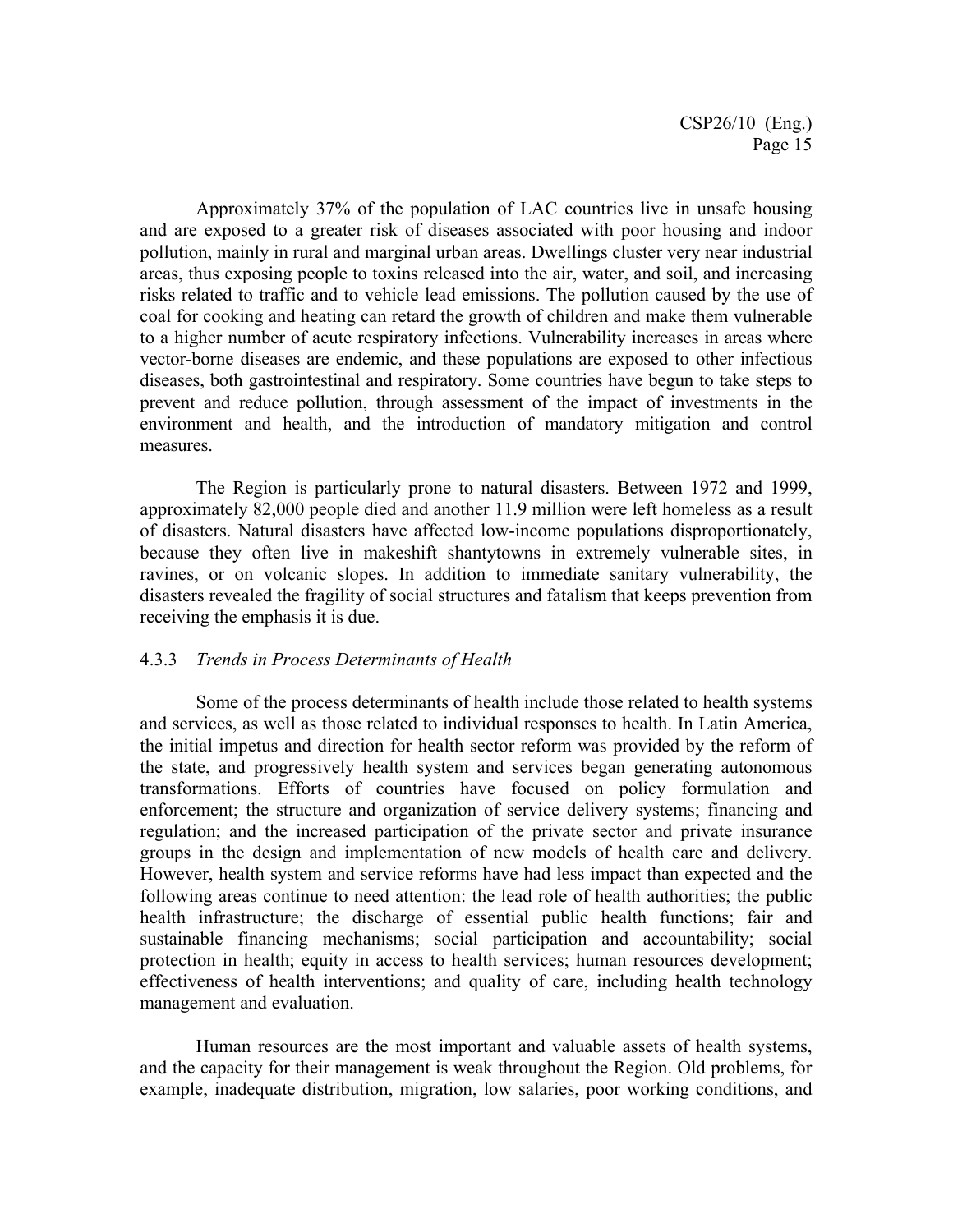Approximately 37% of the population of LAC countries live in unsafe housing and are exposed to a greater risk of diseases associated with poor housing and indoor pollution, mainly in rural and marginal urban areas. Dwellings cluster very near industrial areas, thus exposing people to toxins released into the air, water, and soil, and increasing risks related to traffic and to vehicle lead emissions. The pollution caused by the use of coal for cooking and heating can retard the growth of children and make them vulnerable to a higher number of acute respiratory infections. Vulnerability increases in areas where vector-borne diseases are endemic, and these populations are exposed to other infectious diseases, both gastrointestinal and respiratory. Some countries have begun to take steps to prevent and reduce pollution, through assessment of the impact of investments in the environment and health, and the introduction of mandatory mitigation and control measures.

The Region is particularly prone to natural disasters. Between 1972 and 1999, approximately 82,000 people died and another 11.9 million were left homeless as a result of disasters. Natural disasters have affected low-income populations disproportionately, because they often live in makeshift shantytowns in extremely vulnerable sites, in ravines, or on volcanic slopes. In addition to immediate sanitary vulnerability, the disasters revealed the fragility of social structures and fatalism that keeps prevention from receiving the emphasis it is due.

#### 4.3.3 *Trends in Process Determinants of Health*

Some of the process determinants of health include those related to health systems and services, as well as those related to individual responses to health. In Latin America, the initial impetus and direction for health sector reform was provided by the reform of the state, and progressively health system and services began generating autonomous transformations. Efforts of countries have focused on policy formulation and enforcement; the structure and organization of service delivery systems; financing and regulation; and the increased participation of the private sector and private insurance groups in the design and implementation of new models of health care and delivery. However, health system and service reforms have had less impact than expected and the following areas continue to need attention: the lead role of health authorities; the public health infrastructure; the discharge of essential public health functions; fair and sustainable financing mechanisms; social participation and accountability; social protection in health; equity in access to health services; human resources development; effectiveness of health interventions; and quality of care, including health technology management and evaluation.

Human resources are the most important and valuable assets of health systems, and the capacity for their management is weak throughout the Region. Old problems, for example, inadequate distribution, migration, low salaries, poor working conditions, and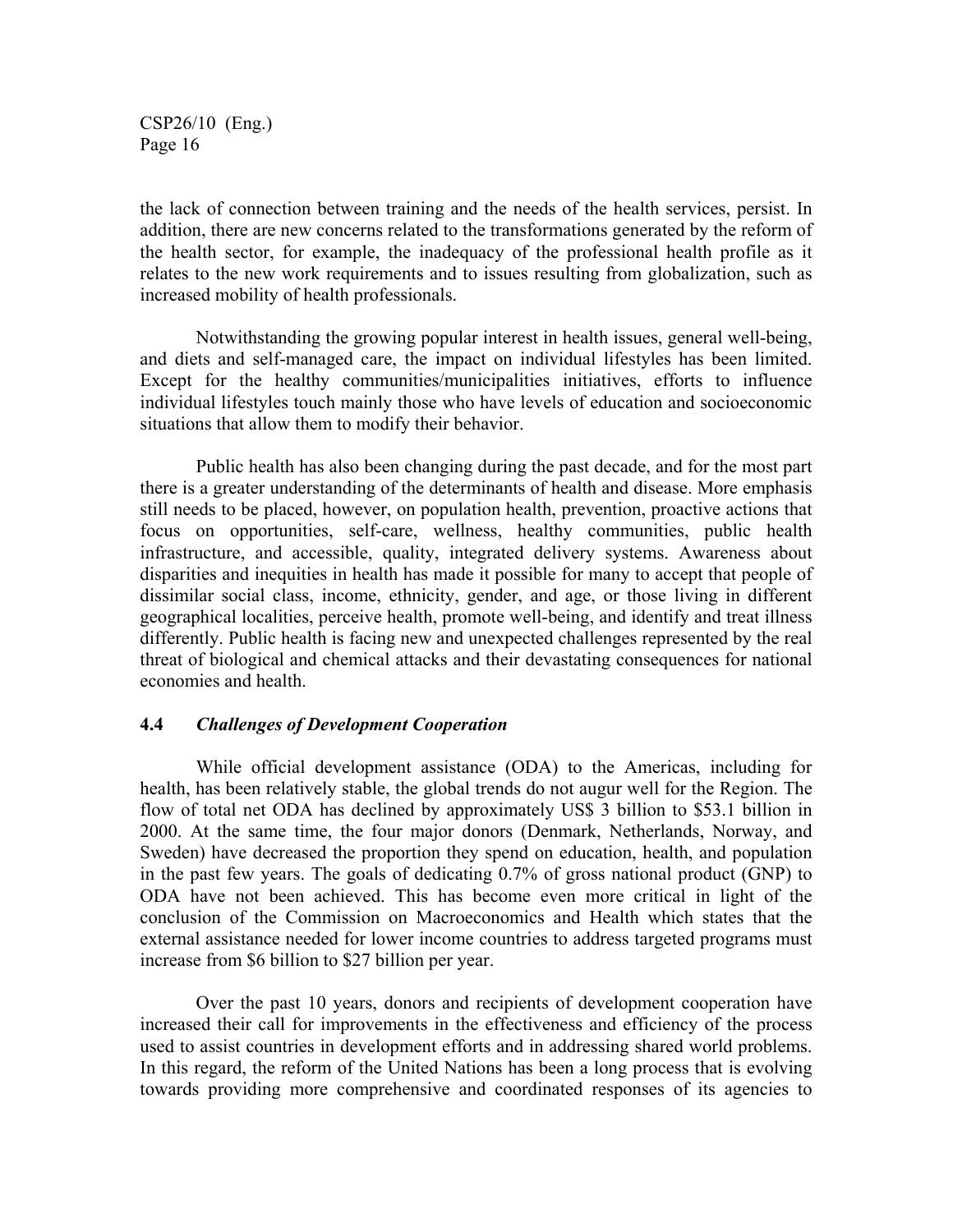the lack of connection between training and the needs of the health services, persist. In addition, there are new concerns related to the transformations generated by the reform of the health sector, for example, the inadequacy of the professional health profile as it relates to the new work requirements and to issues resulting from globalization, such as increased mobility of health professionals.

Notwithstanding the growing popular interest in health issues, general well-being, and diets and self-managed care, the impact on individual lifestyles has been limited. Except for the healthy communities/municipalities initiatives, efforts to influence individual lifestyles touch mainly those who have levels of education and socioeconomic situations that allow them to modify their behavior.

Public health has also been changing during the past decade, and for the most part there is a greater understanding of the determinants of health and disease. More emphasis still needs to be placed, however, on population health, prevention, proactive actions that focus on opportunities, self-care, wellness, healthy communities, public health infrastructure, and accessible, quality, integrated delivery systems. Awareness about disparities and inequities in health has made it possible for many to accept that people of dissimilar social class, income, ethnicity, gender, and age, or those living in different geographical localities, perceive health, promote well-being, and identify and treat illness differently. Public health is facing new and unexpected challenges represented by the real threat of biological and chemical attacks and their devastating consequences for national economies and health.

#### **4.4** *Challenges of Development Cooperation*

While official development assistance (ODA) to the Americas, including for health, has been relatively stable, the global trends do not augur well for the Region. The flow of total net ODA has declined by approximately US\$ 3 billion to \$53.1 billion in 2000. At the same time, the four major donors (Denmark, Netherlands, Norway, and Sweden) have decreased the proportion they spend on education, health, and population in the past few years. The goals of dedicating 0.7% of gross national product (GNP) to ODA have not been achieved. This has become even more critical in light of the conclusion of the Commission on Macroeconomics and Health which states that the external assistance needed for lower income countries to address targeted programs must increase from \$6 billion to \$27 billion per year.

Over the past 10 years, donors and recipients of development cooperation have increased their call for improvements in the effectiveness and efficiency of the process used to assist countries in development efforts and in addressing shared world problems. In this regard, the reform of the United Nations has been a long process that is evolving towards providing more comprehensive and coordinated responses of its agencies to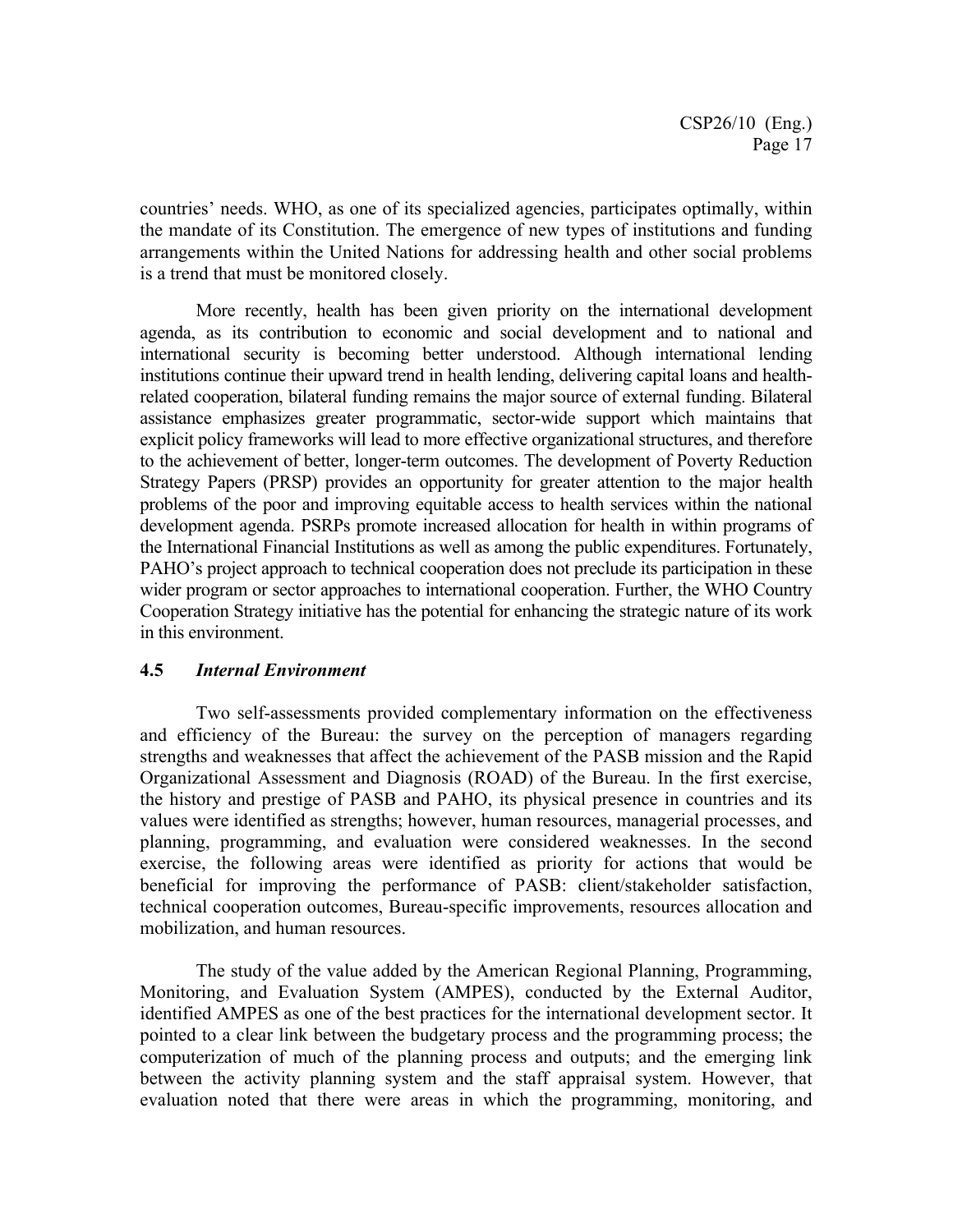countries' needs. WHO, as one of its specialized agencies, participates optimally, within the mandate of its Constitution. The emergence of new types of institutions and funding arrangements within the United Nations for addressing health and other social problems is a trend that must be monitored closely.

More recently, health has been given priority on the international development agenda, as its contribution to economic and social development and to national and international security is becoming better understood. Although international lending institutions continue their upward trend in health lending, delivering capital loans and healthrelated cooperation, bilateral funding remains the major source of external funding. Bilateral assistance emphasizes greater programmatic, sector-wide support which maintains that explicit policy frameworks will lead to more effective organizational structures, and therefore to the achievement of better, longer-term outcomes. The development of Poverty Reduction Strategy Papers (PRSP) provides an opportunity for greater attention to the major health problems of the poor and improving equitable access to health services within the national development agenda. PSRPs promote increased allocation for health in within programs of the International Financial Institutions as well as among the public expenditures. Fortunately, PAHO's project approach to technical cooperation does not preclude its participation in these wider program or sector approaches to international cooperation. Further, the WHO Country Cooperation Strategy initiative has the potential for enhancing the strategic nature of its work in this environment.

#### **4.5** *Internal Environment*

Two self-assessments provided complementary information on the effectiveness and efficiency of the Bureau: the survey on the perception of managers regarding strengths and weaknesses that affect the achievement of the PASB mission and the Rapid Organizational Assessment and Diagnosis (ROAD) of the Bureau. In the first exercise, the history and prestige of PASB and PAHO, its physical presence in countries and its values were identified as strengths; however, human resources, managerial processes, and planning, programming, and evaluation were considered weaknesses. In the second exercise, the following areas were identified as priority for actions that would be beneficial for improving the performance of PASB: client/stakeholder satisfaction, technical cooperation outcomes, Bureau-specific improvements, resources allocation and mobilization, and human resources.

The study of the value added by the American Regional Planning, Programming, Monitoring, and Evaluation System (AMPES), conducted by the External Auditor, identified AMPES as one of the best practices for the international development sector. It pointed to a clear link between the budgetary process and the programming process; the computerization of much of the planning process and outputs; and the emerging link between the activity planning system and the staff appraisal system. However, that evaluation noted that there were areas in which the programming, monitoring, and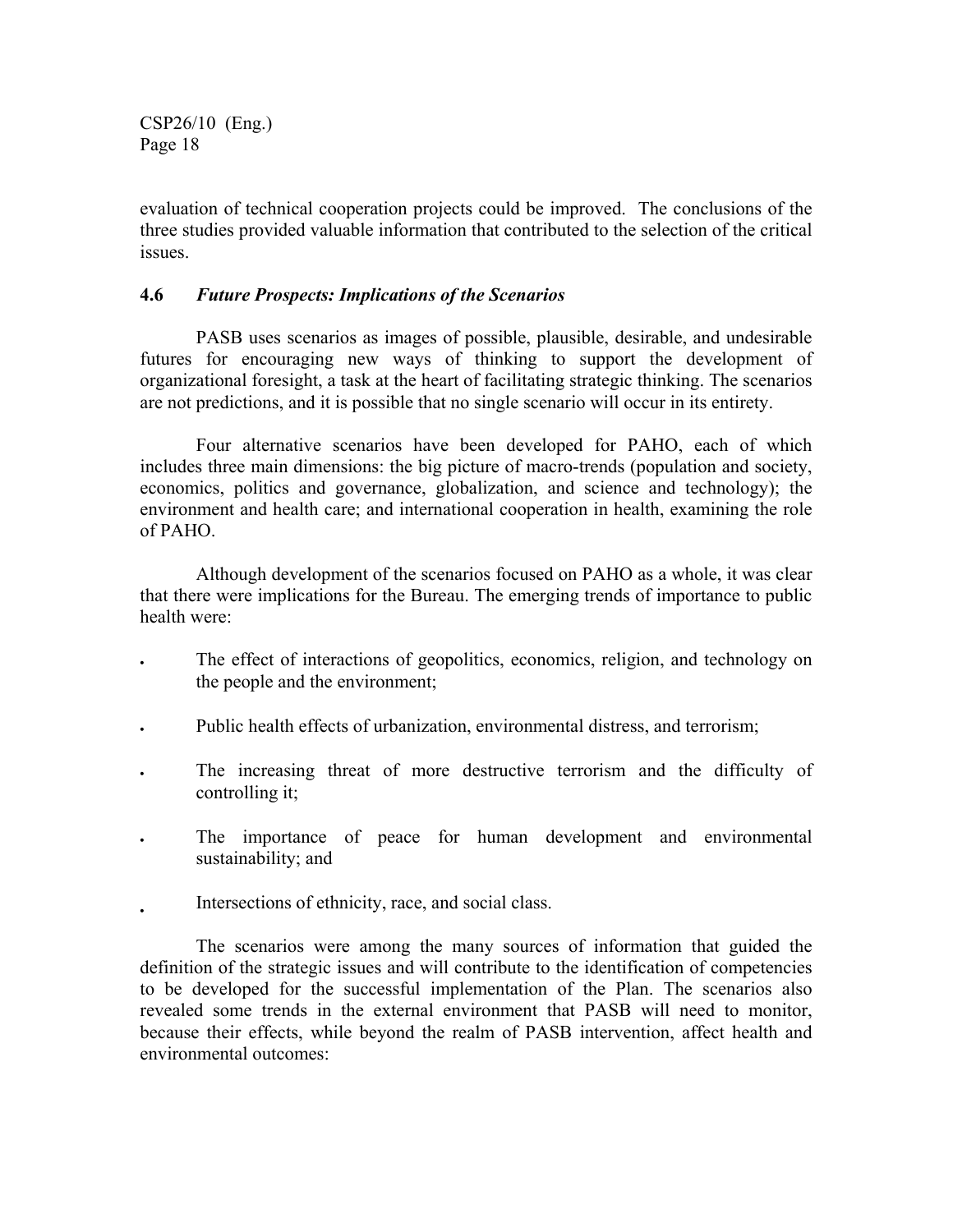evaluation of technical cooperation projects could be improved. The conclusions of the three studies provided valuable information that contributed to the selection of the critical **issues** 

#### **4.6** *Future Prospects: Implications of the Scenarios*

PASB uses scenarios as images of possible, plausible, desirable, and undesirable futures for encouraging new ways of thinking to support the development of organizational foresight, a task at the heart of facilitating strategic thinking. The scenarios are not predictions, and it is possible that no single scenario will occur in its entirety.

Four alternative scenarios have been developed for PAHO, each of which includes three main dimensions: the big picture of macro-trends (population and society, economics, politics and governance, globalization, and science and technology); the environment and health care; and international cooperation in health, examining the role of PAHO.

Although development of the scenarios focused on PAHO as a whole, it was clear that there were implications for the Bureau. The emerging trends of importance to public health were:

- The effect of interactions of geopolitics, economics, religion, and technology on the people and the environment;
- Public health effects of urbanization, environmental distress, and terrorism;
- The increasing threat of more destructive terrorism and the difficulty of controlling it;
- The importance of peace for human development and environmental sustainability; and
- Intersections of ethnicity, race, and social class.

The scenarios were among the many sources of information that guided the definition of the strategic issues and will contribute to the identification of competencies to be developed for the successful implementation of the Plan. The scenarios also revealed some trends in the external environment that PASB will need to monitor, because their effects, while beyond the realm of PASB intervention, affect health and environmental outcomes: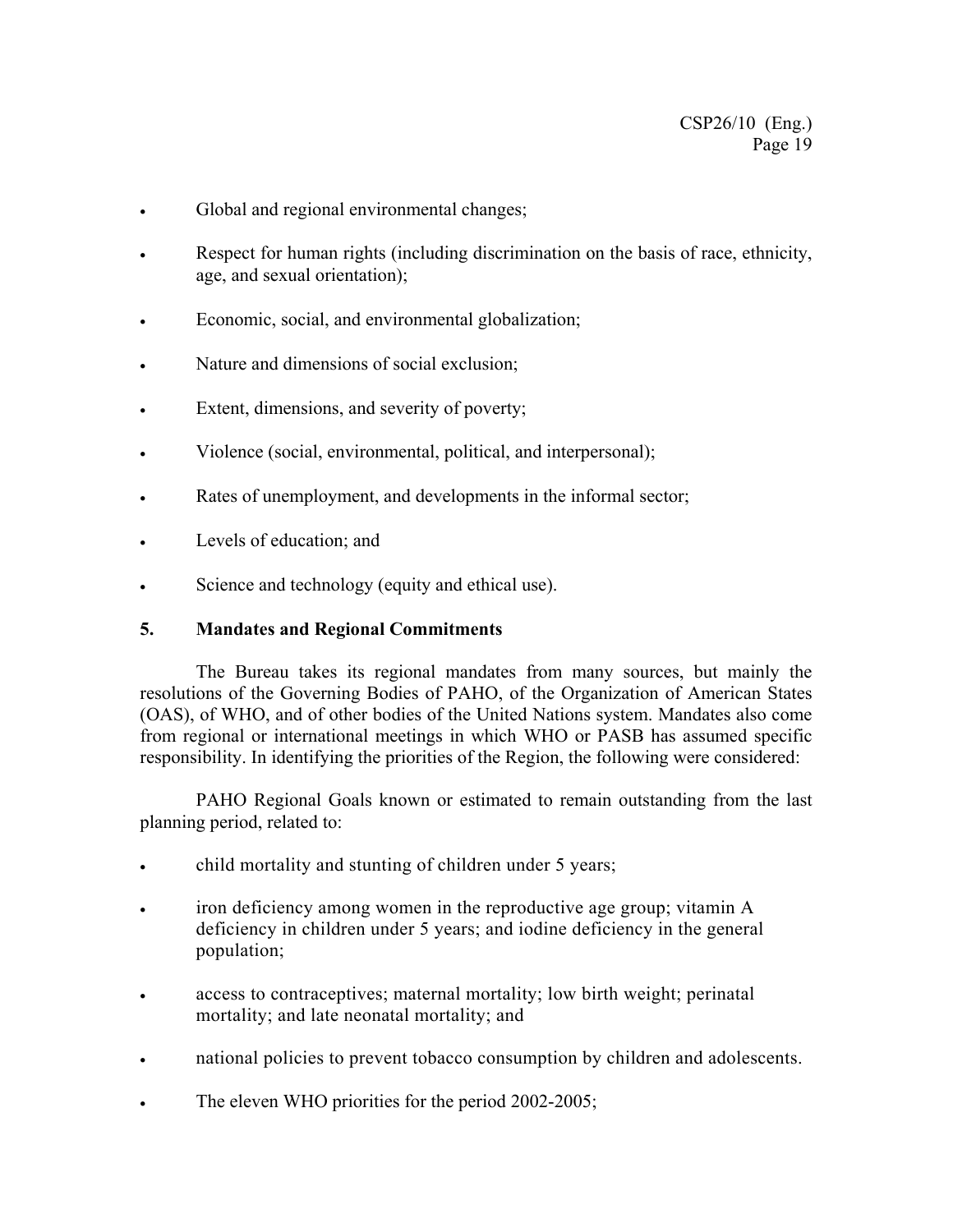- Global and regional environmental changes;
- Respect for human rights (including discrimination on the basis of race, ethnicity, age, and sexual orientation);
- Economic, social, and environmental globalization;
- Nature and dimensions of social exclusion;
- Extent, dimensions, and severity of poverty;
- Violence (social, environmental, political, and interpersonal);
- Rates of unemployment, and developments in the informal sector;
- Levels of education; and
- Science and technology (equity and ethical use).

#### **5. Mandates and Regional Commitments**

The Bureau takes its regional mandates from many sources, but mainly the resolutions of the Governing Bodies of PAHO, of the Organization of American States (OAS), of WHO, and of other bodies of the United Nations system. Mandates also come from regional or international meetings in which WHO or PASB has assumed specific responsibility. In identifying the priorities of the Region, the following were considered:

PAHO Regional Goals known or estimated to remain outstanding from the last planning period, related to:

- child mortality and stunting of children under 5 years;
- iron deficiency among women in the reproductive age group; vitamin A deficiency in children under 5 years; and iodine deficiency in the general population;
- access to contraceptives; maternal mortality; low birth weight; perinatal mortality; and late neonatal mortality; and
- national policies to prevent tobacco consumption by children and adolescents.
- The eleven WHO priorities for the period 2002-2005;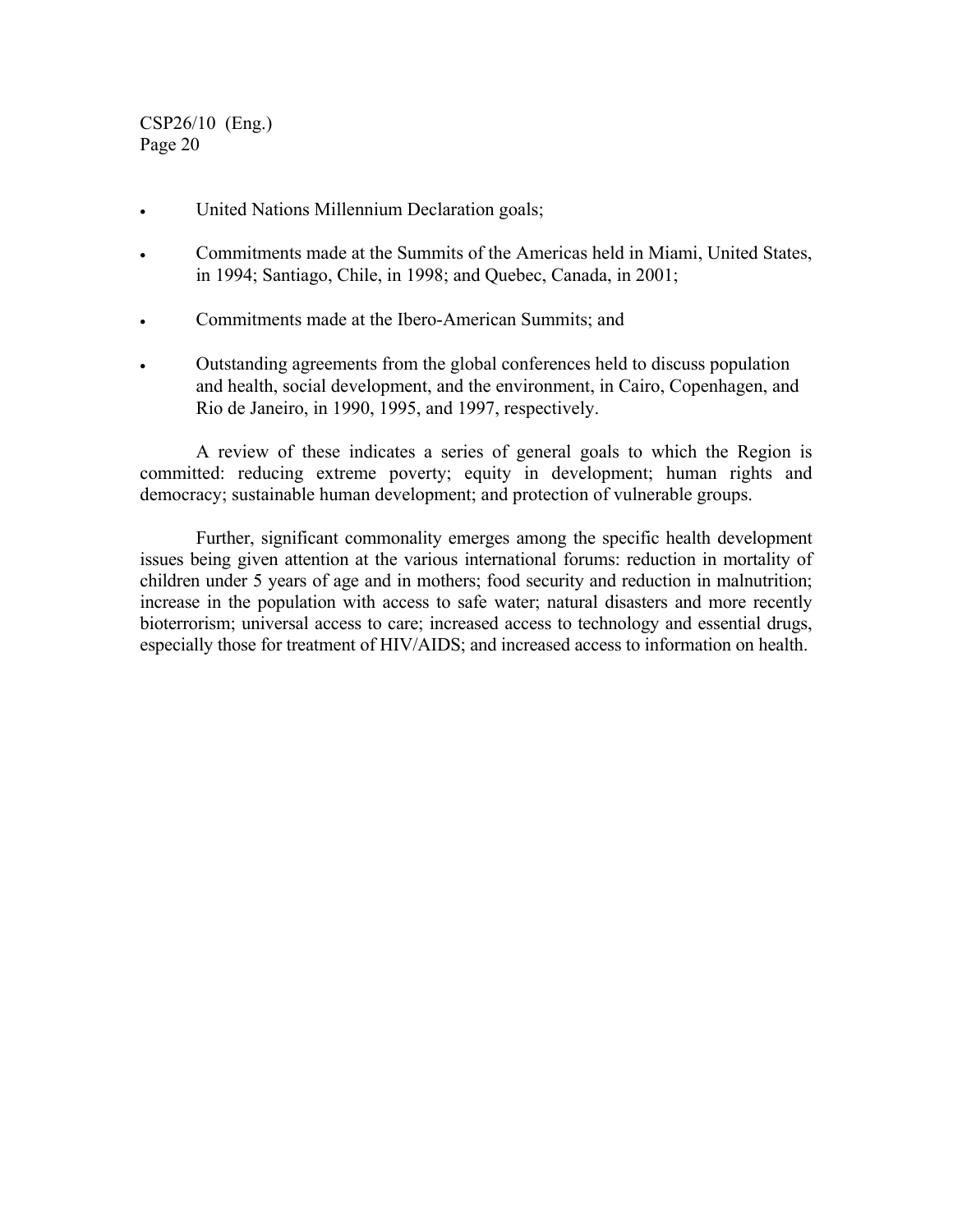- United Nations Millennium Declaration goals;
- Commitments made at the Summits of the Americas held in Miami, United States, in 1994; Santiago, Chile, in 1998; and Quebec, Canada, in 2001;
- Commitments made at the Ibero-American Summits; and
- Outstanding agreements from the global conferences held to discuss population and health, social development, and the environment, in Cairo, Copenhagen, and Rio de Janeiro, in 1990, 1995, and 1997, respectively.

A review of these indicates a series of general goals to which the Region is committed: reducing extreme poverty; equity in development; human rights and democracy; sustainable human development; and protection of vulnerable groups.

Further, significant commonality emerges among the specific health development issues being given attention at the various international forums: reduction in mortality of children under 5 years of age and in mothers; food security and reduction in malnutrition; increase in the population with access to safe water; natural disasters and more recently bioterrorism; universal access to care; increased access to technology and essential drugs, especially those for treatment of HIV/AIDS; and increased access to information on health.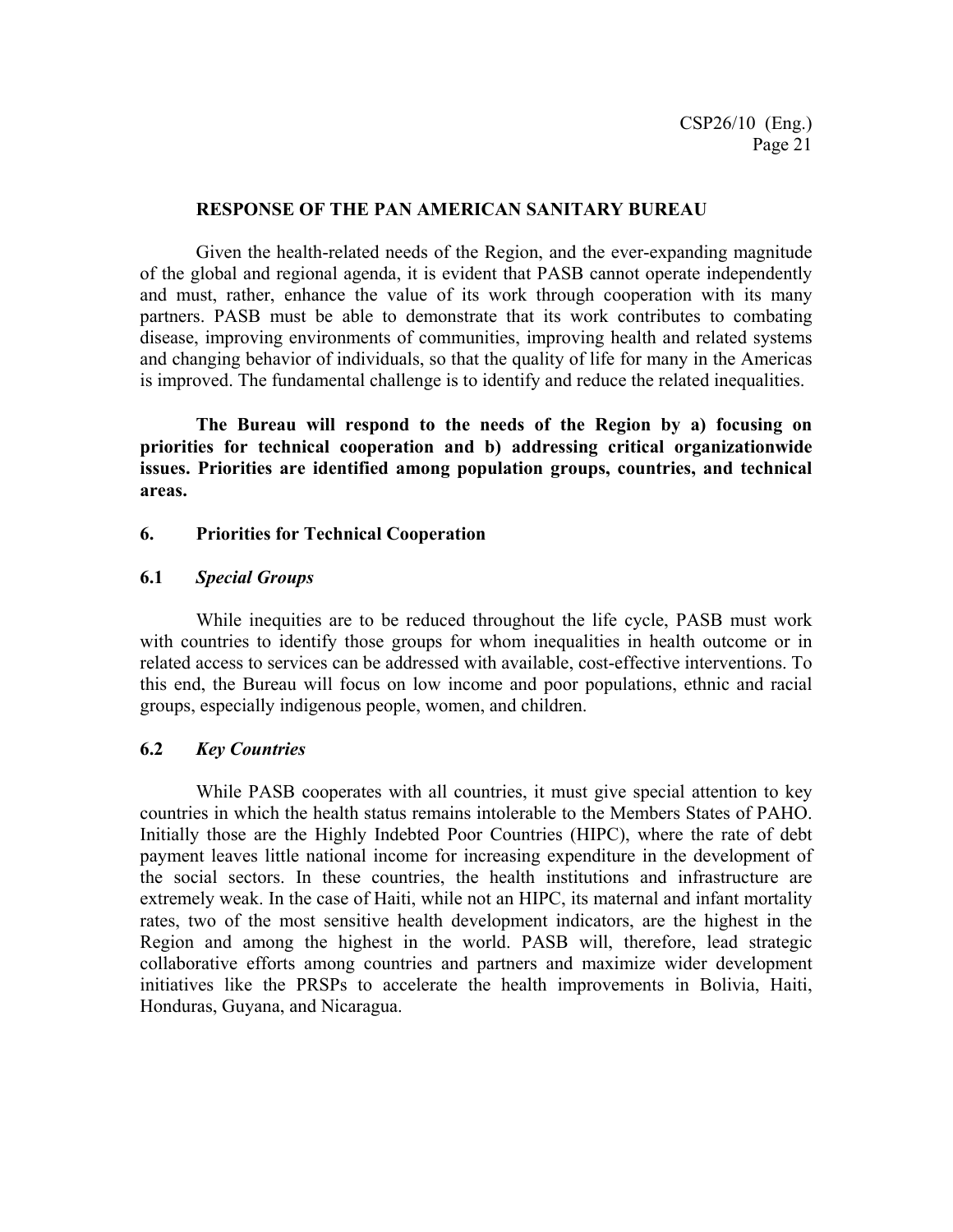#### **RESPONSE OF THE PAN AMERICAN SANITARY BUREAU**

Given the health-related needs of the Region, and the ever-expanding magnitude of the global and regional agenda, it is evident that PASB cannot operate independently and must, rather, enhance the value of its work through cooperation with its many partners. PASB must be able to demonstrate that its work contributes to combating disease, improving environments of communities, improving health and related systems and changing behavior of individuals, so that the quality of life for many in the Americas is improved. The fundamental challenge is to identify and reduce the related inequalities.

**The Bureau will respond to the needs of the Region by a) focusing on priorities for technical cooperation and b) addressing critical organizationwide issues. Priorities are identified among population groups, countries, and technical areas.** 

#### **6. Priorities for Technical Cooperation**

#### **6.1** *Special Groups*

While inequities are to be reduced throughout the life cycle, PASB must work with countries to identify those groups for whom inequalities in health outcome or in related access to services can be addressed with available, cost-effective interventions. To this end, the Bureau will focus on low income and poor populations, ethnic and racial groups, especially indigenous people, women, and children.

#### **6.2** *Key Countries*

While PASB cooperates with all countries, it must give special attention to key countries in which the health status remains intolerable to the Members States of PAHO. Initially those are the Highly Indebted Poor Countries (HIPC), where the rate of debt payment leaves little national income for increasing expenditure in the development of the social sectors. In these countries, the health institutions and infrastructure are extremely weak. In the case of Haiti, while not an HIPC, its maternal and infant mortality rates, two of the most sensitive health development indicators, are the highest in the Region and among the highest in the world. PASB will, therefore, lead strategic collaborative efforts among countries and partners and maximize wider development initiatives like the PRSPs to accelerate the health improvements in Bolivia, Haiti, Honduras, Guyana, and Nicaragua.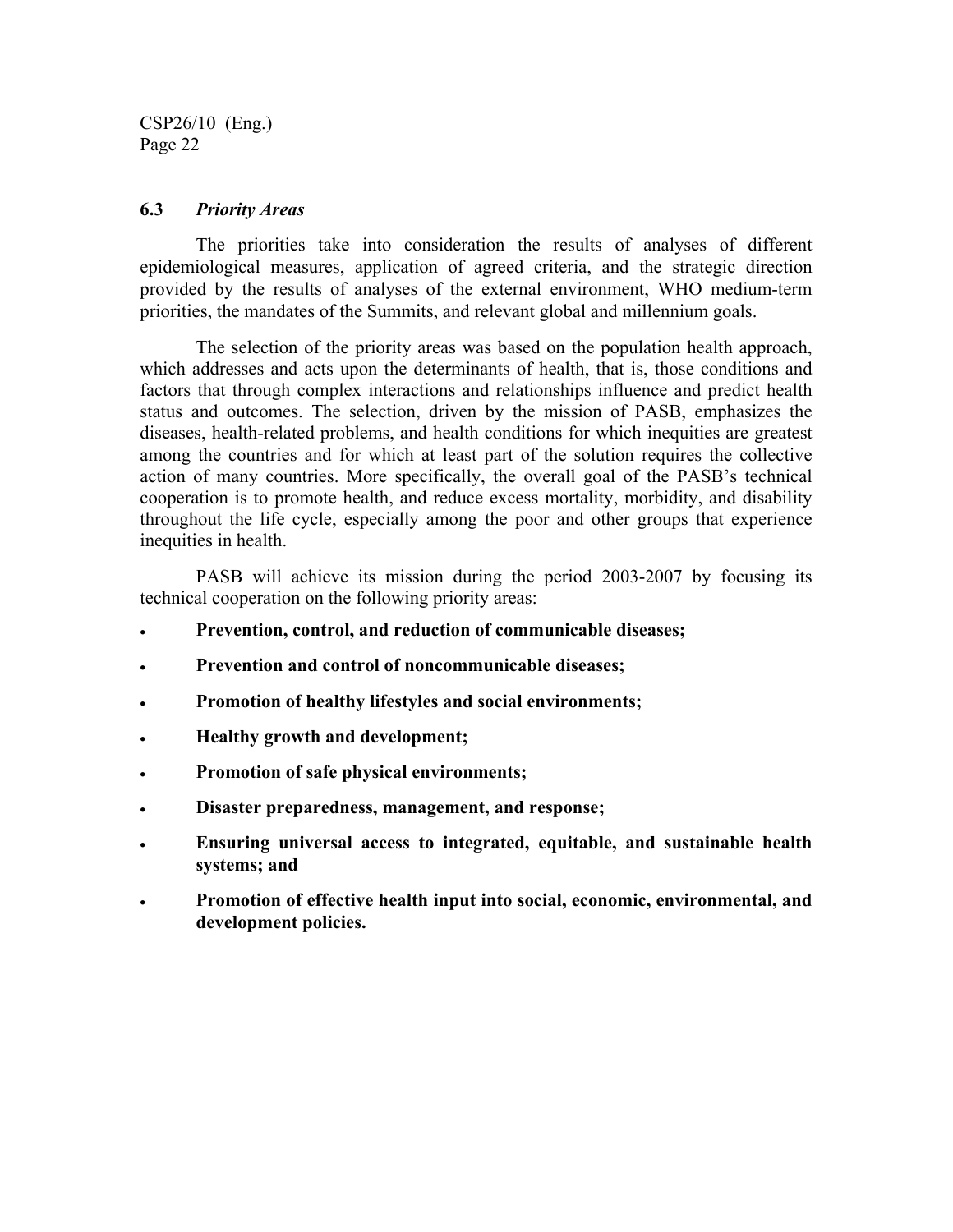#### **6.3** *Priority Areas*

The priorities take into consideration the results of analyses of different epidemiological measures, application of agreed criteria, and the strategic direction provided by the results of analyses of the external environment, WHO medium-term priorities, the mandates of the Summits, and relevant global and millennium goals.

The selection of the priority areas was based on the population health approach, which addresses and acts upon the determinants of health, that is, those conditions and factors that through complex interactions and relationships influence and predict health status and outcomes. The selection, driven by the mission of PASB, emphasizes the diseases, health-related problems, and health conditions for which inequities are greatest among the countries and for which at least part of the solution requires the collective action of many countries. More specifically, the overall goal of the PASB's technical cooperation is to promote health, and reduce excess mortality, morbidity, and disability throughout the life cycle, especially among the poor and other groups that experience inequities in health.

PASB will achieve its mission during the period 2003-2007 by focusing its technical cooperation on the following priority areas:

- **Prevention, control, and reduction of communicable diseases;**
- **Prevention and control of noncommunicable diseases;**
- **Promotion of healthy lifestyles and social environments;**
- **Healthy growth and development;**
- **Promotion of safe physical environments;**
- **Disaster preparedness, management, and response;**
- **Ensuring universal access to integrated, equitable, and sustainable health systems; and**
- **Promotion of effective health input into social, economic, environmental, and development policies.**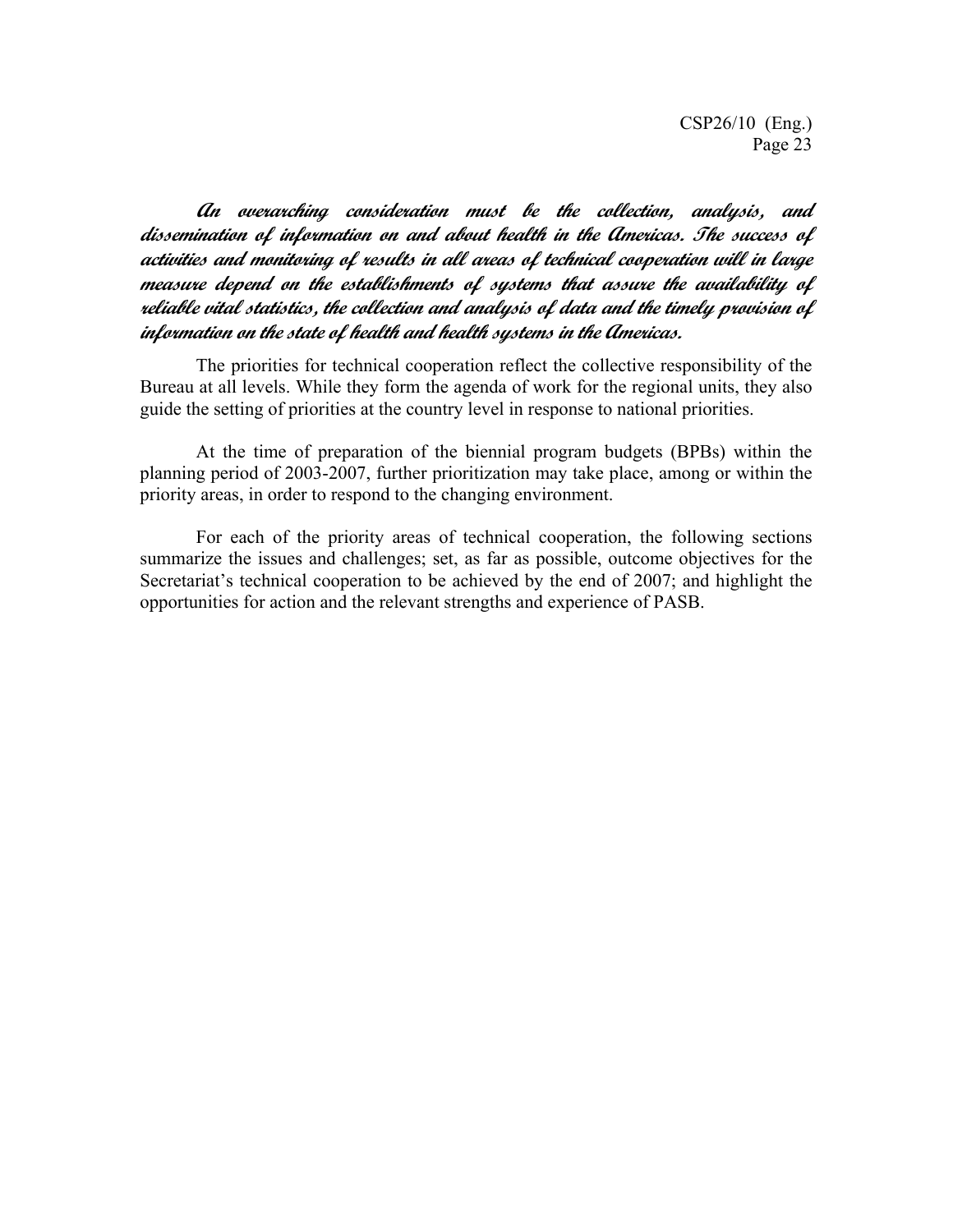**An overarching consideration must be the collection, analysis, and dissemination of information on and about health in the Americas. The success of activities and monitoring of results in all areas of technical cooperation will in large measure depend on the establishments of systems that assure the availability of reliable vital statistics, the collection and analysis of data and the timely provision of information on the state of health and health systems in the Americas.** 

The priorities for technical cooperation reflect the collective responsibility of the Bureau at all levels. While they form the agenda of work for the regional units, they also guide the setting of priorities at the country level in response to national priorities.

At the time of preparation of the biennial program budgets (BPBs) within the planning period of 2003-2007, further prioritization may take place, among or within the priority areas, in order to respond to the changing environment.

For each of the priority areas of technical cooperation, the following sections summarize the issues and challenges; set, as far as possible, outcome objectives for the Secretariat's technical cooperation to be achieved by the end of 2007; and highlight the opportunities for action and the relevant strengths and experience of PASB.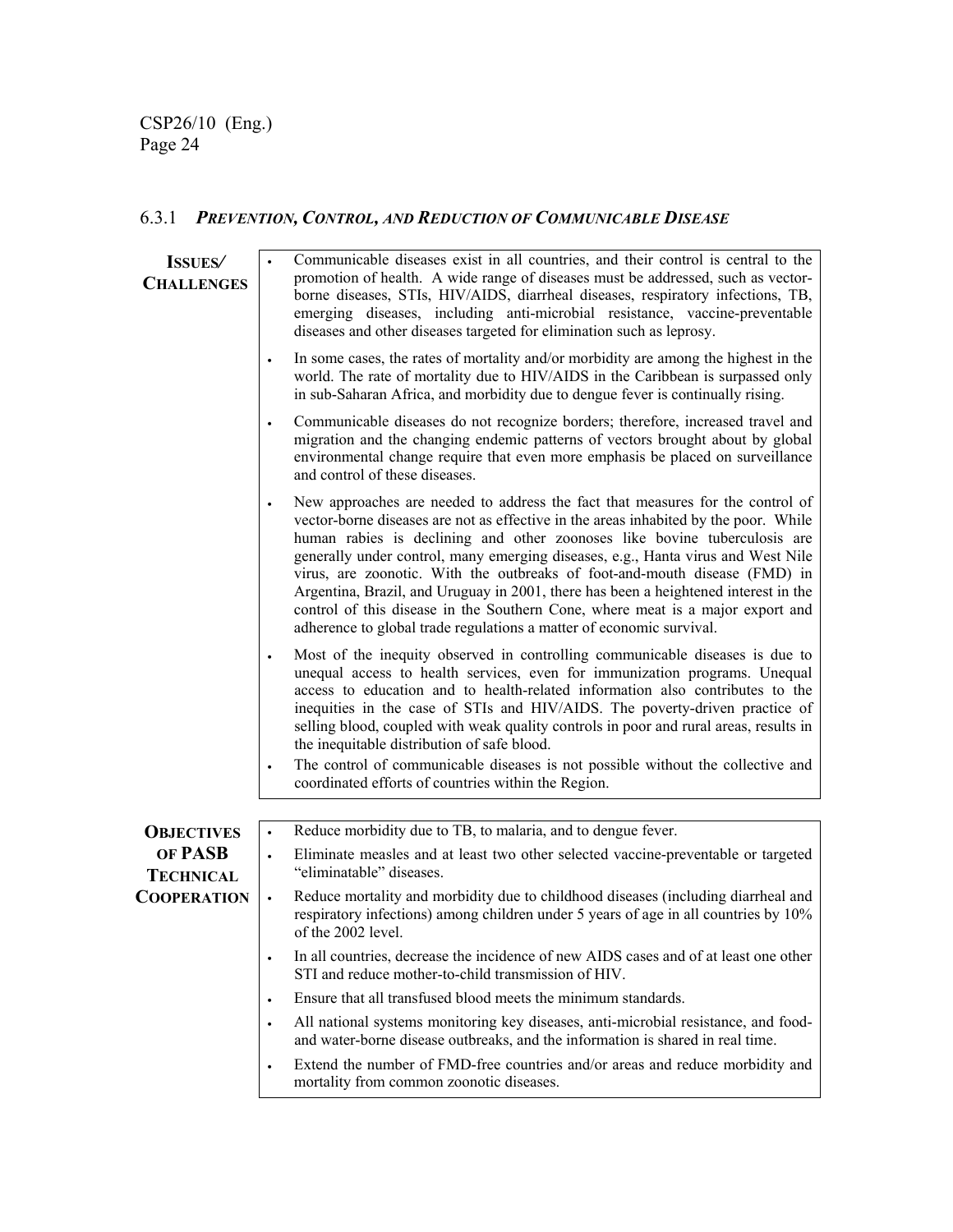# 6.3.1 *PREVENTION, CONTROL, AND REDUCTION OF COMMUNICABLE DISEASE*

| <b>ISSUES</b><br><b>CHALLENGES</b> | Communicable diseases exist in all countries, and their control is central to the<br>promotion of health. A wide range of diseases must be addressed, such as vector-<br>borne diseases, STIs, HIV/AIDS, diarrheal diseases, respiratory infections, TB,<br>emerging diseases, including anti-microbial resistance, vaccine-preventable<br>diseases and other diseases targeted for elimination such as leprosy.                                                                                                                                                                                                                                                                    |
|------------------------------------|-------------------------------------------------------------------------------------------------------------------------------------------------------------------------------------------------------------------------------------------------------------------------------------------------------------------------------------------------------------------------------------------------------------------------------------------------------------------------------------------------------------------------------------------------------------------------------------------------------------------------------------------------------------------------------------|
|                                    | In some cases, the rates of mortality and/or morbidity are among the highest in the<br>world. The rate of mortality due to HIV/AIDS in the Caribbean is surpassed only<br>in sub-Saharan Africa, and morbidity due to dengue fever is continually rising.                                                                                                                                                                                                                                                                                                                                                                                                                           |
|                                    | Communicable diseases do not recognize borders; therefore, increased travel and<br>migration and the changing endemic patterns of vectors brought about by global<br>environmental change require that even more emphasis be placed on surveillance<br>and control of these diseases.                                                                                                                                                                                                                                                                                                                                                                                               |
|                                    | New approaches are needed to address the fact that measures for the control of<br>$\bullet$<br>vector-borne diseases are not as effective in the areas inhabited by the poor. While<br>human rabies is declining and other zoonoses like bovine tuberculosis are<br>generally under control, many emerging diseases, e.g., Hanta virus and West Nile<br>virus, are zoonotic. With the outbreaks of foot-and-mouth disease (FMD) in<br>Argentina, Brazil, and Uruguay in 2001, there has been a heightened interest in the<br>control of this disease in the Southern Cone, where meat is a major export and<br>adherence to global trade regulations a matter of economic survival. |
|                                    | Most of the inequity observed in controlling communicable diseases is due to<br>unequal access to health services, even for immunization programs. Unequal<br>access to education and to health-related information also contributes to the<br>inequities in the case of STIs and HIV/AIDS. The poverty-driven practice of<br>selling blood, coupled with weak quality controls in poor and rural areas, results in<br>the inequitable distribution of safe blood.<br>The control of communicable diseases is not possible without the collective and<br>$\bullet$<br>coordinated efforts of countries within the Region.                                                           |
|                                    |                                                                                                                                                                                                                                                                                                                                                                                                                                                                                                                                                                                                                                                                                     |
| <b>OBJECTIVES</b>                  | Reduce morbidity due to TB, to malaria, and to dengue fever.<br>$\bullet$                                                                                                                                                                                                                                                                                                                                                                                                                                                                                                                                                                                                           |
| OF PASB<br><b>TECHNICAL</b>        | Eliminate measles and at least two other selected vaccine-preventable or targeted<br>$\bullet$<br>"eliminatable" diseases.                                                                                                                                                                                                                                                                                                                                                                                                                                                                                                                                                          |
| <b>COOPERATION</b>                 | Reduce mortality and morbidity due to childhood diseases (including diarrheal and<br>respiratory infections) among children under 5 years of age in all countries by 10%<br>of the 2002 level.                                                                                                                                                                                                                                                                                                                                                                                                                                                                                      |
|                                    | In all countries, decrease the incidence of new AIDS cases and of at least one other<br>$\bullet$<br>STI and reduce mother-to-child transmission of HIV.                                                                                                                                                                                                                                                                                                                                                                                                                                                                                                                            |
|                                    | Ensure that all transfused blood meets the minimum standards.<br>$\bullet$                                                                                                                                                                                                                                                                                                                                                                                                                                                                                                                                                                                                          |
|                                    | All national systems monitoring key diseases, anti-microbial resistance, and food-<br>$\bullet$<br>and water-borne disease outbreaks, and the information is shared in real time.                                                                                                                                                                                                                                                                                                                                                                                                                                                                                                   |
|                                    | Extend the number of FMD-free countries and/or areas and reduce morbidity and<br>$\bullet$<br>mortality from common zoonotic diseases.                                                                                                                                                                                                                                                                                                                                                                                                                                                                                                                                              |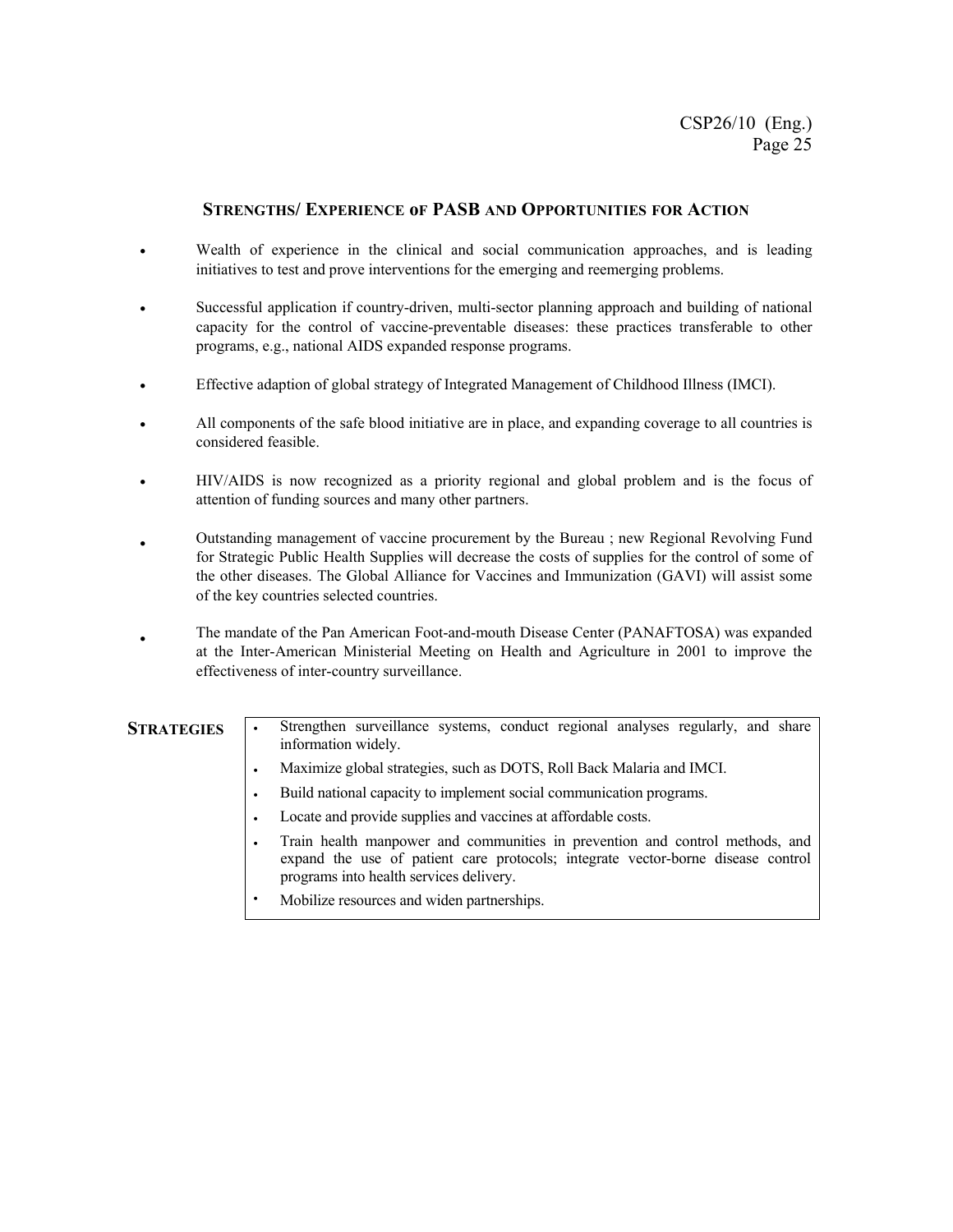#### **STRENGTHS/ EXPERIENCE oF PASB AND OPPORTUNITIES FOR ACTION**

- Wealth of experience in the clinical and social communication approaches, and is leading initiatives to test and prove interventions for the emerging and reemerging problems.
- Successful application if country-driven, multi-sector planning approach and building of national capacity for the control of vaccine-preventable diseases: these practices transferable to other programs, e.g., national AIDS expanded response programs.
- Effective adaption of global strategy of Integrated Management of Childhood Illness (IMCI).
- All components of the safe blood initiative are in place, and expanding coverage to all countries is considered feasible.
- HIV/AIDS is now recognized as a priority regional and global problem and is the focus of attention of funding sources and many other partners.
- Outstanding management of vaccine procurement by the Bureau ; new Regional Revolving Fund for Strategic Public Health Supplies will decrease the costs of supplies for the control of some of the other diseases. The Global Alliance for Vaccines and Immunization (GAVI) will assist some of the key countries selected countries.
- The mandate of the Pan American Foot-and-mouth Disease Center (PANAFTOSA) was expanded at the Inter-American Ministerial Meeting on Health and Agriculture in 2001 to improve the effectiveness of inter-country surveillance.

# **STRATEGIES** • Strengthen surveillance systems, conduct regional analyses regularly, and share information widely. • Maximize global strategies, such as DOTS, Roll Back Malaria and IMCI. • Build national capacity to implement social communication programs. Locate and provide supplies and vaccines at affordable costs.

- Train health manpower and communities in prevention and control methods, and expand the use of patient care protocols; integrate vector-borne disease control programs into health services delivery.
- Mobilize resources and widen partnerships.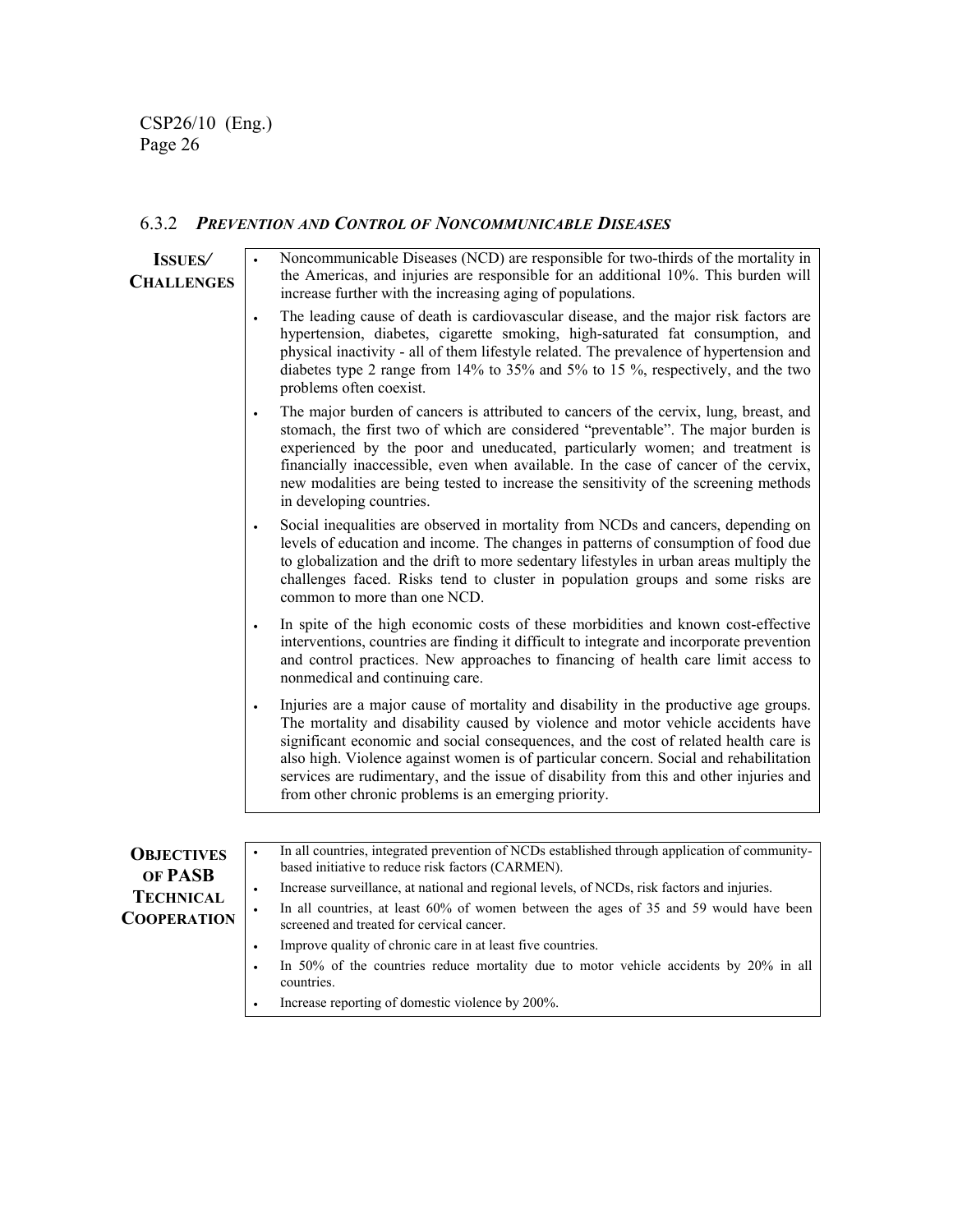### 6.3.2 *PREVENTION AND CONTROL OF NONCOMMUNICABLE DISEASES*

| <b>ISSUES</b><br><b>CHALLENGES</b> | Noncommunicable Diseases (NCD) are responsible for two-thirds of the mortality in<br>the Americas, and injuries are responsible for an additional 10%. This burden will<br>increase further with the increasing aging of populations.                                                                                                                                                                                                                                                                       |
|------------------------------------|-------------------------------------------------------------------------------------------------------------------------------------------------------------------------------------------------------------------------------------------------------------------------------------------------------------------------------------------------------------------------------------------------------------------------------------------------------------------------------------------------------------|
|                                    | The leading cause of death is cardiovascular disease, and the major risk factors are<br>hypertension, diabetes, cigarette smoking, high-saturated fat consumption, and<br>physical inactivity - all of them lifestyle related. The prevalence of hypertension and<br>diabetes type 2 range from 14% to 35% and 5% to 15%, respectively, and the two<br>problems often coexist.                                                                                                                              |
|                                    | The major burden of cancers is attributed to cancers of the cervix, lung, breast, and<br>stomach, the first two of which are considered "preventable". The major burden is<br>experienced by the poor and uneducated, particularly women; and treatment is<br>financially inaccessible, even when available. In the case of cancer of the cervix,<br>new modalities are being tested to increase the sensitivity of the screening methods<br>in developing countries.                                       |
|                                    | Social inequalities are observed in mortality from NCDs and cancers, depending on<br>levels of education and income. The changes in patterns of consumption of food due<br>to globalization and the drift to more sedentary lifestyles in urban areas multiply the<br>challenges faced. Risks tend to cluster in population groups and some risks are<br>common to more than one NCD.                                                                                                                       |
|                                    | In spite of the high economic costs of these morbidities and known cost-effective<br>interventions, countries are finding it difficult to integrate and incorporate prevention<br>and control practices. New approaches to financing of health care limit access to<br>nonmedical and continuing care.                                                                                                                                                                                                      |
|                                    | Injuries are a major cause of mortality and disability in the productive age groups.<br>The mortality and disability caused by violence and motor vehicle accidents have<br>significant economic and social consequences, and the cost of related health care is<br>also high. Violence against women is of particular concern. Social and rehabilitation<br>services are rudimentary, and the issue of disability from this and other injuries and<br>from other chronic problems is an emerging priority. |
|                                    |                                                                                                                                                                                                                                                                                                                                                                                                                                                                                                             |
| <b>OBJECTIVES</b><br>OF PASB       | In all countries, integrated prevention of NCDs established through application of community-<br>based initiative to reduce risk factors (CARMEN).                                                                                                                                                                                                                                                                                                                                                          |
| <b>TECHNICAL</b>                   | Increase surveillance, at national and regional levels, of NCDs, risk factors and injuries.                                                                                                                                                                                                                                                                                                                                                                                                                 |
| <b>COOPERATION</b>                 | In all countries, at least 60% of women between the ages of 35 and 59 would have been<br>screened and treated for cervical cancer.                                                                                                                                                                                                                                                                                                                                                                          |
|                                    | Improve quality of chronic care in at least five countries.                                                                                                                                                                                                                                                                                                                                                                                                                                                 |
|                                    | In 50% of the countries reduce mortality due to motor vehicle accidents by 20% in all<br>countries.                                                                                                                                                                                                                                                                                                                                                                                                         |
|                                    | Increase reporting of domestic violence by 200%.                                                                                                                                                                                                                                                                                                                                                                                                                                                            |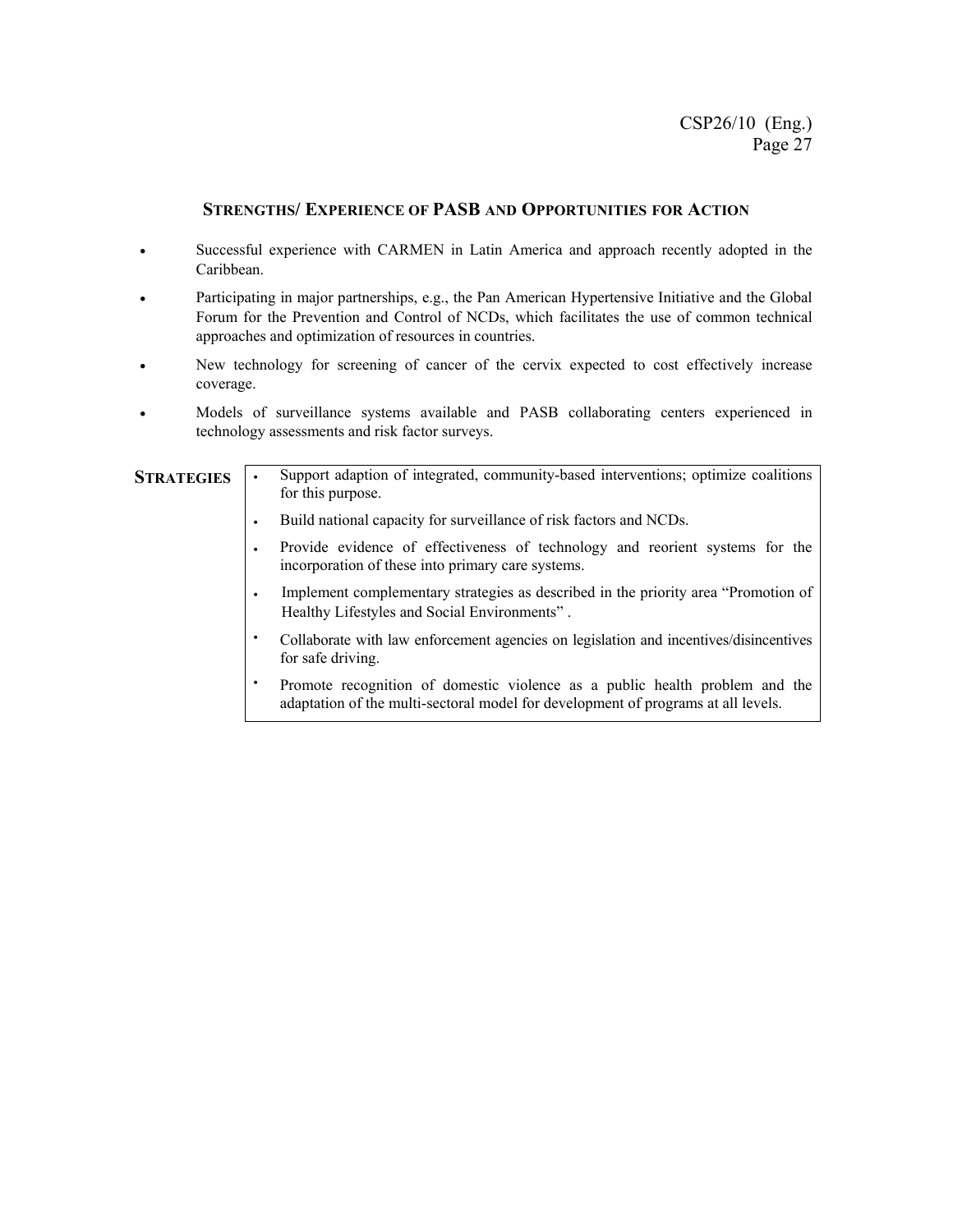#### **STRENGTHS/ EXPERIENCE OF PASB AND OPPORTUNITIES FOR ACTION**

- Successful experience with CARMEN in Latin America and approach recently adopted in the Caribbean.
- Participating in major partnerships, e.g., the Pan American Hypertensive Initiative and the Global Forum for the Prevention and Control of NCDs, which facilitates the use of common technical approaches and optimization of resources in countries.
- New technology for screening of cancer of the cervix expected to cost effectively increase coverage.
- Models of surveillance systems available and PASB collaborating centers experienced in technology assessments and risk factor surveys.

| <b>STRATEGIES</b> | Support adaption of integrated, community-based interventions; optimize coalitions<br>for this purpose.                                                          |
|-------------------|------------------------------------------------------------------------------------------------------------------------------------------------------------------|
|                   | Build national capacity for surveillance of risk factors and NCDs.                                                                                               |
|                   | Provide evidence of effectiveness of technology and reorient systems for the<br>incorporation of these into primary care systems.                                |
|                   | Implement complementary strategies as described in the priority area "Promotion of<br>Healthy Lifestyles and Social Environments".                               |
|                   | Collaborate with law enforcement agencies on legislation and incentives/disincentives<br>for safe driving.                                                       |
|                   | Promote recognition of domestic violence as a public health problem and the<br>adaptation of the multi-sectoral model for development of programs at all levels. |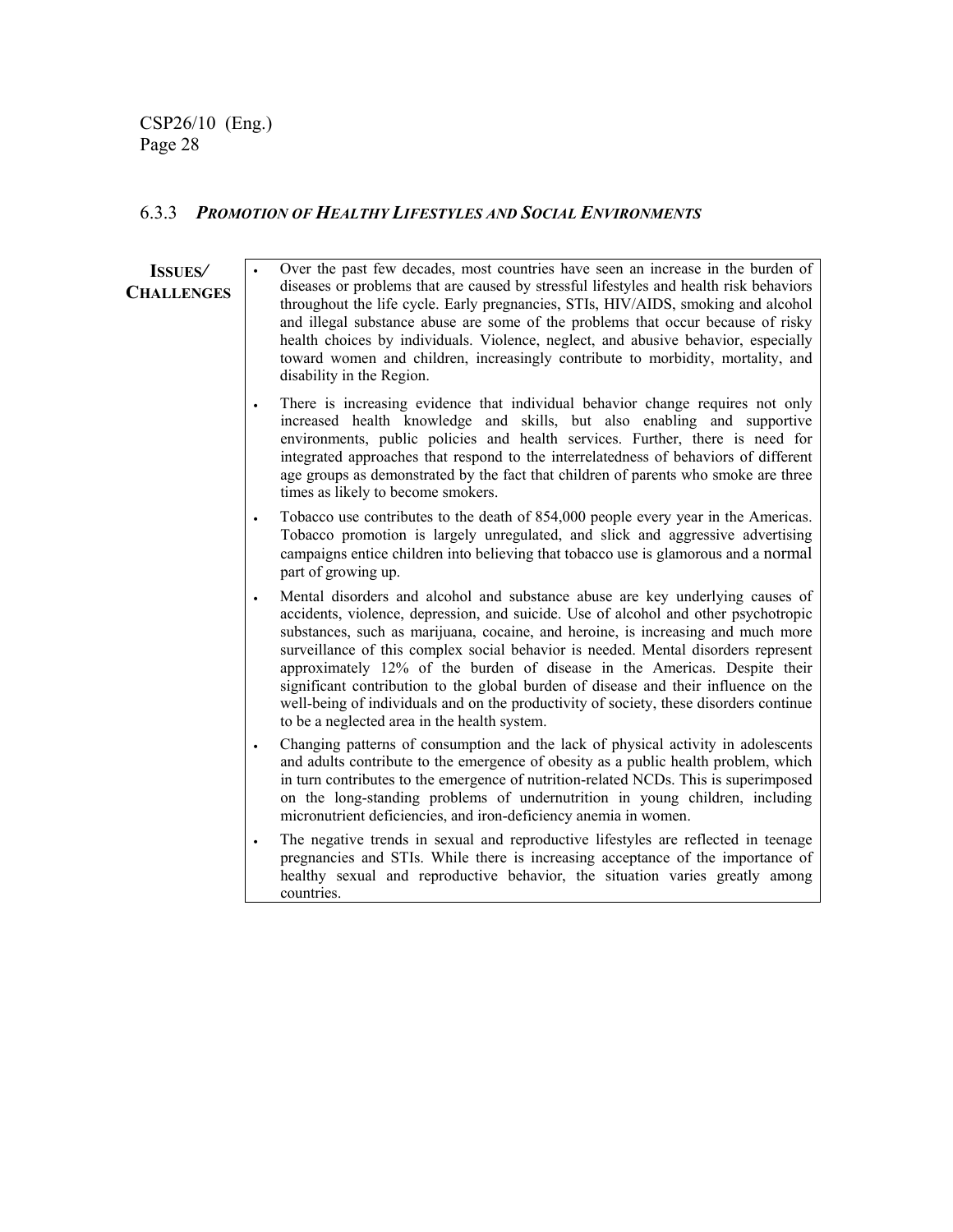#### 6.3.3 *PROMOTION OF HEALTHY LIFESTYLES AND SOCIAL ENVIRONMENTS*

#### **ISSUES***/*  **CHALLENGES**

Over the past few decades, most countries have seen an increase in the burden of diseases or problems that are caused by stressful lifestyles and health risk behaviors throughout the life cycle. Early pregnancies, STIs, HIV/AIDS, smoking and alcohol and illegal substance abuse are some of the problems that occur because of risky health choices by individuals. Violence, neglect, and abusive behavior, especially toward women and children, increasingly contribute to morbidity, mortality, and disability in the Region. There is increasing evidence that individual behavior change requires not only increased health knowledge and skills, but also enabling and supportive environments, public policies and health services. Further, there is need for integrated approaches that respond to the interrelatedness of behaviors of different age groups as demonstrated by the fact that children of parents who smoke are three times as likely to become smokers. Tobacco use contributes to the death of 854,000 people every year in the Americas. Tobacco promotion is largely unregulated, and slick and aggressive advertising campaigns entice children into believing that tobacco use is glamorous and a normal part of growing up. • Mental disorders and alcohol and substance abuse are key underlying causes of accidents, violence, depression, and suicide. Use of alcohol and other psychotropic substances, such as marijuana, cocaine, and heroine, is increasing and much more surveillance of this complex social behavior is needed. Mental disorders represent approximately 12% of the burden of disease in the Americas. Despite their significant contribution to the global burden of disease and their influence on the well-being of individuals and on the productivity of society, these disorders continue to be a neglected area in the health system. • Changing patterns of consumption and the lack of physical activity in adolescents and adults contribute to the emergence of obesity as a public health problem, which in turn contributes to the emergence of nutrition-related NCDs. This is superimposed on the long-standing problems of undernutrition in young children, including micronutrient deficiencies, and iron-deficiency anemia in women. The negative trends in sexual and reproductive lifestyles are reflected in teenage pregnancies and STIs. While there is increasing acceptance of the importance of healthy sexual and reproductive behavior, the situation varies greatly among countries.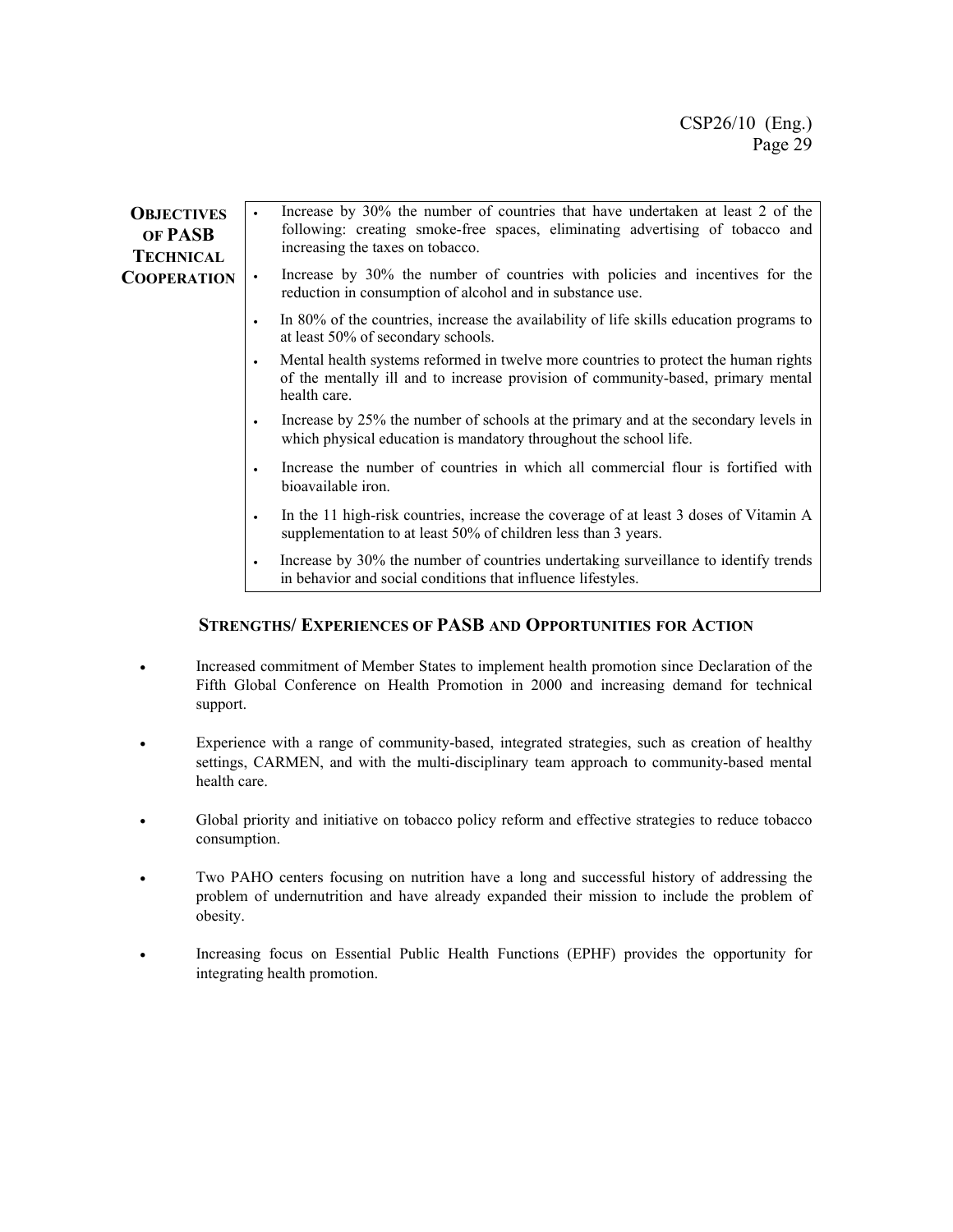| <b>OBJECTIVES</b><br>OF PASB<br><b>TECHNICAL</b> | Increase by 30% the number of countries that have undertaken at least 2 of the<br>following: creating smoke-free spaces, eliminating advertising of tobacco and<br>increasing the taxes on tobacco.  |
|--------------------------------------------------|------------------------------------------------------------------------------------------------------------------------------------------------------------------------------------------------------|
| <b>COOPERATION</b>                               | Increase by 30% the number of countries with policies and incentives for the<br>$\bullet$<br>reduction in consumption of alcohol and in substance use.                                               |
|                                                  | In 80% of the countries, increase the availability of life skills education programs to<br>$\bullet$<br>at least 50% of secondary schools.                                                           |
|                                                  | Mental health systems reformed in twelve more countries to protect the human rights<br>$\bullet$<br>of the mentally ill and to increase provision of community-based, primary mental<br>health care. |
|                                                  | Increase by 25% the number of schools at the primary and at the secondary levels in<br>$\bullet$<br>which physical education is mandatory throughout the school life.                                |
|                                                  | Increase the number of countries in which all commercial flour is fortified with<br>$\bullet$<br>bioavailable iron.                                                                                  |
|                                                  | In the 11 high-risk countries, increase the coverage of at least 3 doses of Vitamin A<br>$\bullet$<br>supplementation to at least 50% of children less than 3 years.                                 |
|                                                  | Increase by 30% the number of countries undertaking surveillance to identify trends<br>$\bullet$<br>in behavior and social conditions that influence lifestyles.                                     |

#### **STRENGTHS/ EXPERIENCES OF PASB AND OPPORTUNITIES FOR ACTION**

- Increased commitment of Member States to implement health promotion since Declaration of the Fifth Global Conference on Health Promotion in 2000 and increasing demand for technical support.
- Experience with a range of community-based, integrated strategies, such as creation of healthy settings, CARMEN, and with the multi-disciplinary team approach to community-based mental health care.
- Global priority and initiative on tobacco policy reform and effective strategies to reduce tobacco consumption.
- Two PAHO centers focusing on nutrition have a long and successful history of addressing the problem of undernutrition and have already expanded their mission to include the problem of obesity.
- Increasing focus on Essential Public Health Functions (EPHF) provides the opportunity for integrating health promotion.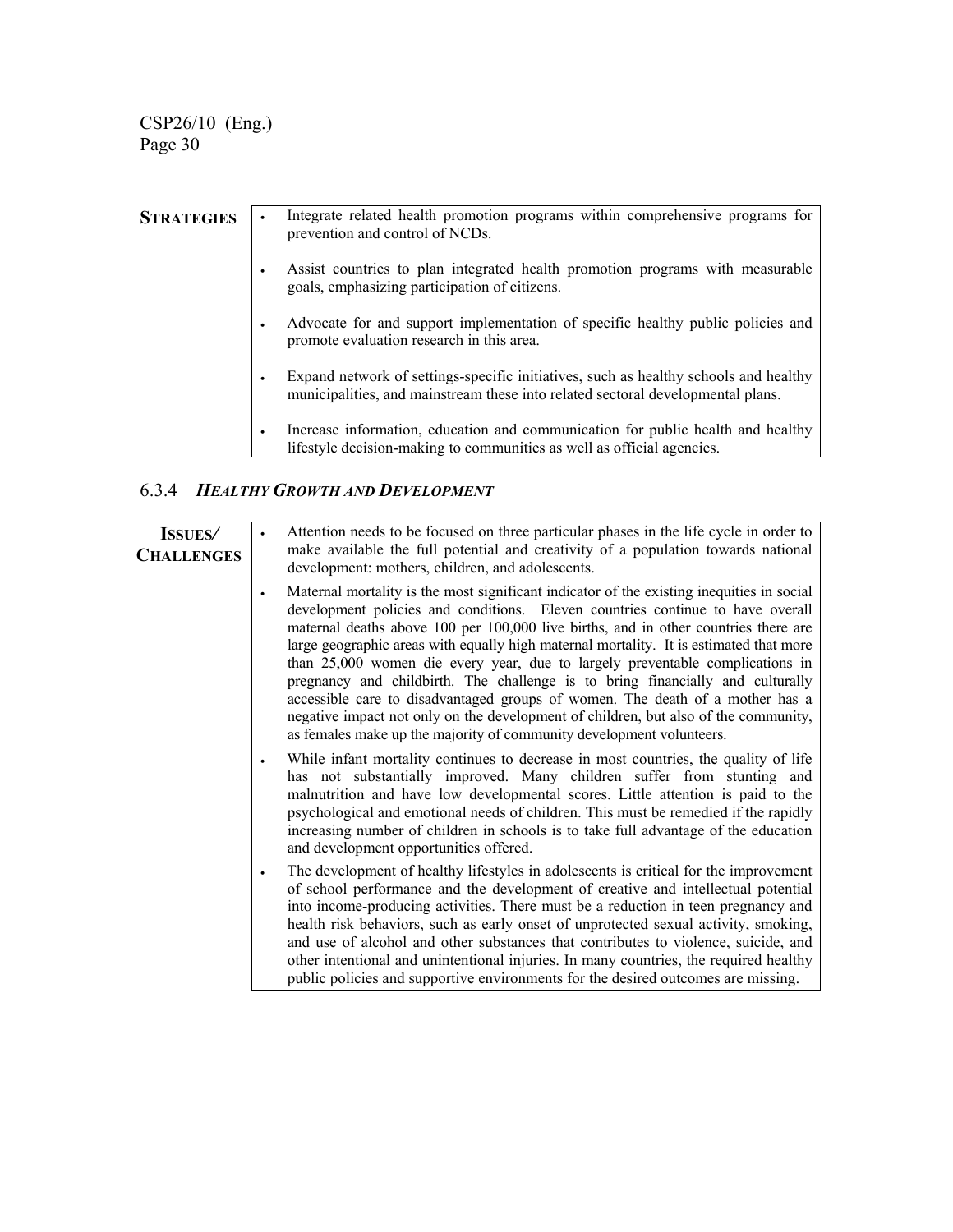| <b>STRATEGIES</b> |   | Integrate related health promotion programs within comprehensive programs for<br>prevention and control of NCDs.                                                        |
|-------------------|---|-------------------------------------------------------------------------------------------------------------------------------------------------------------------------|
|                   | ٠ | Assist countries to plan integrated health promotion programs with measurable<br>goals, emphasizing participation of citizens.                                          |
|                   |   | Advocate for and support implementation of specific healthy public policies and<br>promote evaluation research in this area.                                            |
|                   | ٠ | Expand network of settings-specific initiatives, such as healthy schools and healthy<br>municipalities, and mainstream these into related sectoral developmental plans. |
|                   | ٠ | Increase information, education and communication for public health and healthy<br>lifestyle decision-making to communities as well as official agencies.               |

#### 6.3.4 *HEALTHY GROWTH AND DEVELOPMENT*

#### **ISSUES***/*  **CHALLENGES**

• Attention needs to be focused on three particular phases in the life cycle in order to make available the full potential and creativity of a population towards national development: mothers, children, and adolescents.

- Maternal mortality is the most significant indicator of the existing inequities in social development policies and conditions. Eleven countries continue to have overall maternal deaths above 100 per 100,000 live births, and in other countries there are large geographic areas with equally high maternal mortality. It is estimated that more than 25,000 women die every year, due to largely preventable complications in pregnancy and childbirth. The challenge is to bring financially and culturally accessible care to disadvantaged groups of women. The death of a mother has a negative impact not only on the development of children, but also of the community, as females make up the majority of community development volunteers.
- While infant mortality continues to decrease in most countries, the quality of life has not substantially improved. Many children suffer from stunting and malnutrition and have low developmental scores. Little attention is paid to the psychological and emotional needs of children. This must be remedied if the rapidly increasing number of children in schools is to take full advantage of the education and development opportunities offered.
- The development of healthy lifestyles in adolescents is critical for the improvement of school performance and the development of creative and intellectual potential into income-producing activities. There must be a reduction in teen pregnancy and health risk behaviors, such as early onset of unprotected sexual activity, smoking, and use of alcohol and other substances that contributes to violence, suicide, and other intentional and unintentional injuries. In many countries, the required healthy public policies and supportive environments for the desired outcomes are missing.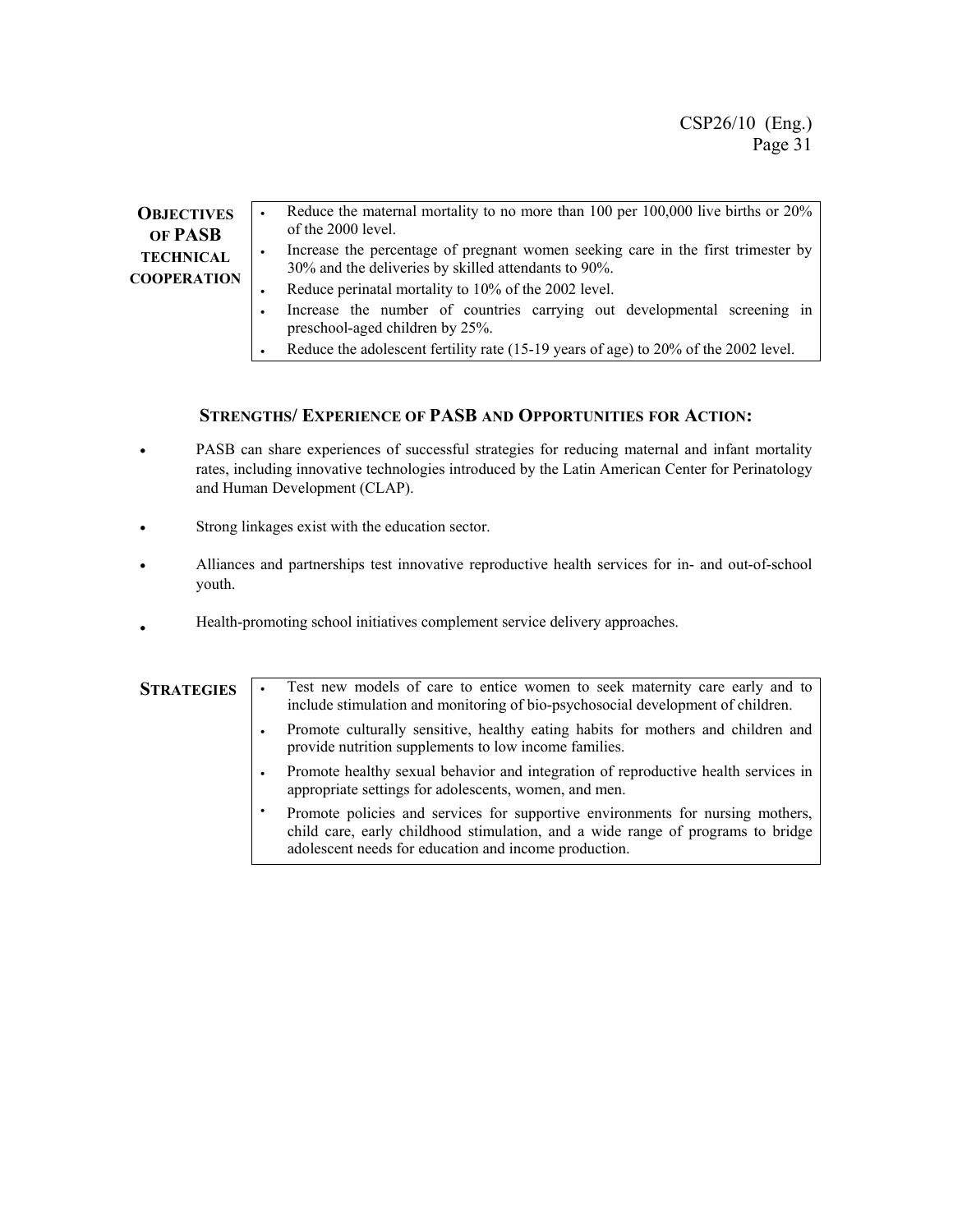| <b>OBJECTIVES</b><br>OF PASB           | Reduce the maternal mortality to no more than 100 per 100,000 live births or 20%<br>$\bullet$<br>of the 2000 level.                                                 |
|----------------------------------------|---------------------------------------------------------------------------------------------------------------------------------------------------------------------|
| <b>TECHNICAL</b><br><b>COOPERATION</b> | Increase the percentage of pregnant women seeking care in the first trimester by<br>٠<br>30% and the deliveries by skilled attendants to 90%.                       |
|                                        | Reduce perinatal mortality to 10% of the 2002 level.<br>Increase the number of countries carrying out developmental screening in<br>preschool-aged children by 25%. |
|                                        | Reduce the adolescent fertility rate (15-19 years of age) to 20% of the 2002 level.                                                                                 |

#### **STRENGTHS/ EXPERIENCE OF PASB AND OPPORTUNITIES FOR ACTION:**

- PASB can share experiences of successful strategies for reducing maternal and infant mortality rates, including innovative technologies introduced by the Latin American Center for Perinatology and Human Development (CLAP).
- Strong linkages exist with the education sector.
- Alliances and partnerships test innovative reproductive health services for in- and out-of-school youth.
- Health-promoting school initiatives complement service delivery approaches.

| <b>STRATEGIES</b> |   | Test new models of care to entice women to seek maternity care early and to<br>include stimulation and monitoring of bio-psychosocial development of children.                                                             |
|-------------------|---|----------------------------------------------------------------------------------------------------------------------------------------------------------------------------------------------------------------------------|
|                   | ٠ | Promote culturally sensitive, healthy eating habits for mothers and children and<br>provide nutrition supplements to low income families.                                                                                  |
|                   | ٠ | Promote healthy sexual behavior and integration of reproductive health services in<br>appropriate settings for adolescents, women, and men.                                                                                |
|                   | ٠ | Promote policies and services for supportive environments for nursing mothers,<br>child care, early childhood stimulation, and a wide range of programs to bridge<br>adolescent needs for education and income production. |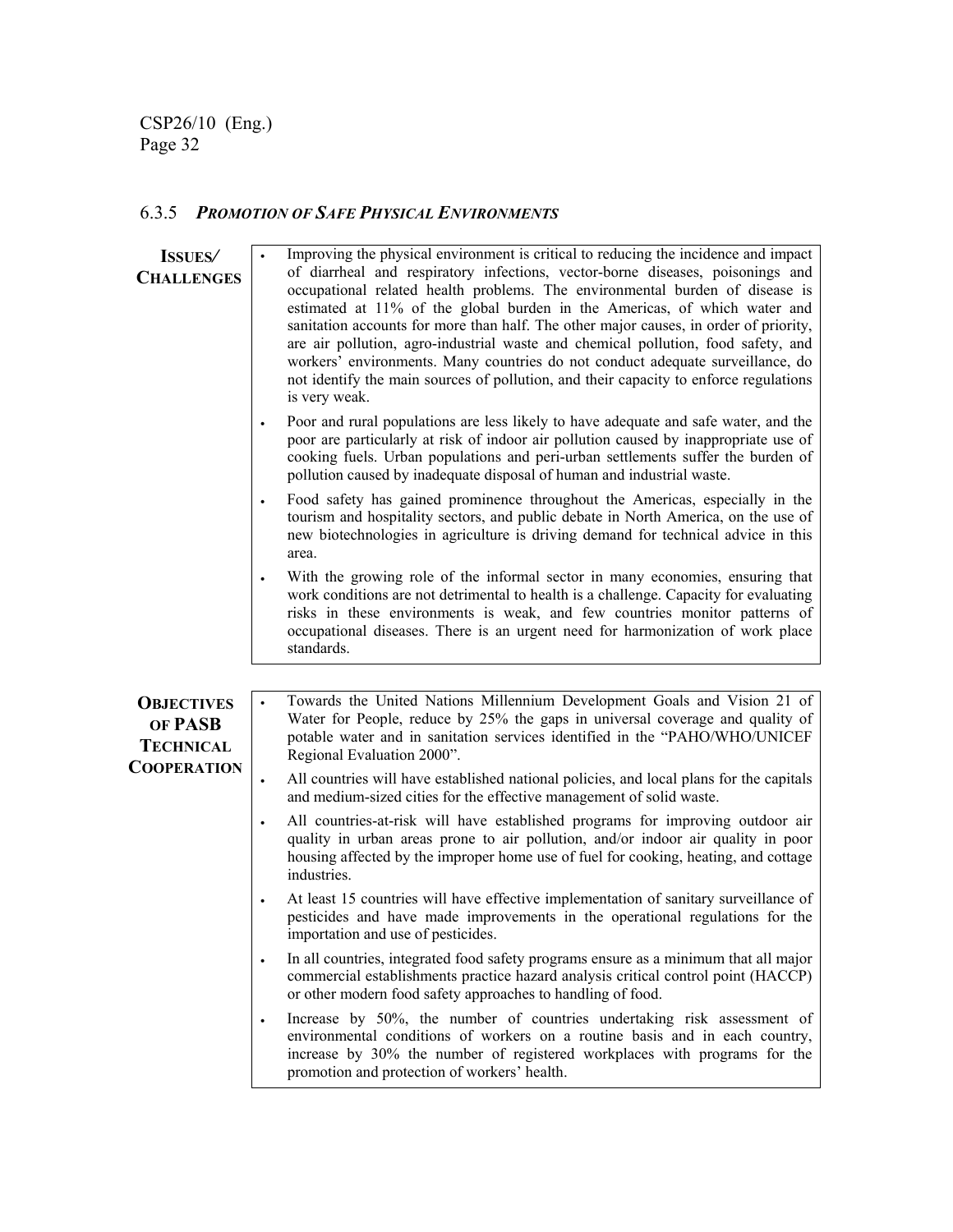# 6.3.5 *PROMOTION OF SAFE PHYSICAL ENVIRONMENTS*

| <b>ISSUES</b>                                                          | Improving the physical environment is critical to reducing the incidence and impact                                                                                                                                                                                                                                                                                                                                                                                                                                                                                                                                   |
|------------------------------------------------------------------------|-----------------------------------------------------------------------------------------------------------------------------------------------------------------------------------------------------------------------------------------------------------------------------------------------------------------------------------------------------------------------------------------------------------------------------------------------------------------------------------------------------------------------------------------------------------------------------------------------------------------------|
| <b>CHALLENGES</b>                                                      | of diarrheal and respiratory infections, vector-borne diseases, poisonings and<br>occupational related health problems. The environmental burden of disease is<br>estimated at 11% of the global burden in the Americas, of which water and<br>sanitation accounts for more than half. The other major causes, in order of priority,<br>are air pollution, agro-industrial waste and chemical pollution, food safety, and<br>workers' environments. Many countries do not conduct adequate surveillance, do<br>not identify the main sources of pollution, and their capacity to enforce regulations<br>is very weak. |
|                                                                        | Poor and rural populations are less likely to have adequate and safe water, and the<br>$\bullet$<br>poor are particularly at risk of indoor air pollution caused by inappropriate use of<br>cooking fuels. Urban populations and peri-urban settlements suffer the burden of<br>pollution caused by inadequate disposal of human and industrial waste.                                                                                                                                                                                                                                                                |
|                                                                        | Food safety has gained prominence throughout the Americas, especially in the<br>$\bullet$<br>tourism and hospitality sectors, and public debate in North America, on the use of<br>new biotechnologies in agriculture is driving demand for technical advice in this<br>area.                                                                                                                                                                                                                                                                                                                                         |
|                                                                        | With the growing role of the informal sector in many economies, ensuring that<br>work conditions are not detrimental to health is a challenge. Capacity for evaluating<br>risks in these environments is weak, and few countries monitor patterns of<br>occupational diseases. There is an urgent need for harmonization of work place<br>standards.                                                                                                                                                                                                                                                                  |
|                                                                        |                                                                                                                                                                                                                                                                                                                                                                                                                                                                                                                                                                                                                       |
| <b>OBJECTIVES</b><br>OF PASB<br><b>TECHNICAL</b><br><b>COOPERATION</b> | Towards the United Nations Millennium Development Goals and Vision 21 of<br>$\bullet$<br>Water for People, reduce by 25% the gaps in universal coverage and quality of<br>potable water and in sanitation services identified in the "PAHO/WHO/UNICEF<br>Regional Evaluation 2000".                                                                                                                                                                                                                                                                                                                                   |
|                                                                        | All countries will have established national policies, and local plans for the capitals<br>$\bullet$<br>and medium-sized cities for the effective management of solid waste.                                                                                                                                                                                                                                                                                                                                                                                                                                          |
|                                                                        | All countries-at-risk will have established programs for improving outdoor air<br>quality in urban areas prone to air pollution, and/or indoor air quality in poor<br>housing affected by the improper home use of fuel for cooking, heating, and cottage<br>industries.                                                                                                                                                                                                                                                                                                                                              |
|                                                                        | At least 15 countries will have effective implementation of sanitary surveillance of<br>$\bullet$<br>pesticides and have made improvements in the operational regulations for the<br>importation and use of pesticides.                                                                                                                                                                                                                                                                                                                                                                                               |
|                                                                        | In all countries, integrated food safety programs ensure as a minimum that all major<br>$\bullet$<br>commercial establishments practice hazard analysis critical control point (HACCP)<br>or other modern food safety approaches to handling of food.                                                                                                                                                                                                                                                                                                                                                                 |
|                                                                        | Increase by 50%, the number of countries undertaking risk assessment of<br>$\bullet$<br>environmental conditions of workers on a routine basis and in each country,<br>increase by 30% the number of registered workplaces with programs for the<br>promotion and protection of workers' health.                                                                                                                                                                                                                                                                                                                      |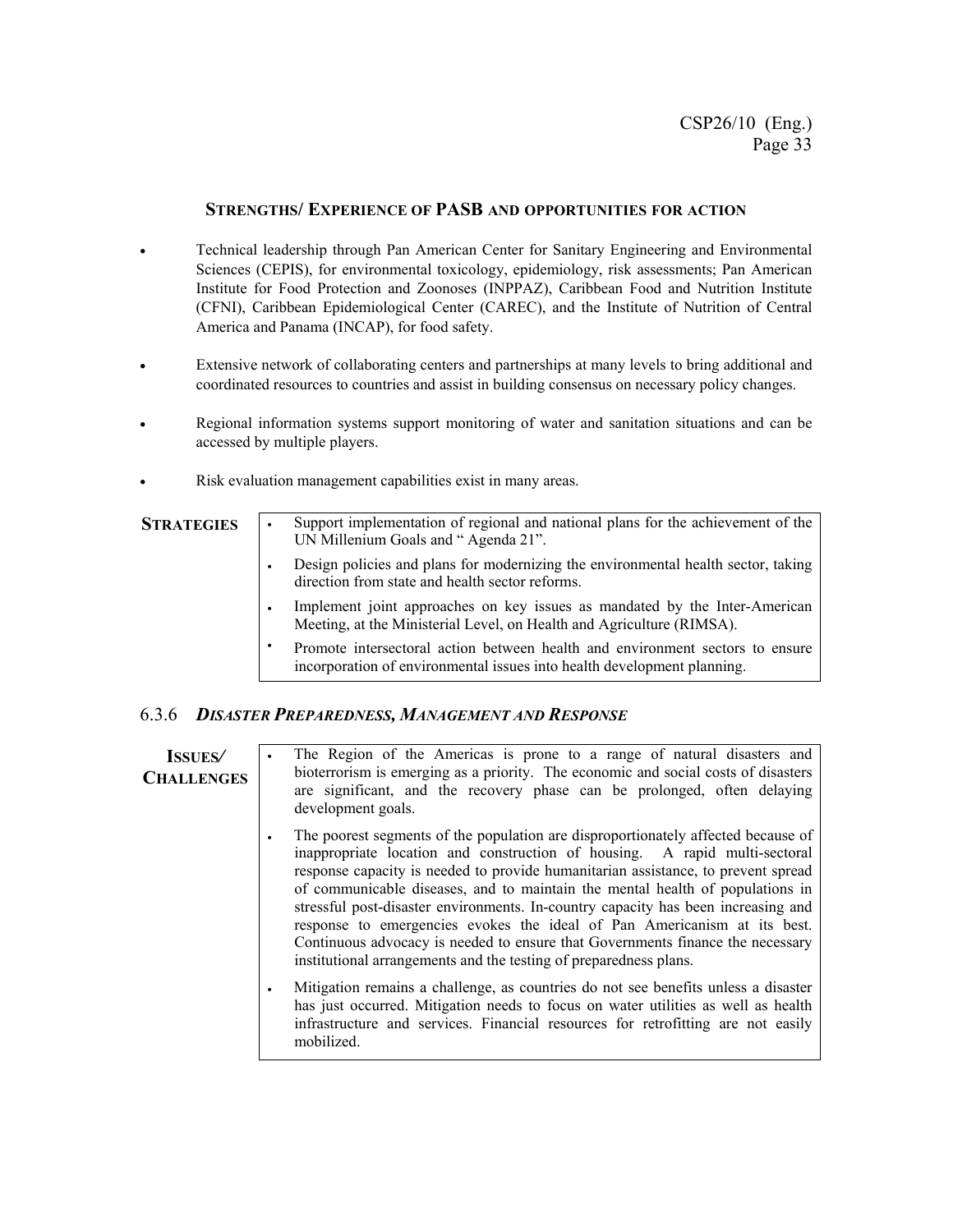#### **STRENGTHS/ EXPERIENCE OF PASB AND OPPORTUNITIES FOR ACTION**

- Technical leadership through Pan American Center for Sanitary Engineering and Environmental Sciences (CEPIS), for environmental toxicology, epidemiology, risk assessments; Pan American Institute for Food Protection and Zoonoses (INPPAZ), Caribbean Food and Nutrition Institute (CFNI), Caribbean Epidemiological Center (CAREC), and the Institute of Nutrition of Central America and Panama (INCAP), for food safety.
- Extensive network of collaborating centers and partnerships at many levels to bring additional and coordinated resources to countries and assist in building consensus on necessary policy changes.
- Regional information systems support monitoring of water and sanitation situations and can be accessed by multiple players.
- Risk evaluation management capabilities exist in many areas.

- **STRATEGIES** Support implementation of regional and national plans for the achievement of the UN Millenium Goals and " Agenda 21".
	- Design policies and plans for modernizing the environmental health sector, taking direction from state and health sector reforms.
	- Implement joint approaches on key issues as mandated by the Inter-American Meeting, at the Ministerial Level, on Health and Agriculture (RIMSA).
	- Promote intersectoral action between health and environment sectors to ensure incorporation of environmental issues into health development planning.

#### 6.3.6 *DISASTER PREPAREDNESS, MANAGEMENT AND RESPONSE*

**ISSUES***/*  **CHALLENGES**

- The Region of the Americas is prone to a range of natural disasters and bioterrorism is emerging as a priority. The economic and social costs of disasters are significant, and the recovery phase can be prolonged, often delaying development goals.
- The poorest segments of the population are disproportionately affected because of inappropriate location and construction of housing. A rapid multi-sectoral response capacity is needed to provide humanitarian assistance, to prevent spread of communicable diseases, and to maintain the mental health of populations in stressful post-disaster environments. In-country capacity has been increasing and response to emergencies evokes the ideal of Pan Americanism at its best. Continuous advocacy is needed to ensure that Governments finance the necessary institutional arrangements and the testing of preparedness plans.
- Mitigation remains a challenge, as countries do not see benefits unless a disaster has just occurred. Mitigation needs to focus on water utilities as well as health infrastructure and services. Financial resources for retrofitting are not easily mobilized.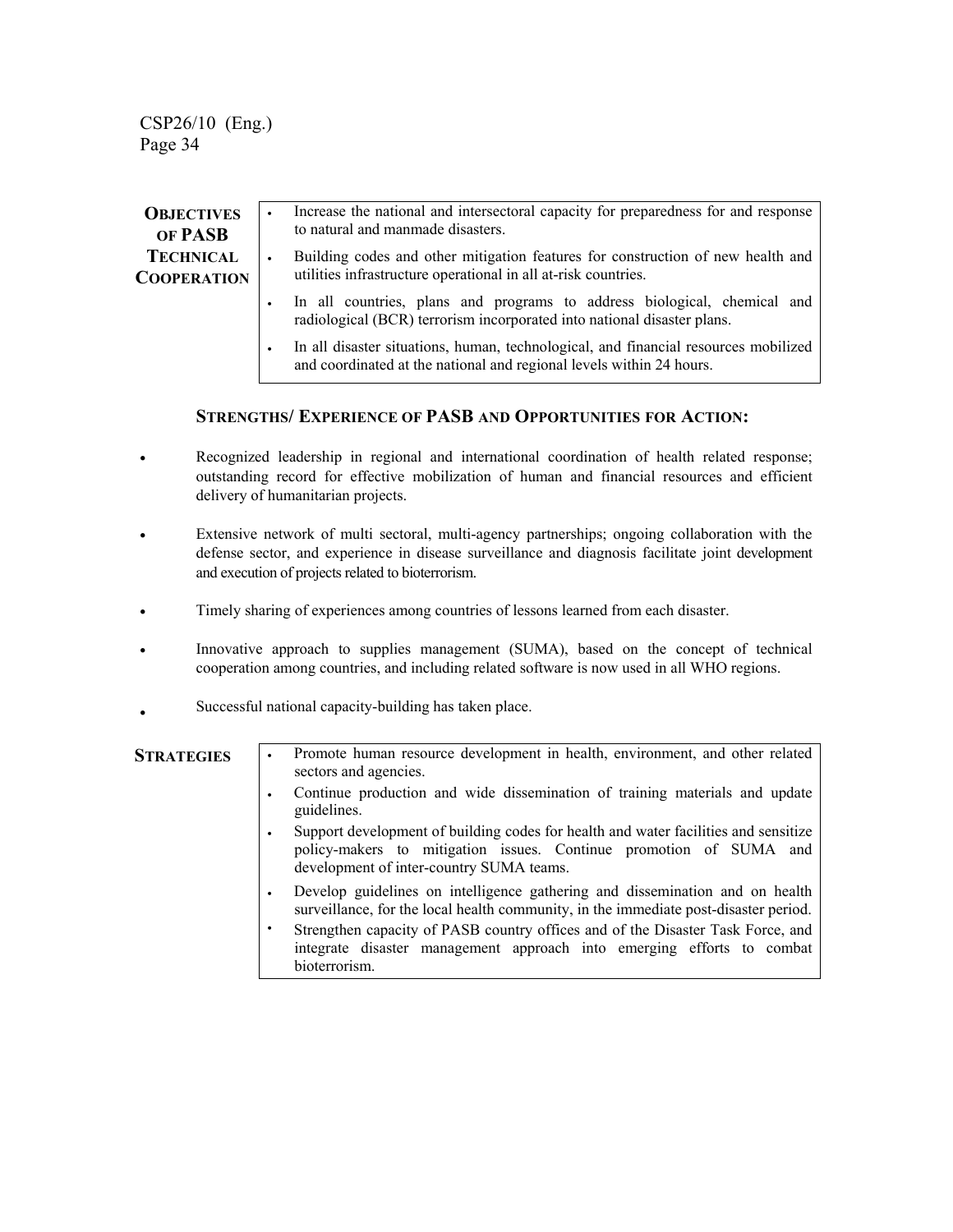| <b>OBJECTIVES</b><br>OF PASB           | Increase the national and intersectoral capacity for preparedness for and response<br>to natural and manmade disasters.                                     |
|----------------------------------------|-------------------------------------------------------------------------------------------------------------------------------------------------------------|
| <b>TECHNICAL</b><br><b>COOPERATION</b> | Building codes and other mitigation features for construction of new health and<br>utilities infrastructure operational in all at-risk countries.           |
|                                        | In all countries, plans and programs to address biological, chemical and<br>radiological (BCR) terrorism incorporated into national disaster plans.         |
|                                        | In all disaster situations, human, technological, and financial resources mobilized<br>and coordinated at the national and regional levels within 24 hours. |

#### **STRENGTHS/ EXPERIENCE OF PASB AND OPPORTUNITIES FOR ACTION:**

- Recognized leadership in regional and international coordination of health related response; outstanding record for effective mobilization of human and financial resources and efficient delivery of humanitarian projects.
- Extensive network of multi sectoral, multi-agency partnerships; ongoing collaboration with the defense sector, and experience in disease surveillance and diagnosis facilitate joint development and execution of projects related to bioterrorism.
- Timely sharing of experiences among countries of lessons learned from each disaster.
- Innovative approach to supplies management (SUMA), based on the concept of technical cooperation among countries, and including related software is now used in all WHO regions.
- Successful national capacity-building has taken place.

| <b>STRATEGIES</b> | Promote human resource development in health, environment, and other related<br>$\bullet$<br>sectors and agencies.                                                                                    |
|-------------------|-------------------------------------------------------------------------------------------------------------------------------------------------------------------------------------------------------|
|                   | Continue production and wide dissemination of training materials and update<br>guidelines.                                                                                                            |
|                   | Support development of building codes for health and water facilities and sensitize<br>policy-makers to mitigation issues. Continue promotion of SUMA and<br>development of inter-country SUMA teams. |
|                   | Develop guidelines on intelligence gathering and dissemination and on health<br>surveillance, for the local health community, in the immediate post-disaster period.                                  |
|                   | Strengthen capacity of PASB country offices and of the Disaster Task Force, and<br>integrate disaster management approach into emerging efforts to combat<br>bioterrorism.                            |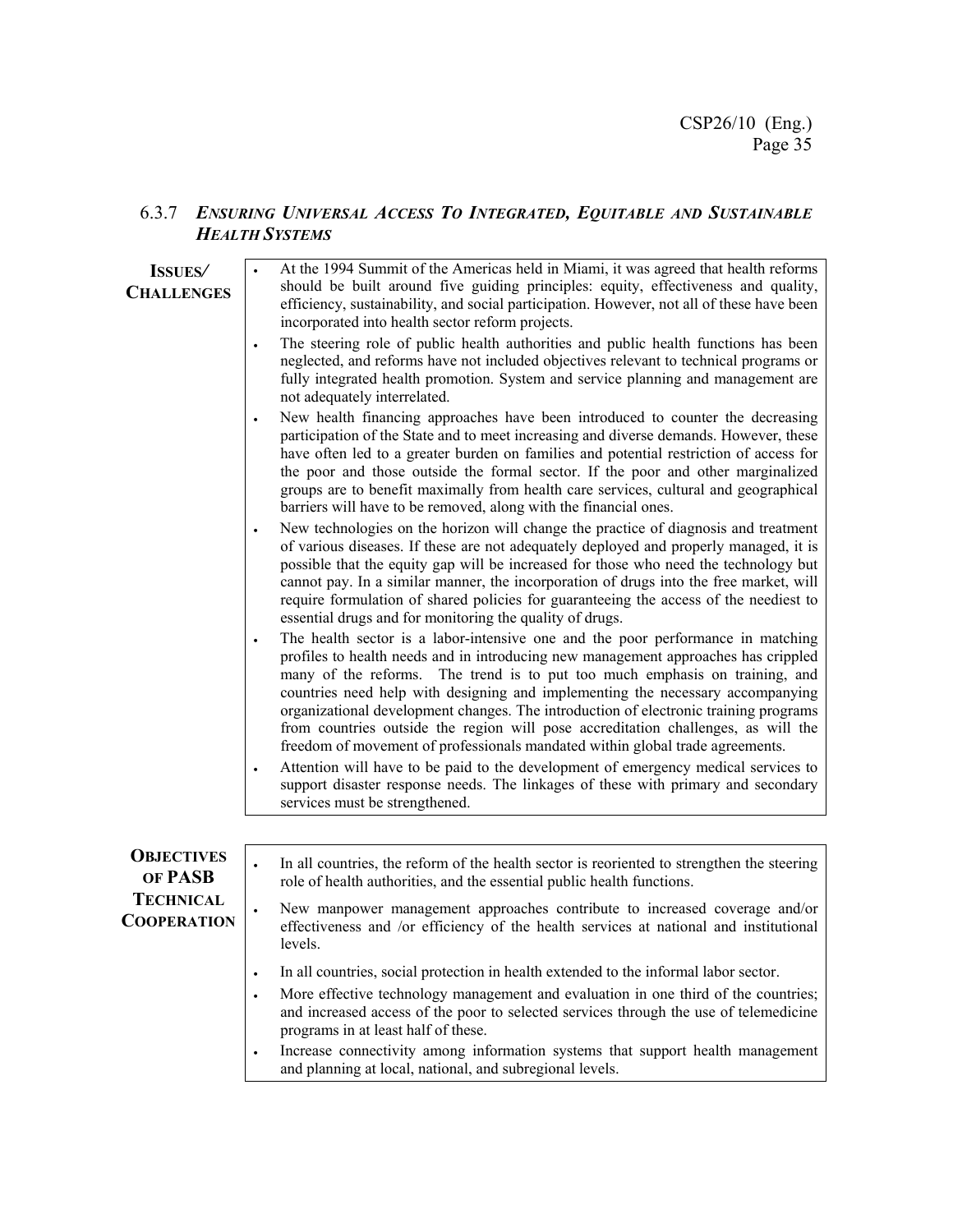### 6.3.7 *ENSURING UNIVERSAL ACCESS TO INTEGRATED, EQUITABLE AND SUSTAINABLE HEALTH SYSTEMS*

| <b>ISSUES</b><br><b>CHALLENGES</b>     | At the 1994 Summit of the Americas held in Miami, it was agreed that health reforms<br>should be built around five guiding principles: equity, effectiveness and quality,<br>efficiency, sustainability, and social participation. However, not all of these have been<br>incorporated into health sector reform projects.                                                                                                                                                                                                                                                                                                                                                                                                                                                                                                     |
|----------------------------------------|--------------------------------------------------------------------------------------------------------------------------------------------------------------------------------------------------------------------------------------------------------------------------------------------------------------------------------------------------------------------------------------------------------------------------------------------------------------------------------------------------------------------------------------------------------------------------------------------------------------------------------------------------------------------------------------------------------------------------------------------------------------------------------------------------------------------------------|
|                                        | The steering role of public health authorities and public health functions has been<br>$\bullet$<br>neglected, and reforms have not included objectives relevant to technical programs or<br>fully integrated health promotion. System and service planning and management are<br>not adequately interrelated.                                                                                                                                                                                                                                                                                                                                                                                                                                                                                                                 |
|                                        | New health financing approaches have been introduced to counter the decreasing<br>$\bullet$<br>participation of the State and to meet increasing and diverse demands. However, these<br>have often led to a greater burden on families and potential restriction of access for<br>the poor and those outside the formal sector. If the poor and other marginalized<br>groups are to benefit maximally from health care services, cultural and geographical<br>barriers will have to be removed, along with the financial ones.                                                                                                                                                                                                                                                                                                 |
|                                        | New technologies on the horizon will change the practice of diagnosis and treatment<br>$\bullet$<br>of various diseases. If these are not adequately deployed and properly managed, it is<br>possible that the equity gap will be increased for those who need the technology but<br>cannot pay. In a similar manner, the incorporation of drugs into the free market, will<br>require formulation of shared policies for guaranteeing the access of the neediest to<br>essential drugs and for monitoring the quality of drugs.                                                                                                                                                                                                                                                                                               |
|                                        | The health sector is a labor-intensive one and the poor performance in matching<br>profiles to health needs and in introducing new management approaches has crippled<br>many of the reforms. The trend is to put too much emphasis on training, and<br>countries need help with designing and implementing the necessary accompanying<br>organizational development changes. The introduction of electronic training programs<br>from countries outside the region will pose accreditation challenges, as will the<br>freedom of movement of professionals mandated within global trade agreements.<br>Attention will have to be paid to the development of emergency medical services to<br>$\bullet$<br>support disaster response needs. The linkages of these with primary and secondary<br>services must be strengthened. |
|                                        |                                                                                                                                                                                                                                                                                                                                                                                                                                                                                                                                                                                                                                                                                                                                                                                                                                |
| <b>OBJECTIVES</b><br>OF PASB           | In all countries, the reform of the health sector is reoriented to strengthen the steering<br>role of health authorities, and the essential public health functions.                                                                                                                                                                                                                                                                                                                                                                                                                                                                                                                                                                                                                                                           |
| <b>TECHNICAL</b><br><b>COOPERATION</b> | New manpower management approaches contribute to increased coverage and/or<br>$\bullet$<br>effectiveness and /or efficiency of the health services at national and institutional<br>levels.                                                                                                                                                                                                                                                                                                                                                                                                                                                                                                                                                                                                                                    |
|                                        | In all countries, social protection in health extended to the informal labor sector.<br>$\bullet$                                                                                                                                                                                                                                                                                                                                                                                                                                                                                                                                                                                                                                                                                                                              |
|                                        | More effective technology management and evaluation in one third of the countries;<br>$\bullet$<br>and increased access of the poor to selected services through the use of telemedicine<br>programs in at least half of these.                                                                                                                                                                                                                                                                                                                                                                                                                                                                                                                                                                                                |
|                                        | Increase connectivity among information systems that support health management<br>and planning at local, national, and subregional levels.                                                                                                                                                                                                                                                                                                                                                                                                                                                                                                                                                                                                                                                                                     |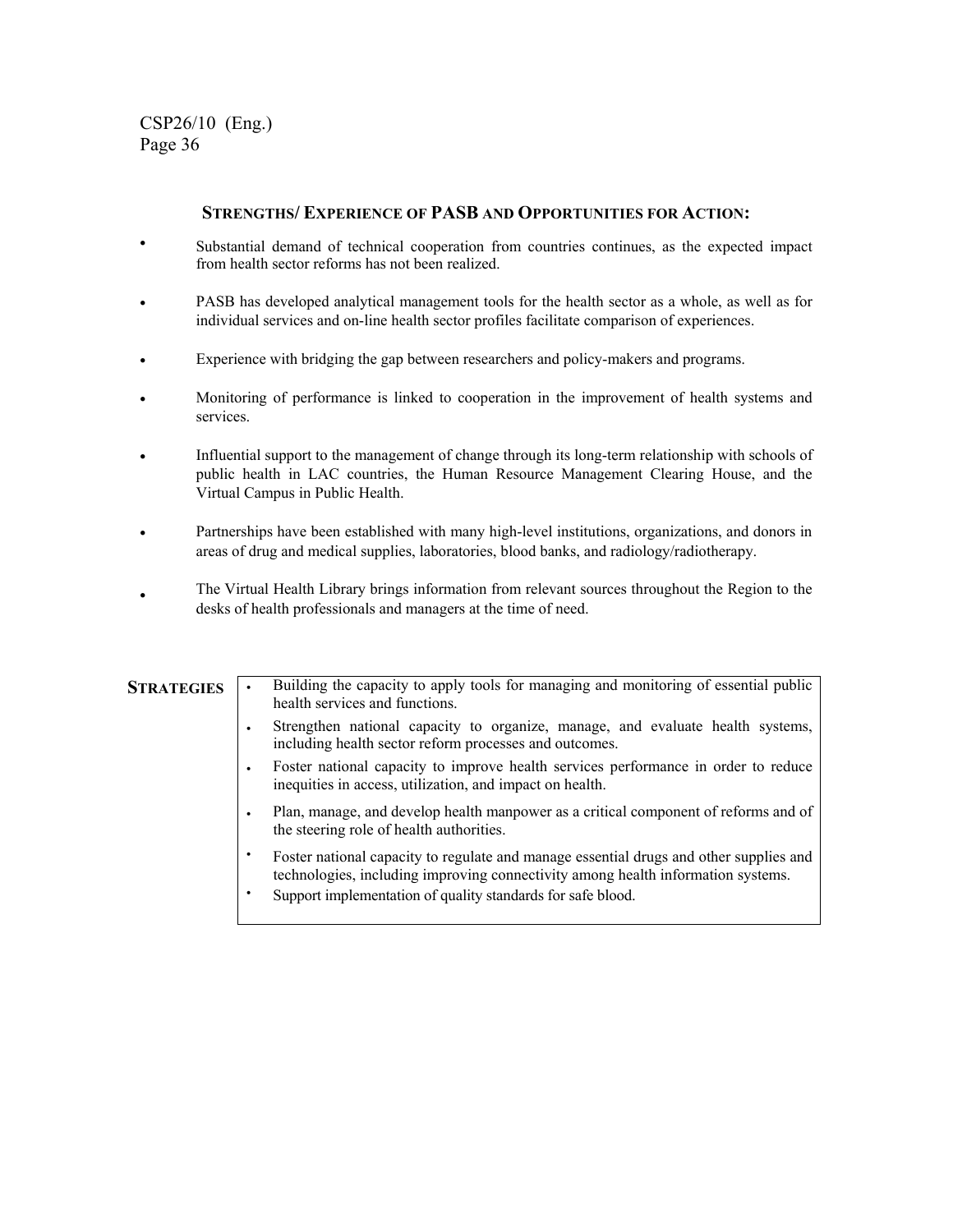#### **STRENGTHS/ EXPERIENCE OF PASB AND OPPORTUNITIES FOR ACTION:**

- Substantial demand of technical cooperation from countries continues, as the expected impact from health sector reforms has not been realized.
- PASB has developed analytical management tools for the health sector as a whole, as well as for individual services and on-line health sector profiles facilitate comparison of experiences.
- Experience with bridging the gap between researchers and policy-makers and programs.
- Monitoring of performance is linked to cooperation in the improvement of health systems and services.
- Influential support to the management of change through its long-term relationship with schools of public health in LAC countries, the Human Resource Management Clearing House, and the Virtual Campus in Public Health.
- Partnerships have been established with many high-level institutions, organizations, and donors in areas of drug and medical supplies, laboratories, blood banks, and radiology/radiotherapy.
- The Virtual Health Library brings information from relevant sources throughout the Region to the desks of health professionals and managers at the time of need.

| <b>STRATEGIES</b> | Building the capacity to apply tools for managing and monitoring of essential public<br>health services and functions.                                                     |
|-------------------|----------------------------------------------------------------------------------------------------------------------------------------------------------------------------|
|                   | Strengthen national capacity to organize, manage, and evaluate health systems,<br>including health sector reform processes and outcomes.                                   |
|                   | Foster national capacity to improve health services performance in order to reduce<br>inequities in access, utilization, and impact on health.                             |
|                   | Plan, manage, and develop health manpower as a critical component of reforms and of<br>the steering role of health authorities.                                            |
|                   | Foster national capacity to regulate and manage essential drugs and other supplies and<br>technologies, including improving connectivity among health information systems. |
|                   | Support implementation of quality standards for safe blood.                                                                                                                |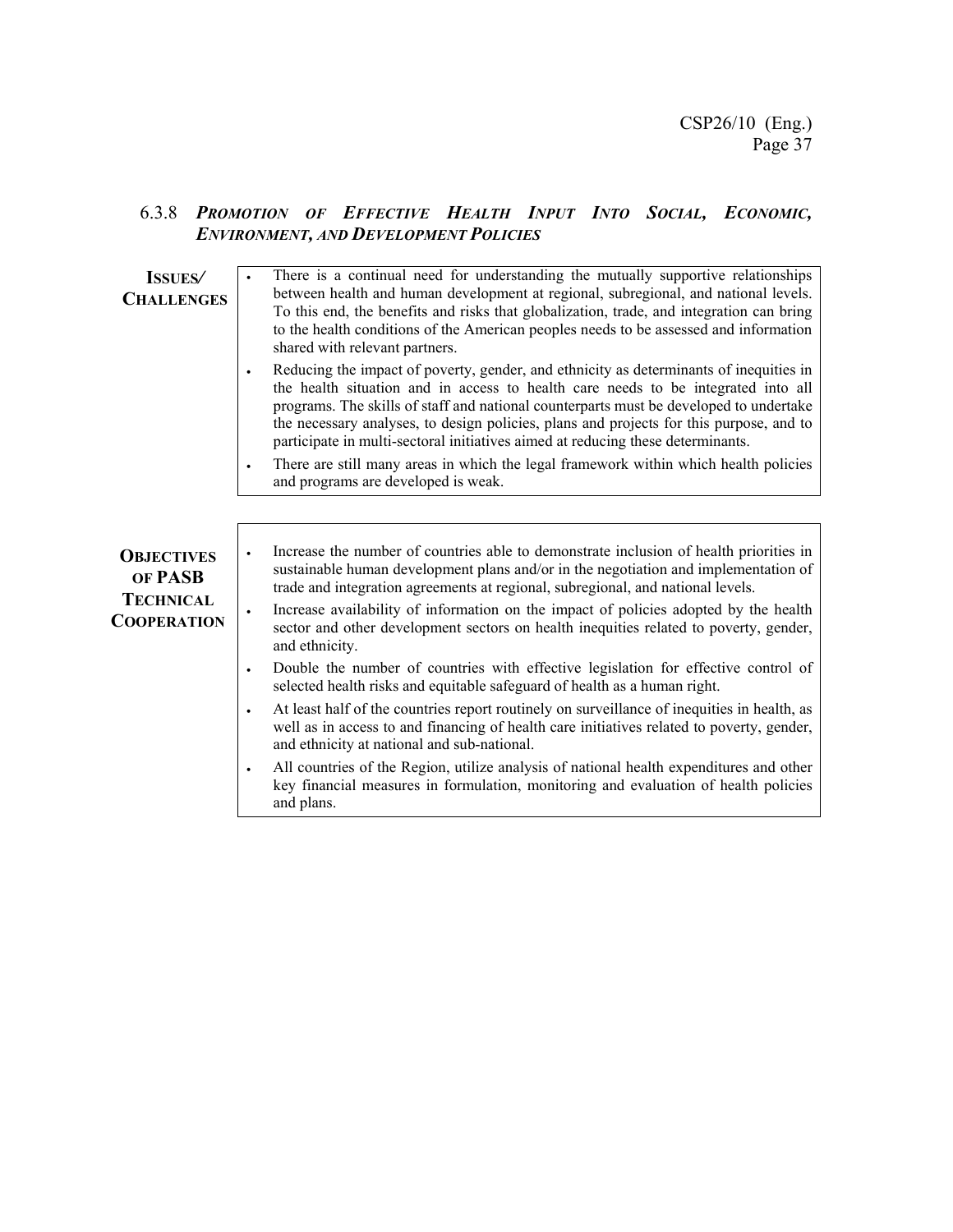### 6.3.8 *PROMOTION OF EFFECTIVE HEALTH INPUT INTO SOCIAL, ECONOMIC, ENVIRONMENT, AND DEVELOPMENT POLICIES*

| <b>ISSUES</b><br><b>CHALLENGES</b>                                     | There is a continual need for understanding the mutually supportive relationships<br>between health and human development at regional, subregional, and national levels.<br>To this end, the benefits and risks that globalization, trade, and integration can bring<br>to the health conditions of the American peoples needs to be assessed and information<br>shared with relevant partners.                                                                                  |
|------------------------------------------------------------------------|----------------------------------------------------------------------------------------------------------------------------------------------------------------------------------------------------------------------------------------------------------------------------------------------------------------------------------------------------------------------------------------------------------------------------------------------------------------------------------|
|                                                                        | Reducing the impact of poverty, gender, and ethnicity as determinants of inequities in<br>$\bullet$<br>the health situation and in access to health care needs to be integrated into all<br>programs. The skills of staff and national counterparts must be developed to undertake<br>the necessary analyses, to design policies, plans and projects for this purpose, and to<br>participate in multi-sectoral initiatives aimed at reducing these determinants.                 |
|                                                                        | There are still many areas in which the legal framework within which health policies<br>$\bullet$<br>and programs are developed is weak.                                                                                                                                                                                                                                                                                                                                         |
|                                                                        |                                                                                                                                                                                                                                                                                                                                                                                                                                                                                  |
| <b>OBJECTIVES</b><br>OF PASB<br><b>TECHNICAL</b><br><b>COOPERATION</b> | Increase the number of countries able to demonstrate inclusion of health priorities in<br>sustainable human development plans and/or in the negotiation and implementation of<br>trade and integration agreements at regional, subregional, and national levels.<br>Increase availability of information on the impact of policies adopted by the health<br>$\bullet$<br>sector and other development sectors on health inequities related to poverty, gender,<br>and ethnicity. |
|                                                                        | Double the number of countries with effective legislation for effective control of<br>$\bullet$<br>selected health risks and equitable safeguard of health as a human right.                                                                                                                                                                                                                                                                                                     |
|                                                                        | At least half of the countries report routinely on surveillance of inequities in health, as<br>$\bullet$<br>well as in access to and financing of health care initiatives related to poverty, gender,<br>and ethnicity at national and sub-national.                                                                                                                                                                                                                             |
|                                                                        | All countries of the Region, utilize analysis of national health expenditures and other<br>$\bullet$<br>key financial measures in formulation, monitoring and evaluation of health policies<br>and plans.                                                                                                                                                                                                                                                                        |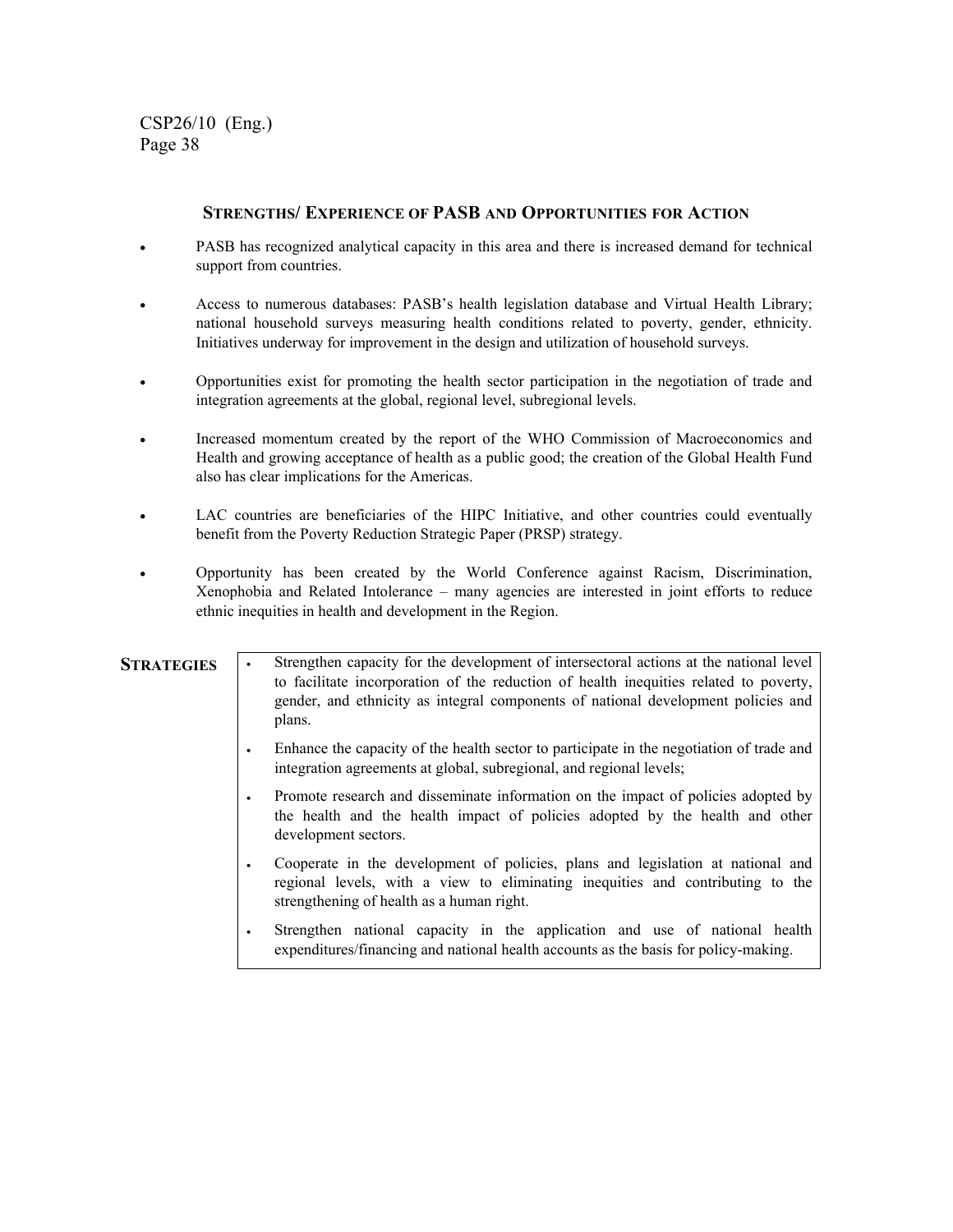#### **STRENGTHS/ EXPERIENCE OF PASB AND OPPORTUNITIES FOR ACTION**

- PASB has recognized analytical capacity in this area and there is increased demand for technical support from countries.
- Access to numerous databases: PASB's health legislation database and Virtual Health Library; national household surveys measuring health conditions related to poverty, gender, ethnicity. Initiatives underway for improvement in the design and utilization of household surveys.
- Opportunities exist for promoting the health sector participation in the negotiation of trade and integration agreements at the global, regional level, subregional levels.
- Increased momentum created by the report of the WHO Commission of Macroeconomics and Health and growing acceptance of health as a public good; the creation of the Global Health Fund also has clear implications for the Americas.
- LAC countries are beneficiaries of the HIPC Initiative, and other countries could eventually benefit from the Poverty Reduction Strategic Paper (PRSP) strategy.
- Opportunity has been created by the World Conference against Racism, Discrimination, Xenophobia and Related Intolerance – many agencies are interested in joint efforts to reduce ethnic inequities in health and development in the Region.

**STRATEGIES** • Strengthen capacity for the development of intersectoral actions at the national level to facilitate incorporation of the reduction of health inequities related to poverty, gender, and ethnicity as integral components of national development policies and plans.

- Enhance the capacity of the health sector to participate in the negotiation of trade and integration agreements at global, subregional, and regional levels;
- Promote research and disseminate information on the impact of policies adopted by the health and the health impact of policies adopted by the health and other development sectors.
- Cooperate in the development of policies, plans and legislation at national and regional levels, with a view to eliminating inequities and contributing to the strengthening of health as a human right.
- Strengthen national capacity in the application and use of national health expenditures/financing and national health accounts as the basis for policy-making.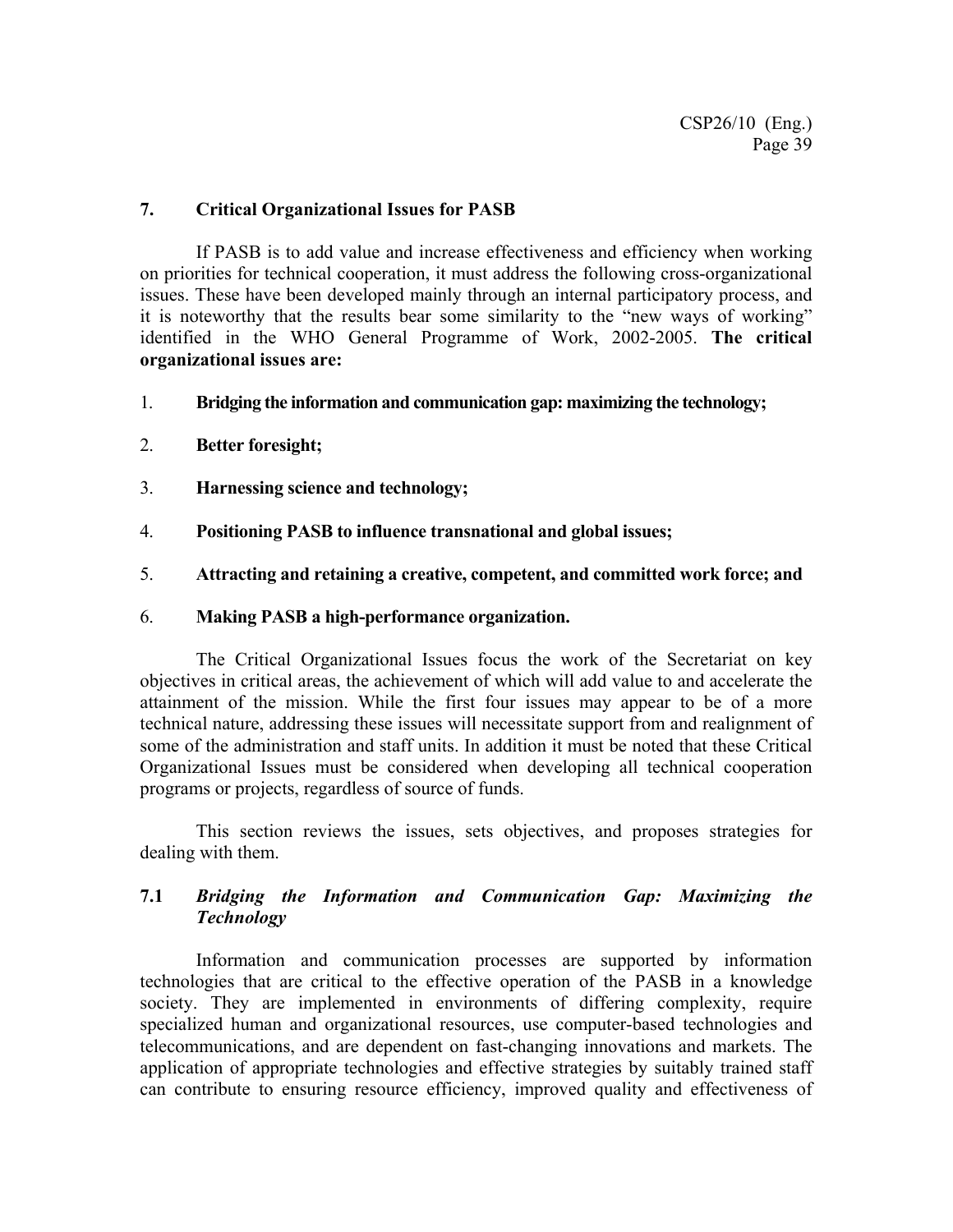#### **7. Critical Organizational Issues for PASB**

If PASB is to add value and increase effectiveness and efficiency when working on priorities for technical cooperation, it must address the following cross-organizational issues. These have been developed mainly through an internal participatory process, and it is noteworthy that the results bear some similarity to the "new ways of working" identified in the WHO General Programme of Work, 2002-2005. **The critical organizational issues are:** 

- 1. **Bridging the information and communication gap: maximizing the technology;**
- 2. **Better foresight;**
- 3. **Harnessing science and technology;**
- 4. **Positioning PASB to influence transnational and global issues;**
- 5. **Attracting and retaining a creative, competent, and committed work force; and**

#### 6. **Making PASB a high-performance organization.**

The Critical Organizational Issues focus the work of the Secretariat on key objectives in critical areas, the achievement of which will add value to and accelerate the attainment of the mission. While the first four issues may appear to be of a more technical nature, addressing these issues will necessitate support from and realignment of some of the administration and staff units. In addition it must be noted that these Critical Organizational Issues must be considered when developing all technical cooperation programs or projects, regardless of source of funds.

This section reviews the issues, sets objectives, and proposes strategies for dealing with them.

### **7.1** *Bridging the Information and Communication Gap: Maximizing the Technology*

Information and communication processes are supported by information technologies that are critical to the effective operation of the PASB in a knowledge society. They are implemented in environments of differing complexity, require specialized human and organizational resources, use computer-based technologies and telecommunications, and are dependent on fast-changing innovations and markets. The application of appropriate technologies and effective strategies by suitably trained staff can contribute to ensuring resource efficiency, improved quality and effectiveness of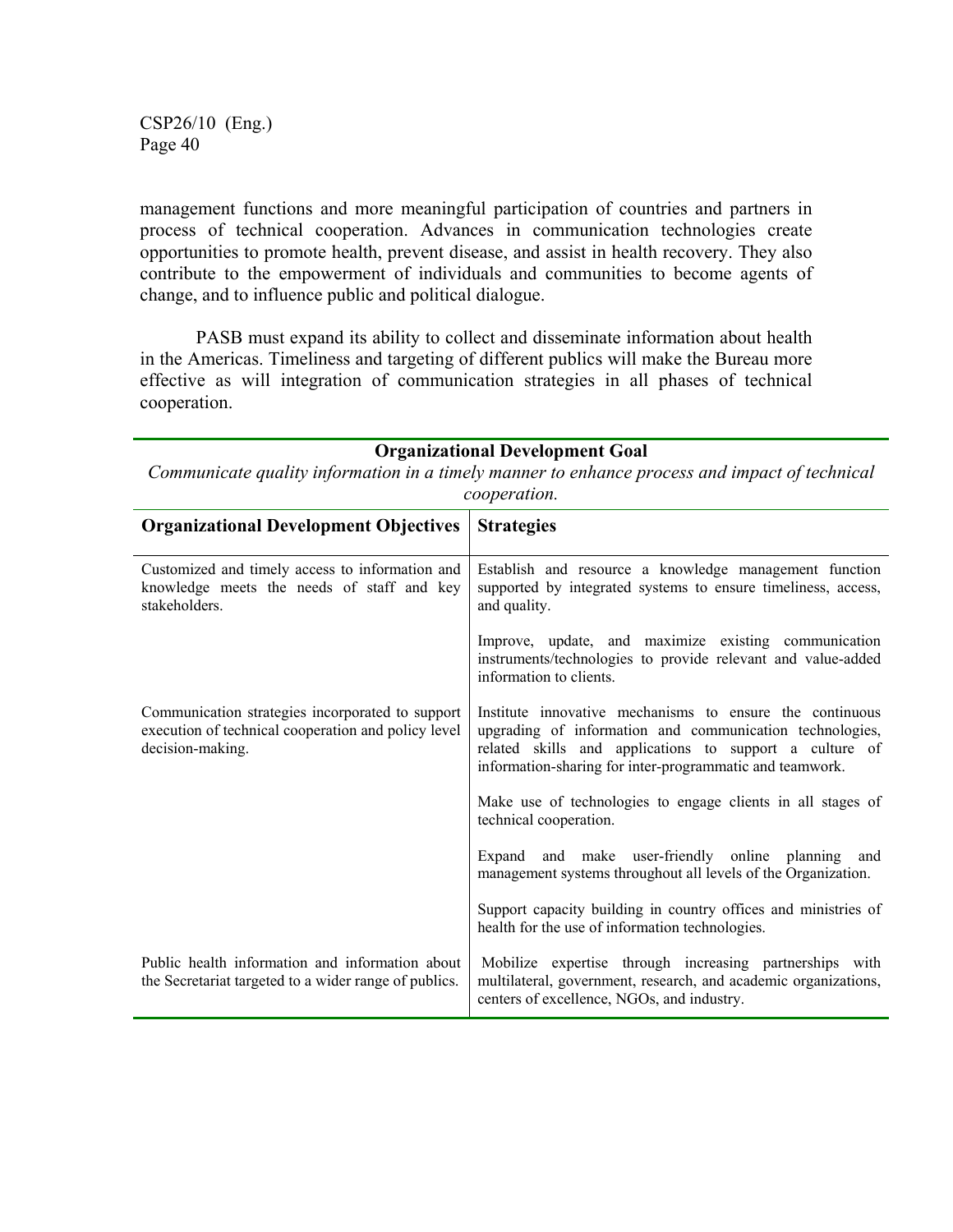management functions and more meaningful participation of countries and partners in process of technical cooperation. Advances in communication technologies create opportunities to promote health, prevent disease, and assist in health recovery. They also contribute to the empowerment of individuals and communities to become agents of change, and to influence public and political dialogue.

PASB must expand its ability to collect and disseminate information about health in the Americas. Timeliness and targeting of different publics will make the Bureau more effective as will integration of communication strategies in all phases of technical cooperation.

| <b>Organizational Development Goal</b><br>Communicate quality information in a timely manner to enhance process and impact of technical<br>cooperation. |                                                                                                                                                                                                                                             |  |
|---------------------------------------------------------------------------------------------------------------------------------------------------------|---------------------------------------------------------------------------------------------------------------------------------------------------------------------------------------------------------------------------------------------|--|
| <b>Organizational Development Objectives</b>                                                                                                            | <b>Strategies</b>                                                                                                                                                                                                                           |  |
| Customized and timely access to information and<br>knowledge meets the needs of staff and key<br>stakeholders.                                          | Establish and resource a knowledge management function<br>supported by integrated systems to ensure timeliness, access,<br>and quality.                                                                                                     |  |
|                                                                                                                                                         | Improve, update, and maximize existing communication<br>instruments/technologies to provide relevant and value-added<br>information to clients.                                                                                             |  |
| Communication strategies incorporated to support<br>execution of technical cooperation and policy level<br>decision-making.                             | Institute innovative mechanisms to ensure the continuous<br>upgrading of information and communication technologies,<br>related skills and applications to support a culture of<br>information-sharing for inter-programmatic and teamwork. |  |
|                                                                                                                                                         | Make use of technologies to engage clients in all stages of<br>technical cooperation.                                                                                                                                                       |  |
|                                                                                                                                                         | and make user-friendly online planning and<br>Expand<br>management systems throughout all levels of the Organization.                                                                                                                       |  |
|                                                                                                                                                         | Support capacity building in country offices and ministries of<br>health for the use of information technologies.                                                                                                                           |  |
| Public health information and information about<br>the Secretariat targeted to a wider range of publics.                                                | Mobilize expertise through increasing partnerships with<br>multilateral, government, research, and academic organizations,<br>centers of excellence, NGOs, and industry.                                                                    |  |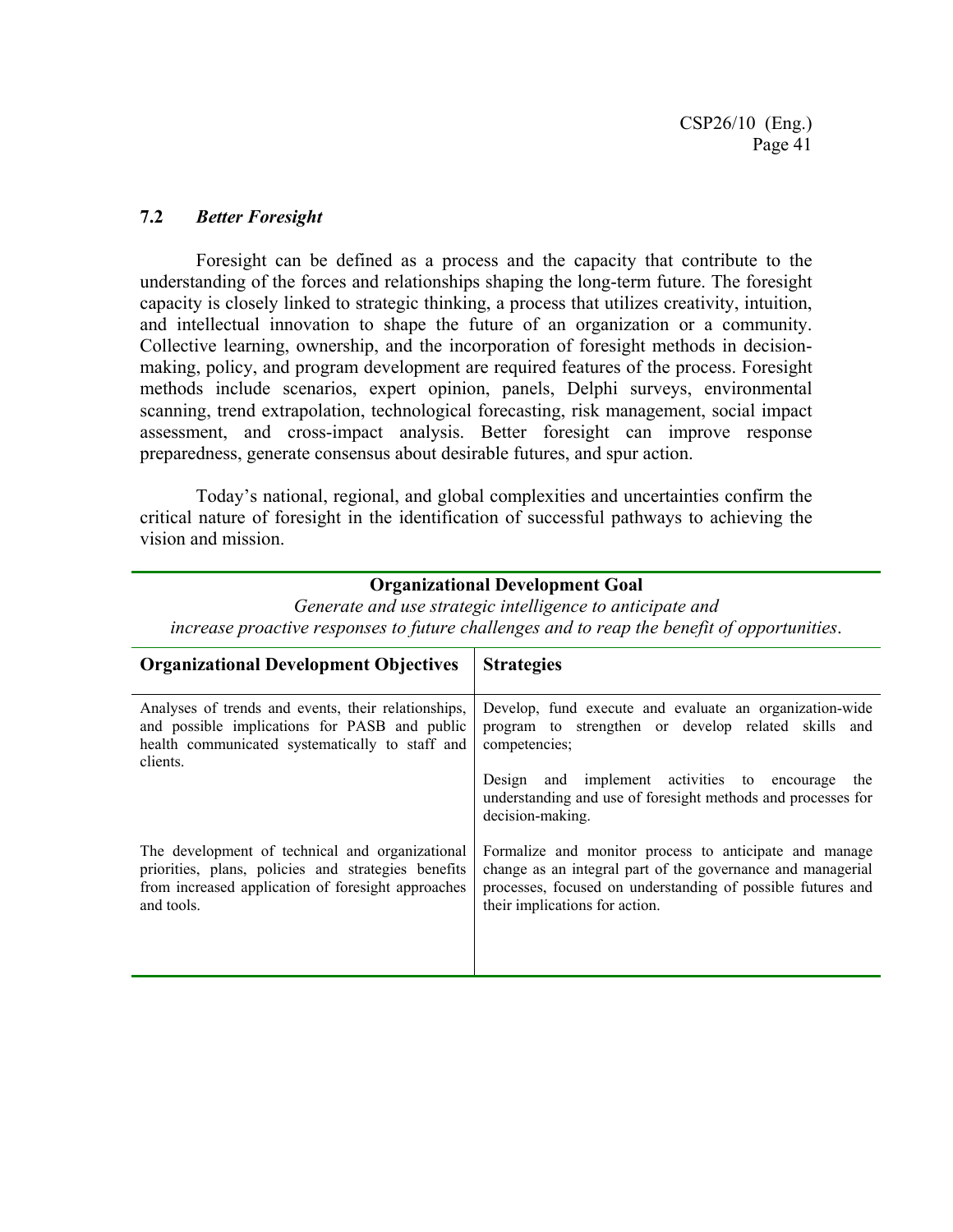#### **7.2** *Better Foresight*

Foresight can be defined as a process and the capacity that contribute to the understanding of the forces and relationships shaping the long-term future. The foresight capacity is closely linked to strategic thinking, a process that utilizes creativity, intuition, and intellectual innovation to shape the future of an organization or a community. Collective learning, ownership, and the incorporation of foresight methods in decisionmaking, policy, and program development are required features of the process. Foresight methods include scenarios, expert opinion, panels, Delphi surveys, environmental scanning, trend extrapolation, technological forecasting, risk management, social impact assessment, and cross-impact analysis. Better foresight can improve response preparedness, generate consensus about desirable futures, and spur action.

Today's national, regional, and global complexities and uncertainties confirm the critical nature of foresight in the identification of successful pathways to achieving the vision and mission.

#### **Organizational Development Goal**

*Generate and use strategic intelligence to anticipate and increase proactive responses to future challenges and to reap the benefit of opportunities*.

| <b>Organizational Development Objectives</b>                                                                                                                               | <b>Strategies</b>                                                                                                                                                                                                      |
|----------------------------------------------------------------------------------------------------------------------------------------------------------------------------|------------------------------------------------------------------------------------------------------------------------------------------------------------------------------------------------------------------------|
| Analyses of trends and events, their relationships,<br>and possible implications for PASB and public<br>health communicated systematically to staff and<br>clients.        | Develop, fund execute and evaluate an organization-wide<br>program to strengthen or develop related skills and<br>competencies;                                                                                        |
|                                                                                                                                                                            | Design and implement activities to encourage the<br>understanding and use of foresight methods and processes for<br>decision-making.                                                                                   |
| The development of technical and organizational<br>priorities, plans, policies and strategies benefits<br>from increased application of foresight approaches<br>and tools. | Formalize and monitor process to anticipate and manage<br>change as an integral part of the governance and managerial<br>processes, focused on understanding of possible futures and<br>their implications for action. |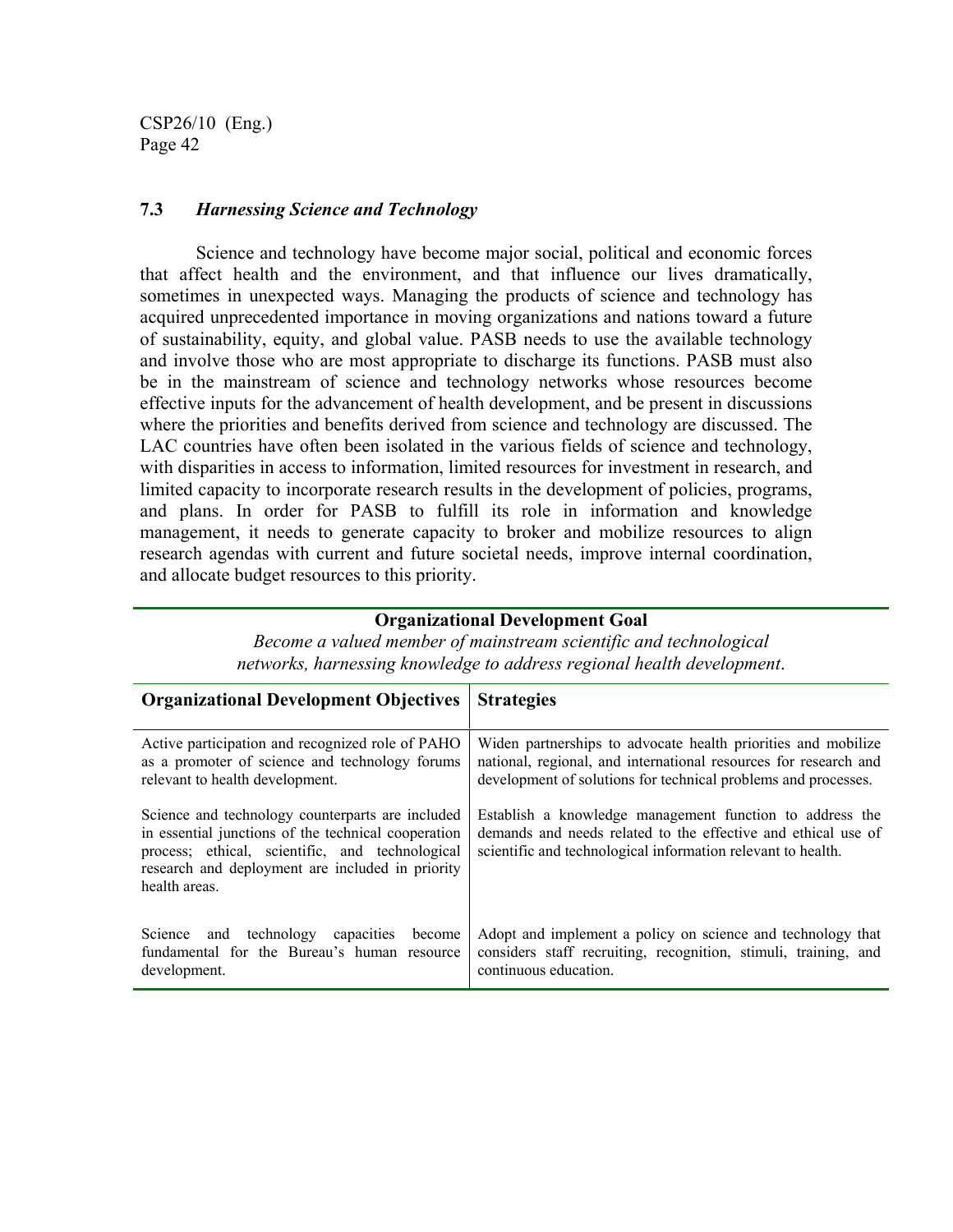#### **7.3** *Harnessing Science and Technology*

Science and technology have become major social, political and economic forces that affect health and the environment, and that influence our lives dramatically, sometimes in unexpected ways. Managing the products of science and technology has acquired unprecedented importance in moving organizations and nations toward a future of sustainability, equity, and global value. PASB needs to use the available technology and involve those who are most appropriate to discharge its functions. PASB must also be in the mainstream of science and technology networks whose resources become effective inputs for the advancement of health development, and be present in discussions where the priorities and benefits derived from science and technology are discussed. The LAC countries have often been isolated in the various fields of science and technology, with disparities in access to information, limited resources for investment in research, and limited capacity to incorporate research results in the development of policies, programs, and plans. In order for PASB to fulfill its role in information and knowledge management, it needs to generate capacity to broker and mobilize resources to align research agendas with current and future societal needs, improve internal coordination, and allocate budget resources to this priority.

#### **Organizational Development Goal**

| <b>Organizational Development Objectives</b>                                                                                                                                                                                    | <b>Strategies</b>                                                                                                                                                                                   |
|---------------------------------------------------------------------------------------------------------------------------------------------------------------------------------------------------------------------------------|-----------------------------------------------------------------------------------------------------------------------------------------------------------------------------------------------------|
| Active participation and recognized role of PAHO<br>as a promoter of science and technology forums<br>relevant to health development.                                                                                           | Widen partnerships to advocate health priorities and mobilize<br>national, regional, and international resources for research and<br>development of solutions for technical problems and processes. |
| Science and technology counterparts are included<br>in essential junctions of the technical cooperation<br>process; ethical, scientific, and technological<br>research and deployment are included in priority<br>health areas. | Establish a knowledge management function to address the<br>demands and needs related to the effective and ethical use of<br>scientific and technological information relevant to health.           |
| Science and technology capacities<br>become<br>fundamental for the Bureau's human resource<br>development.                                                                                                                      | Adopt and implement a policy on science and technology that<br>considers staff recruiting, recognition, stimuli, training, and<br>continuous education.                                             |

*Become a valued member of mainstream scientific and technological networks, harnessing knowledge to address regional health development*.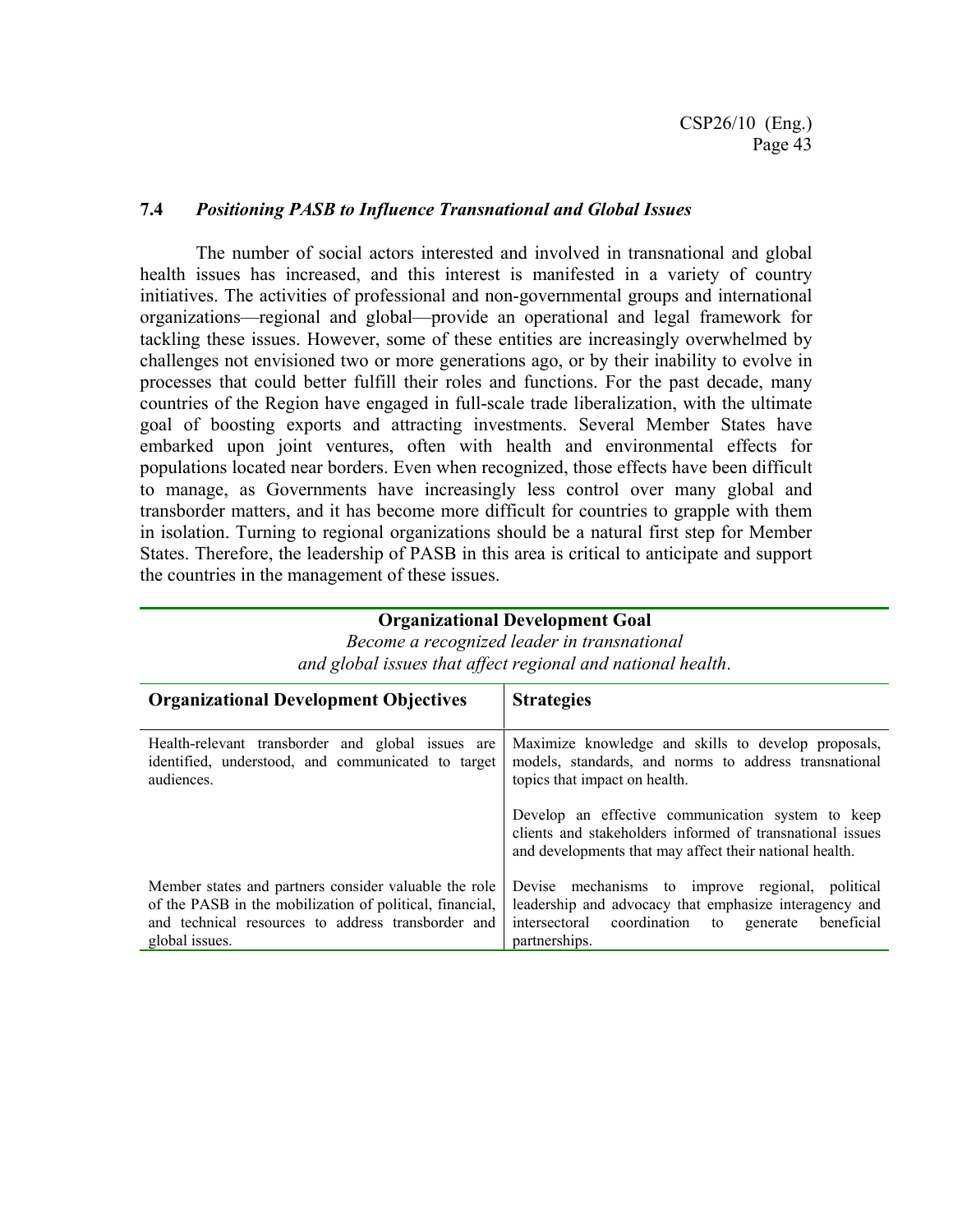#### **7.4** *Positioning PASB to Influence Transnational and Global Issues*

The number of social actors interested and involved in transnational and global health issues has increased, and this interest is manifested in a variety of country initiatives. The activities of professional and non-governmental groups and international organizations—regional and global—provide an operational and legal framework for tackling these issues. However, some of these entities are increasingly overwhelmed by challenges not envisioned two or more generations ago, or by their inability to evolve in processes that could better fulfill their roles and functions. For the past decade, many countries of the Region have engaged in full-scale trade liberalization, with the ultimate goal of boosting exports and attracting investments. Several Member States have embarked upon joint ventures, often with health and environmental effects for populations located near borders. Even when recognized, those effects have been difficult to manage, as Governments have increasingly less control over many global and transborder matters, and it has become more difficult for countries to grapple with them in isolation. Turning to regional organizations should be a natural first step for Member States. Therefore, the leadership of PASB in this area is critical to anticipate and support the countries in the management of these issues.

#### *and global issues that affect regional and national health*. **Organizational Development Objectives | Strategies** Health-relevant transborder and global issues are identified, understood, and communicated to target audiences. Maximize knowledge and skills to develop proposals, models, standards, and norms to address transnational topics that impact on health. Develop an effective communication system to keep clients and stakeholders informed of transnational issues and developments that may affect their national health. Member states and partners consider valuable the role of the PASB in the mobilization of political, financial, and technical resources to address transborder and global issues. Devise mechanisms to improve regional, political leadership and advocacy that emphasize interagency and intersectoral coordination to generate beneficial partnerships.

*Become a recognized leader in transnational* 

**Organizational Development Goal**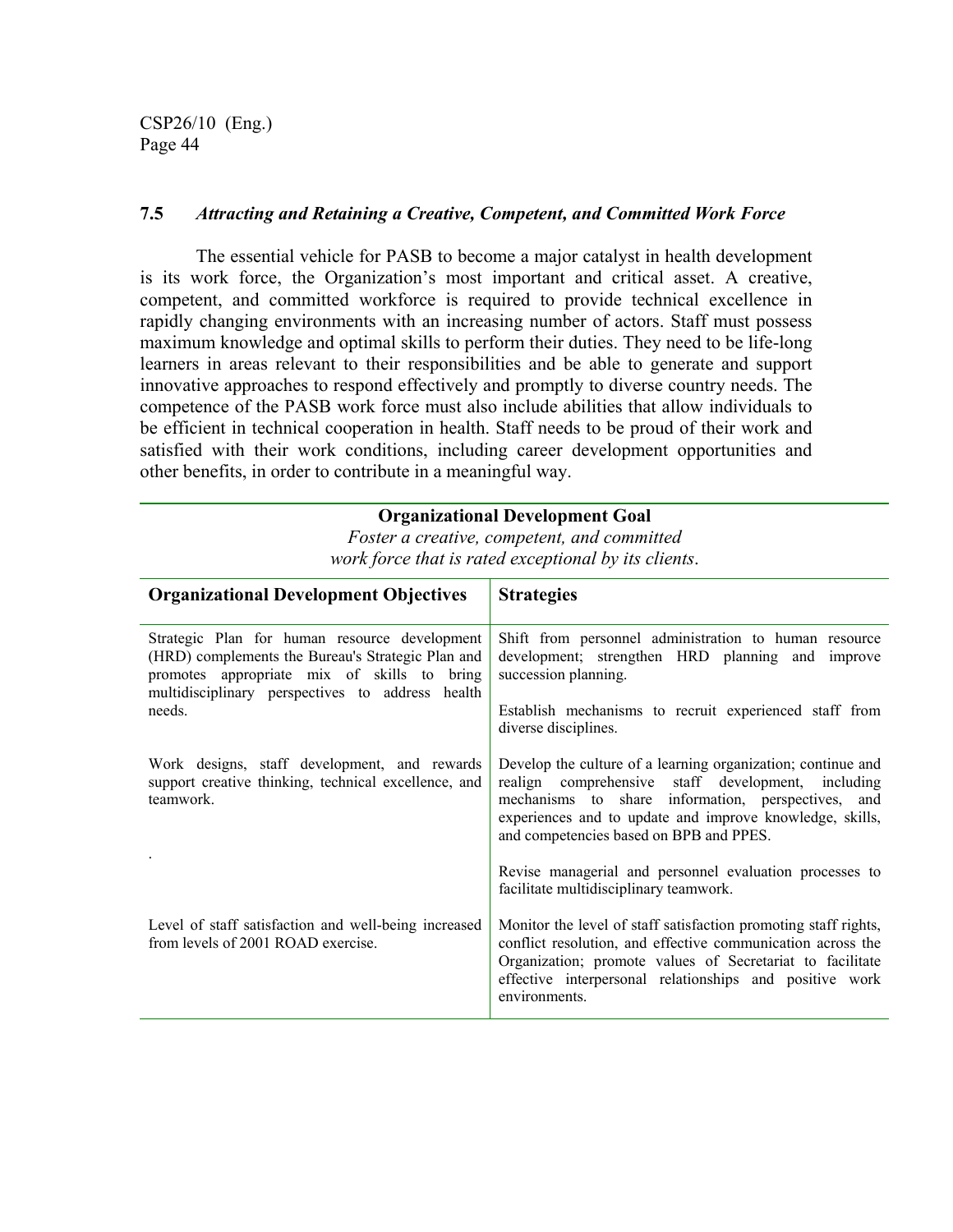#### **7.5** *Attracting and Retaining a Creative, Competent, and Committed Work Force*

The essential vehicle for PASB to become a major catalyst in health development is its work force, the Organization's most important and critical asset. A creative, competent, and committed workforce is required to provide technical excellence in rapidly changing environments with an increasing number of actors. Staff must possess maximum knowledge and optimal skills to perform their duties. They need to be life-long learners in areas relevant to their responsibilities and be able to generate and support innovative approaches to respond effectively and promptly to diverse country needs. The competence of the PASB work force must also include abilities that allow individuals to be efficient in technical cooperation in health. Staff needs to be proud of their work and satisfied with their work conditions, including career development opportunities and other benefits, in order to contribute in a meaningful way.

#### **Organizational Development Goal**

*Foster a creative, competent, and committed work force that is rated exceptional by its clients*.

| <b>Organizational Development Objectives</b>                                                                                                                                                          | <b>Strategies</b>                                                                                                                                                                                                                                                               |
|-------------------------------------------------------------------------------------------------------------------------------------------------------------------------------------------------------|---------------------------------------------------------------------------------------------------------------------------------------------------------------------------------------------------------------------------------------------------------------------------------|
| Strategic Plan for human resource development<br>(HRD) complements the Bureau's Strategic Plan and<br>promotes appropriate mix of skills to bring<br>multidisciplinary perspectives to address health | Shift from personnel administration to human resource<br>development; strengthen HRD planning and improve<br>succession planning.                                                                                                                                               |
| needs.                                                                                                                                                                                                | Establish mechanisms to recruit experienced staff from<br>diverse disciplines.                                                                                                                                                                                                  |
| Work designs, staff development, and rewards<br>support creative thinking, technical excellence, and<br>teamwork.                                                                                     | Develop the culture of a learning organization; continue and<br>realign comprehensive staff development, including<br>mechanisms to share information, perspectives, and<br>experiences and to update and improve knowledge, skills,<br>and competencies based on BPB and PPES. |
|                                                                                                                                                                                                       | Revise managerial and personnel evaluation processes to<br>facilitate multidisciplinary teamwork.                                                                                                                                                                               |
| Level of staff satisfaction and well-being increased<br>from levels of 2001 ROAD exercise.                                                                                                            | Monitor the level of staff satisfaction promoting staff rights,<br>conflict resolution, and effective communication across the<br>Organization; promote values of Secretariat to facilitate<br>effective interpersonal relationships and positive work<br>environments.         |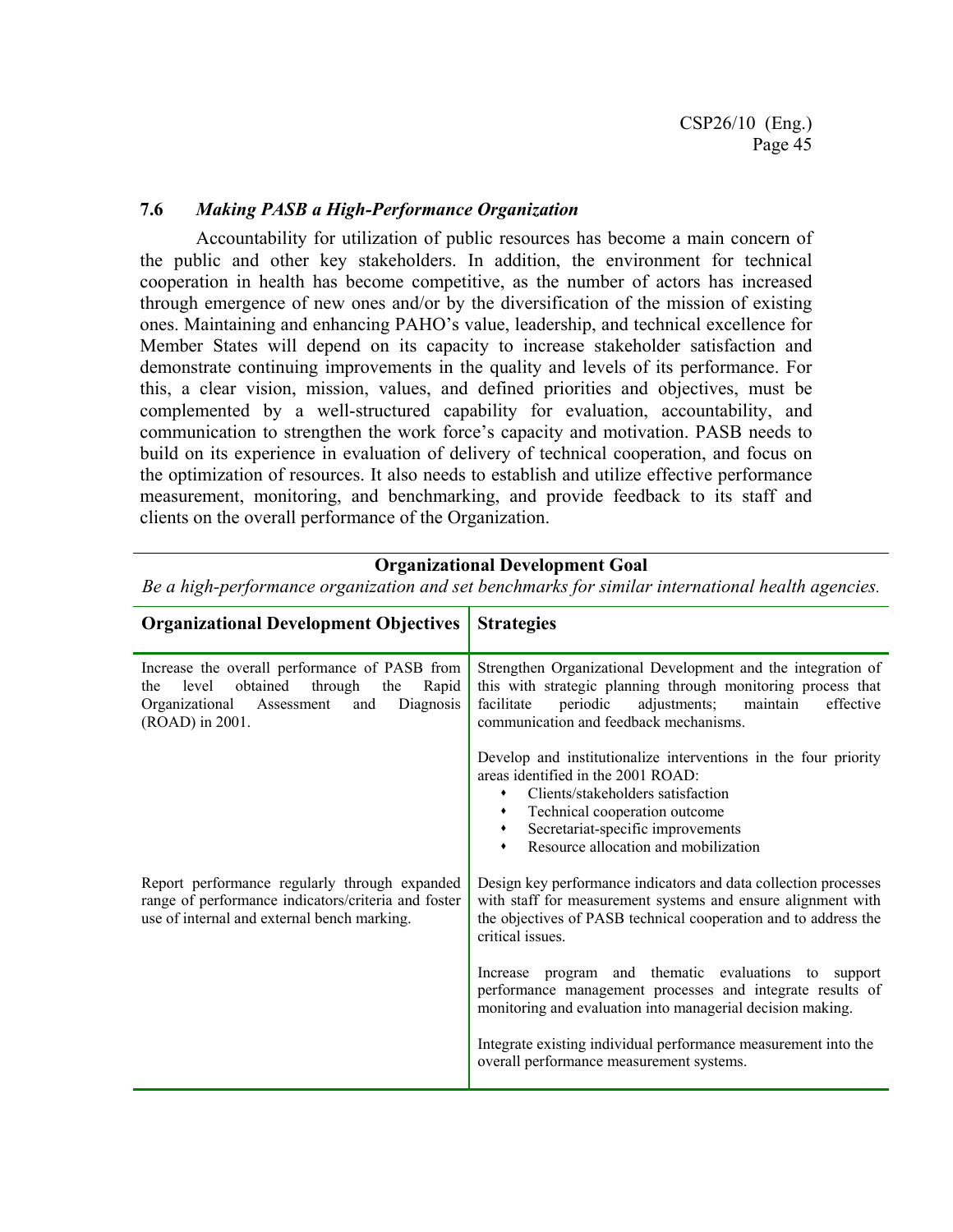#### **7.6** *Making PASB a High-Performance Organization*

Accountability for utilization of public resources has become a main concern of the public and other key stakeholders. In addition, the environment for technical cooperation in health has become competitive, as the number of actors has increased through emergence of new ones and/or by the diversification of the mission of existing ones. Maintaining and enhancing PAHO's value, leadership, and technical excellence for Member States will depend on its capacity to increase stakeholder satisfaction and demonstrate continuing improvements in the quality and levels of its performance. For this, a clear vision, mission, values, and defined priorities and objectives, must be complemented by a well-structured capability for evaluation, accountability, and communication to strengthen the work force's capacity and motivation. PASB needs to build on its experience in evaluation of delivery of technical cooperation, and focus on the optimization of resources. It also needs to establish and utilize effective performance measurement, monitoring, and benchmarking, and provide feedback to its staff and clients on the overall performance of the Organization.

#### **Organizational Development Goal**

*Be a high-performance organization and set benchmarks for similar international health agencies.*

| <b>Organizational Development Objectives</b>                                                                                                                             | <b>Strategies</b>                                                                                                                                                                                                                                                            |
|--------------------------------------------------------------------------------------------------------------------------------------------------------------------------|------------------------------------------------------------------------------------------------------------------------------------------------------------------------------------------------------------------------------------------------------------------------------|
| Increase the overall performance of PASB from<br>through<br>obtained<br>level<br>the<br>Rapid<br>the<br>Organizational Assessment<br>Diagnosis<br>and<br>(ROAD) in 2001. | Strengthen Organizational Development and the integration of<br>this with strategic planning through monitoring process that<br>adjustments; maintain<br>facilitate<br>periodic<br>effective<br>communication and feedback mechanisms.                                       |
|                                                                                                                                                                          | Develop and institutionalize interventions in the four priority<br>areas identified in the 2001 ROAD:<br>Clients/stakeholders satisfaction<br>٠<br>Technical cooperation outcome<br>٠<br>Secretariat-specific improvements<br>٠<br>Resource allocation and mobilization<br>٠ |
| Report performance regularly through expanded<br>range of performance indicators/criteria and foster<br>use of internal and external bench marking.                      | Design key performance indicators and data collection processes<br>with staff for measurement systems and ensure alignment with<br>the objectives of PASB technical cooperation and to address the<br>critical issues.                                                       |
|                                                                                                                                                                          | Increase program and thematic evaluations to support<br>performance management processes and integrate results of<br>monitoring and evaluation into managerial decision making.                                                                                              |
|                                                                                                                                                                          | Integrate existing individual performance measurement into the<br>overall performance measurement systems.                                                                                                                                                                   |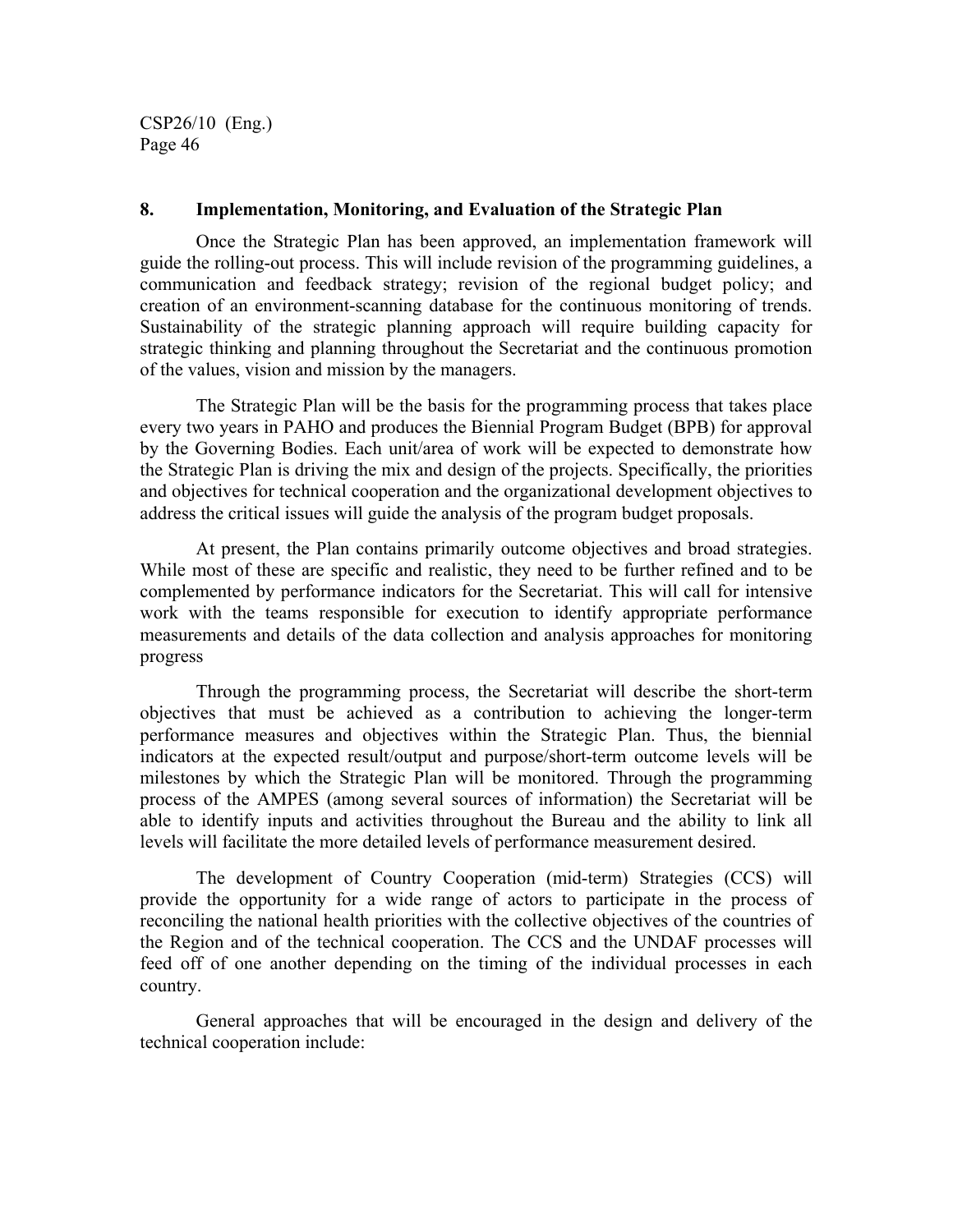#### **8. Implementation, Monitoring, and Evaluation of the Strategic Plan**

Once the Strategic Plan has been approved, an implementation framework will guide the rolling-out process. This will include revision of the programming guidelines, a communication and feedback strategy; revision of the regional budget policy; and creation of an environment-scanning database for the continuous monitoring of trends. Sustainability of the strategic planning approach will require building capacity for strategic thinking and planning throughout the Secretariat and the continuous promotion of the values, vision and mission by the managers.

The Strategic Plan will be the basis for the programming process that takes place every two years in PAHO and produces the Biennial Program Budget (BPB) for approval by the Governing Bodies. Each unit/area of work will be expected to demonstrate how the Strategic Plan is driving the mix and design of the projects. Specifically, the priorities and objectives for technical cooperation and the organizational development objectives to address the critical issues will guide the analysis of the program budget proposals.

At present, the Plan contains primarily outcome objectives and broad strategies. While most of these are specific and realistic, they need to be further refined and to be complemented by performance indicators for the Secretariat. This will call for intensive work with the teams responsible for execution to identify appropriate performance measurements and details of the data collection and analysis approaches for monitoring progress

Through the programming process, the Secretariat will describe the short-term objectives that must be achieved as a contribution to achieving the longer-term performance measures and objectives within the Strategic Plan. Thus, the biennial indicators at the expected result/output and purpose/short-term outcome levels will be milestones by which the Strategic Plan will be monitored. Through the programming process of the AMPES (among several sources of information) the Secretariat will be able to identify inputs and activities throughout the Bureau and the ability to link all levels will facilitate the more detailed levels of performance measurement desired.

The development of Country Cooperation (mid-term) Strategies (CCS) will provide the opportunity for a wide range of actors to participate in the process of reconciling the national health priorities with the collective objectives of the countries of the Region and of the technical cooperation. The CCS and the UNDAF processes will feed off of one another depending on the timing of the individual processes in each country.

General approaches that will be encouraged in the design and delivery of the technical cooperation include: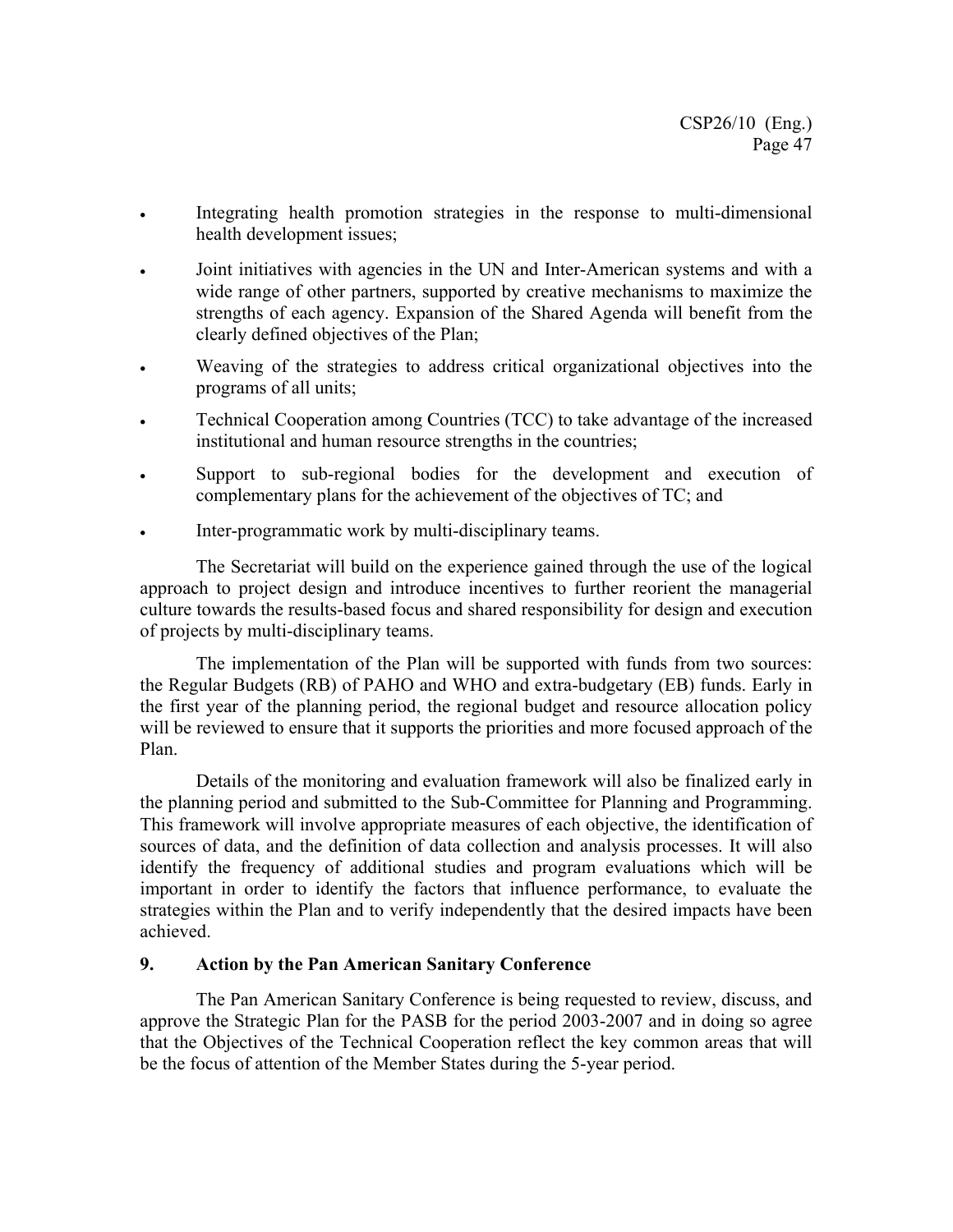- Integrating health promotion strategies in the response to multi-dimensional health development issues;
- Joint initiatives with agencies in the UN and Inter-American systems and with a wide range of other partners, supported by creative mechanisms to maximize the strengths of each agency. Expansion of the Shared Agenda will benefit from the clearly defined objectives of the Plan;
- Weaving of the strategies to address critical organizational objectives into the programs of all units;
- Technical Cooperation among Countries (TCC) to take advantage of the increased institutional and human resource strengths in the countries;
- Support to sub-regional bodies for the development and execution of complementary plans for the achievement of the objectives of TC; and
- Inter-programmatic work by multi-disciplinary teams.

The Secretariat will build on the experience gained through the use of the logical approach to project design and introduce incentives to further reorient the managerial culture towards the results-based focus and shared responsibility for design and execution of projects by multi-disciplinary teams.

The implementation of the Plan will be supported with funds from two sources: the Regular Budgets (RB) of PAHO and WHO and extra-budgetary (EB) funds. Early in the first year of the planning period, the regional budget and resource allocation policy will be reviewed to ensure that it supports the priorities and more focused approach of the Plan.

Details of the monitoring and evaluation framework will also be finalized early in the planning period and submitted to the Sub-Committee for Planning and Programming. This framework will involve appropriate measures of each objective, the identification of sources of data, and the definition of data collection and analysis processes. It will also identify the frequency of additional studies and program evaluations which will be important in order to identify the factors that influence performance, to evaluate the strategies within the Plan and to verify independently that the desired impacts have been achieved.

#### **9. Action by the Pan American Sanitary Conference**

 The Pan American Sanitary Conference is being requested to review, discuss, and approve the Strategic Plan for the PASB for the period 2003-2007 and in doing so agree that the Objectives of the Technical Cooperation reflect the key common areas that will be the focus of attention of the Member States during the 5-year period.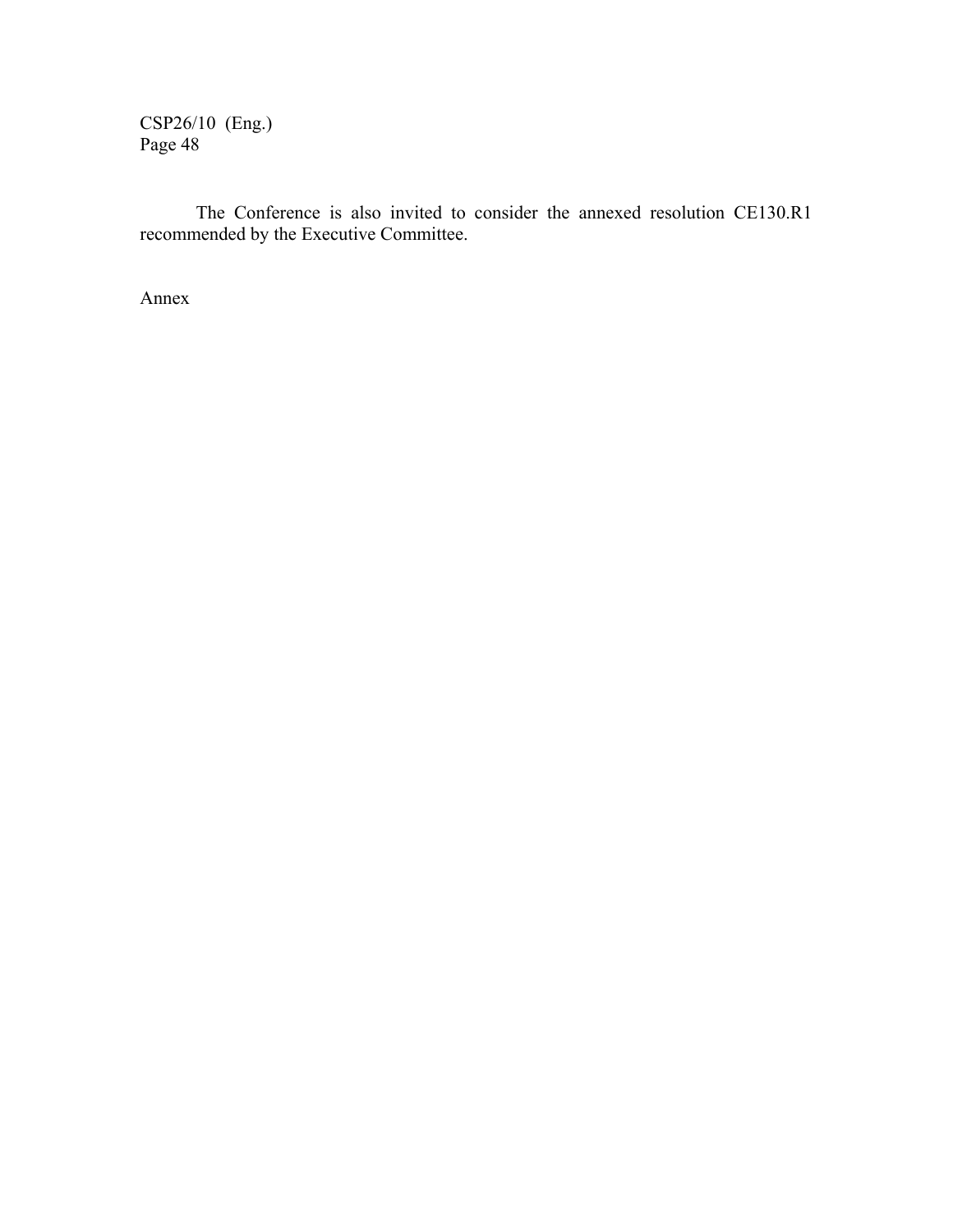The Conference is also invited to consider the annexed resolution CE130.R1 recommended by the Executive Committee.

Annex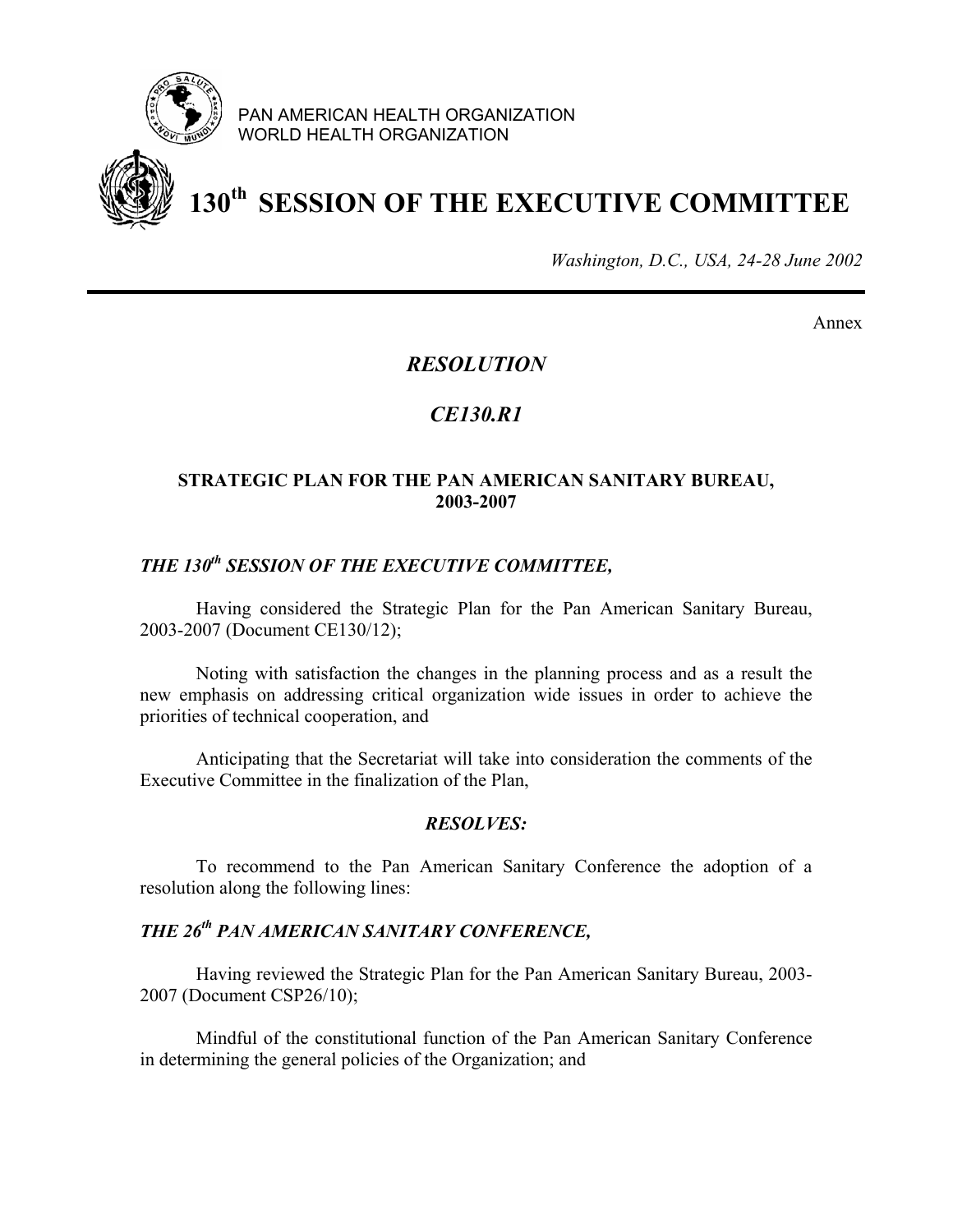

PAN AMERICAN HEALTH ORGANIZATION WORLD HEALTH ORGANIZATION



# **130th SESSION OF THE EXECUTIVE COMMITTEE**

*Washington, D.C., USA, 24-28 June 2002*

Annex

# *RESOLUTION*

# *CE130.R1*

### **STRATEGIC PLAN FOR THE PAN AMERICAN SANITARY BUREAU, 2003-2007**

# *THE 130th SESSION OF THE EXECUTIVE COMMITTEE,*

Having considered the Strategic Plan for the Pan American Sanitary Bureau, 2003-2007 (Document CE130/12);

Noting with satisfaction the changes in the planning process and as a result the new emphasis on addressing critical organization wide issues in order to achieve the priorities of technical cooperation, and

Anticipating that the Secretariat will take into consideration the comments of the Executive Committee in the finalization of the Plan,

#### *RESOLVES:*

To recommend to the Pan American Sanitary Conference the adoption of a resolution along the following lines:

#### *THE 26th PAN AMERICAN SANITARY CONFERENCE,*

Having reviewed the Strategic Plan for the Pan American Sanitary Bureau, 2003- 2007 (Document CSP26/10);

Mindful of the constitutional function of the Pan American Sanitary Conference in determining the general policies of the Organization; and